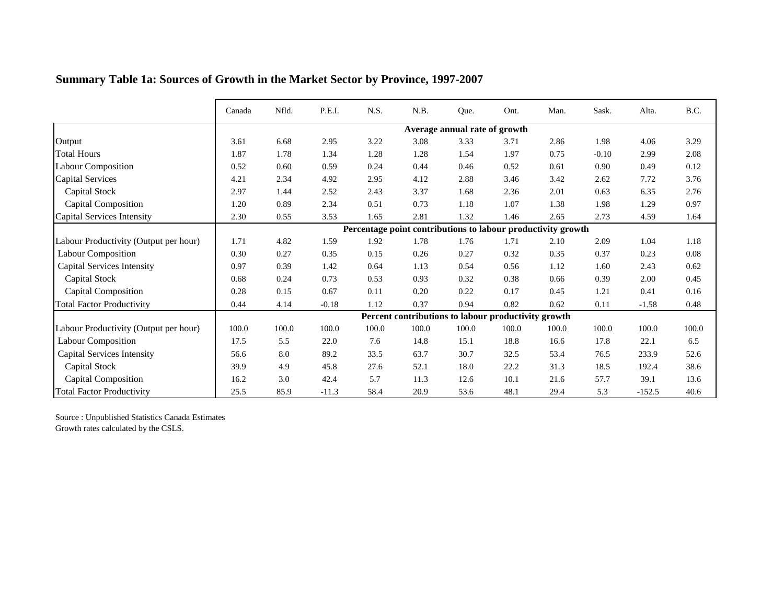|                                       | Canada | Nfld. | P.E.I.  | N.S.  | N.B.                                                         | Que.                          | Ont.  | Man.  | Sask.   | Alta.    | B.C.     |
|---------------------------------------|--------|-------|---------|-------|--------------------------------------------------------------|-------------------------------|-------|-------|---------|----------|----------|
|                                       |        |       |         |       |                                                              | Average annual rate of growth |       |       |         |          |          |
| Output                                | 3.61   | 6.68  | 2.95    | 3.22  | 3.08                                                         | 3.33                          | 3.71  | 2.86  | 1.98    | 4.06     | 3.29     |
| <b>Total Hours</b>                    | 1.87   | 1.78  | 1.34    | 1.28  | 1.28                                                         | 1.54                          | 1.97  | 0.75  | $-0.10$ | 2.99     | 2.08     |
| <b>Labour Composition</b>             | 0.52   | 0.60  | 0.59    | 0.24  | 0.44                                                         | 0.46                          | 0.52  | 0.61  | 0.90    | 0.49     | 0.12     |
| <b>Capital Services</b>               | 4.21   | 2.34  | 4.92    | 2.95  | 4.12                                                         | 2.88                          | 3.46  | 3.42  | 2.62    | 7.72     | 3.76     |
| <b>Capital Stock</b>                  | 2.97   | 1.44  | 2.52    | 2.43  | 3.37                                                         | 1.68                          | 2.36  | 2.01  | 0.63    | 6.35     | 2.76     |
| <b>Capital Composition</b>            | 1.20   | 0.89  | 2.34    | 0.51  | 0.73                                                         | 1.18                          | 1.07  | 1.38  | 1.98    | 1.29     | 0.97     |
| Capital Services Intensity            | 2.30   | 0.55  | 3.53    | 1.65  | 2.81                                                         | 1.32                          | 1.46  | 2.65  | 2.73    | 4.59     | 1.64     |
|                                       |        |       |         |       | Percentage point contributions to labour productivity growth |                               |       |       |         |          |          |
| Labour Productivity (Output per hour) | 1.71   | 4.82  | 1.59    | 1.92  | 1.78                                                         | 1.76                          | 1.71  | 2.10  | 2.09    | 1.04     | 1.18     |
| <b>Labour Composition</b>             | 0.30   | 0.27  | 0.35    | 0.15  | 0.26                                                         | 0.27                          | 0.32  | 0.35  | 0.37    | 0.23     | $0.08\,$ |
| <b>Capital Services Intensity</b>     | 0.97   | 0.39  | 1.42    | 0.64  | 1.13                                                         | 0.54                          | 0.56  | 1.12  | 1.60    | 2.43     | 0.62     |
| <b>Capital Stock</b>                  | 0.68   | 0.24  | 0.73    | 0.53  | 0.93                                                         | 0.32                          | 0.38  | 0.66  | 0.39    | 2.00     | 0.45     |
| <b>Capital Composition</b>            | 0.28   | 0.15  | 0.67    | 0.11  | 0.20                                                         | 0.22                          | 0.17  | 0.45  | 1.21    | 0.41     | 0.16     |
| <b>Total Factor Productivity</b>      | 0.44   | 4.14  | $-0.18$ | 1.12  | 0.37                                                         | 0.94                          | 0.82  | 0.62  | 0.11    | $-1.58$  | 0.48     |
|                                       |        |       |         |       | Percent contributions to labour productivity growth          |                               |       |       |         |          |          |
| Labour Productivity (Output per hour) | 100.0  | 100.0 | 100.0   | 100.0 | 100.0                                                        | 100.0                         | 100.0 | 100.0 | 100.0   | 100.0    | 100.0    |
| <b>Labour Composition</b>             | 17.5   | 5.5   | 22.0    | 7.6   | 14.8                                                         | 15.1                          | 18.8  | 16.6  | 17.8    | 22.1     | 6.5      |
| <b>Capital Services Intensity</b>     | 56.6   | 8.0   | 89.2    | 33.5  | 63.7                                                         | 30.7                          | 32.5  | 53.4  | 76.5    | 233.9    | 52.6     |
| Capital Stock                         | 39.9   | 4.9   | 45.8    | 27.6  | 52.1                                                         | 18.0                          | 22.2  | 31.3  | 18.5    | 192.4    | 38.6     |
| <b>Capital Composition</b>            | 16.2   | 3.0   | 42.4    | 5.7   | 11.3                                                         | 12.6                          | 10.1  | 21.6  | 57.7    | 39.1     | 13.6     |
| <b>Total Factor Productivity</b>      | 25.5   | 85.9  | $-11.3$ | 58.4  | 20.9                                                         | 53.6                          | 48.1  | 29.4  | 5.3     | $-152.5$ | 40.6     |

## **Summary Table 1a: Sources of Growth in the Market Sector by Province, 1997-2007**

Source : Unpublished Statistics Canada Estimates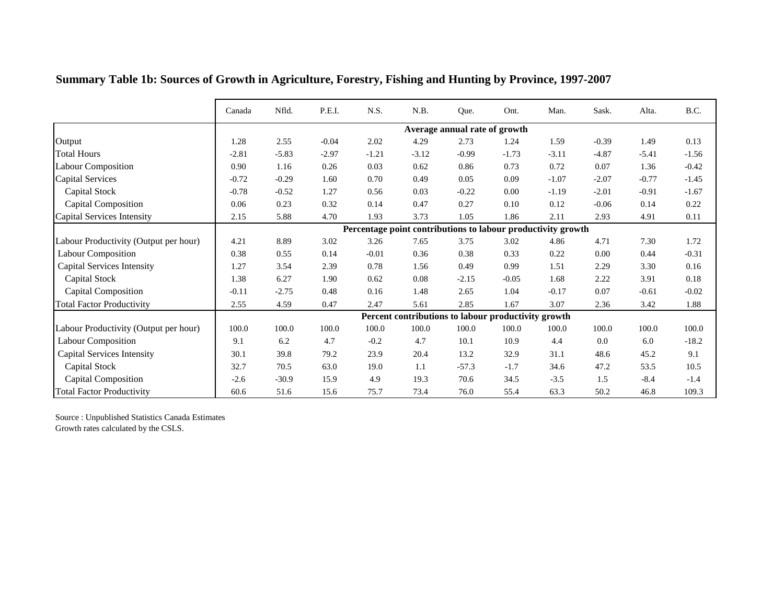|                                       | Canada  | Nfld.   | P.E.I.  | N.S.    | N.B.     | Que.                          | Ont.                                                         | Man.    | Sask.   | Alta.   | B.C.    |
|---------------------------------------|---------|---------|---------|---------|----------|-------------------------------|--------------------------------------------------------------|---------|---------|---------|---------|
|                                       |         |         |         |         |          | Average annual rate of growth |                                                              |         |         |         |         |
| Output                                | 1.28    | 2.55    | $-0.04$ | 2.02    | 4.29     | 2.73                          | 1.24                                                         | 1.59    | $-0.39$ | 1.49    | 0.13    |
| <b>Total Hours</b>                    | $-2.81$ | $-5.83$ | $-2.97$ | $-1.21$ | $-3.12$  | $-0.99$                       | $-1.73$                                                      | $-3.11$ | $-4.87$ | $-5.41$ | $-1.56$ |
| <b>Labour Composition</b>             | 0.90    | 1.16    | 0.26    | 0.03    | 0.62     | 0.86                          | 0.73                                                         | 0.72    | 0.07    | 1.36    | $-0.42$ |
| <b>Capital Services</b>               | $-0.72$ | $-0.29$ | 1.60    | 0.70    | 0.49     | 0.05                          | 0.09                                                         | $-1.07$ | $-2.07$ | $-0.77$ | $-1.45$ |
| <b>Capital Stock</b>                  | $-0.78$ | $-0.52$ | 1.27    | 0.56    | 0.03     | $-0.22$                       | $0.00\,$                                                     | $-1.19$ | $-2.01$ | $-0.91$ | $-1.67$ |
| <b>Capital Composition</b>            | 0.06    | 0.23    | 0.32    | 0.14    | 0.47     | 0.27                          | 0.10                                                         | 0.12    | $-0.06$ | 0.14    | 0.22    |
| Capital Services Intensity            | 2.15    | 5.88    | 4.70    | 1.93    | 3.73     | 1.05                          | 1.86                                                         | 2.11    | 2.93    | 4.91    | 0.11    |
|                                       |         |         |         |         |          |                               | Percentage point contributions to labour productivity growth |         |         |         |         |
| Labour Productivity (Output per hour) | 4.21    | 8.89    | 3.02    | 3.26    | 7.65     | 3.75                          | 3.02                                                         | 4.86    | 4.71    | 7.30    | 1.72    |
| <b>Labour Composition</b>             | 0.38    | 0.55    | 0.14    | $-0.01$ | 0.36     | 0.38                          | 0.33                                                         | 0.22    | 0.00    | 0.44    | $-0.31$ |
| <b>Capital Services Intensity</b>     | 1.27    | 3.54    | 2.39    | 0.78    | 1.56     | 0.49                          | 0.99                                                         | 1.51    | 2.29    | 3.30    | 0.16    |
| Capital Stock                         | 1.38    | 6.27    | 1.90    | 0.62    | $0.08\,$ | $-2.15$                       | $-0.05$                                                      | 1.68    | 2.22    | 3.91    | 0.18    |
| <b>Capital Composition</b>            | $-0.11$ | $-2.75$ | 0.48    | 0.16    | 1.48     | 2.65                          | 1.04                                                         | $-0.17$ | 0.07    | $-0.61$ | $-0.02$ |
| <b>Total Factor Productivity</b>      | 2.55    | 4.59    | 0.47    | 2.47    | 5.61     | 2.85                          | 1.67                                                         | 3.07    | 2.36    | 3.42    | 1.88    |
|                                       |         |         |         |         |          |                               | Percent contributions to labour productivity growth          |         |         |         |         |
| Labour Productivity (Output per hour) | 100.0   | 100.0   | 100.0   | 100.0   | 100.0    | 100.0                         | 100.0                                                        | 100.0   | 100.0   | 100.0   | 100.0   |
| <b>Labour Composition</b>             | 9.1     | 6.2     | 4.7     | $-0.2$  | 4.7      | 10.1                          | 10.9                                                         | 4.4     | 0.0     | 6.0     | $-18.2$ |
| <b>Capital Services Intensity</b>     | 30.1    | 39.8    | 79.2    | 23.9    | 20.4     | 13.2                          | 32.9                                                         | 31.1    | 48.6    | 45.2    | 9.1     |
| <b>Capital Stock</b>                  | 32.7    | 70.5    | 63.0    | 19.0    | 1.1      | $-57.3$                       | $-1.7$                                                       | 34.6    | 47.2    | 53.5    | 10.5    |
| <b>Capital Composition</b>            | $-2.6$  | $-30.9$ | 15.9    | 4.9     | 19.3     | 70.6                          | 34.5                                                         | $-3.5$  | 1.5     | $-8.4$  | $-1.4$  |
| <b>Total Factor Productivity</b>      | 60.6    | 51.6    | 15.6    | 75.7    | 73.4     | 76.0                          | 55.4                                                         | 63.3    | 50.2    | 46.8    | 109.3   |

**Summary Table 1b: Sources of Growth in Agriculture, Forestry, Fishing and Hunting by Province, 1997-2007**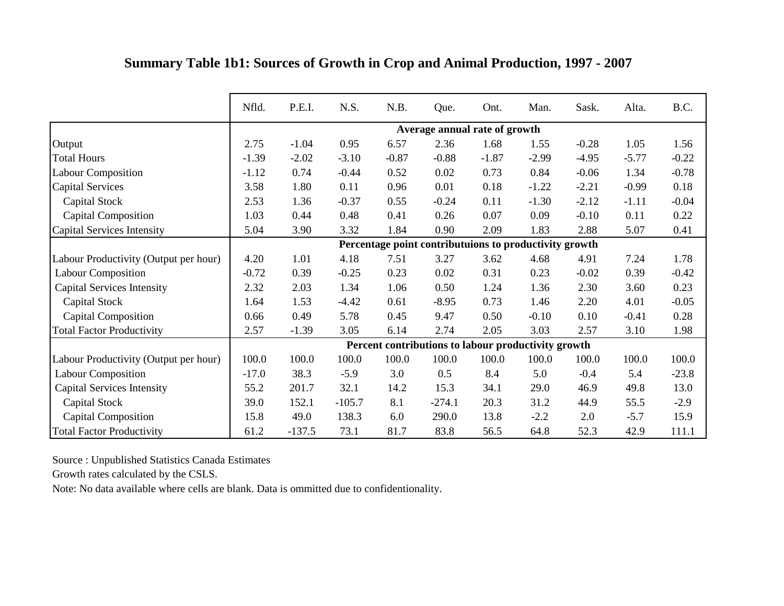|  | Summary Table 1b1: Sources of Growth in Crop and Animal Production, 1997 - 2007 |  |  |  |
|--|---------------------------------------------------------------------------------|--|--|--|
|  |                                                                                 |  |  |  |

|                                       | Nfld.   | P.E.I.   | N.S.     | N.B.    | Que.                          | Ont.    | Man.                                                   | Sask.   | Alta.   | B.C.    |
|---------------------------------------|---------|----------|----------|---------|-------------------------------|---------|--------------------------------------------------------|---------|---------|---------|
|                                       |         |          |          |         | Average annual rate of growth |         |                                                        |         |         |         |
| Output                                | 2.75    | $-1.04$  | 0.95     | 6.57    | 2.36                          | 1.68    | 1.55                                                   | $-0.28$ | 1.05    | 1.56    |
| <b>Total Hours</b>                    | $-1.39$ | $-2.02$  | $-3.10$  | $-0.87$ | $-0.88$                       | $-1.87$ | $-2.99$                                                | $-4.95$ | $-5.77$ | $-0.22$ |
| <b>Labour Composition</b>             | $-1.12$ | 0.74     | $-0.44$  | 0.52    | 0.02                          | 0.73    | 0.84                                                   | $-0.06$ | 1.34    | $-0.78$ |
| <b>Capital Services</b>               | 3.58    | 1.80     | 0.11     | 0.96    | 0.01                          | 0.18    | $-1.22$                                                | $-2.21$ | $-0.99$ | 0.18    |
| Capital Stock                         | 2.53    | 1.36     | $-0.37$  | 0.55    | $-0.24$                       | 0.11    | $-1.30$                                                | $-2.12$ | $-1.11$ | $-0.04$ |
| <b>Capital Composition</b>            | 1.03    | 0.44     | 0.48     | 0.41    | 0.26                          | 0.07    | 0.09                                                   | $-0.10$ | 0.11    | 0.22    |
| Capital Services Intensity            | 5.04    | 3.90     | 3.32     | 1.84    | 0.90                          | 2.09    | 1.83                                                   | 2.88    | 5.07    | 0.41    |
|                                       |         |          |          |         |                               |         | Percentage point contributuions to productivity growth |         |         |         |
| Labour Productivity (Output per hour) | 4.20    | 1.01     | 4.18     | 7.51    | 3.27                          | 3.62    | 4.68                                                   | 4.91    | 7.24    | 1.78    |
| <b>Labour Composition</b>             | $-0.72$ | 0.39     | $-0.25$  | 0.23    | 0.02                          | 0.31    | 0.23                                                   | $-0.02$ | 0.39    | $-0.42$ |
| <b>Capital Services Intensity</b>     | 2.32    | 2.03     | 1.34     | 1.06    | 0.50                          | 1.24    | 1.36                                                   | 2.30    | 3.60    | 0.23    |
| Capital Stock                         | 1.64    | 1.53     | $-4.42$  | 0.61    | $-8.95$                       | 0.73    | 1.46                                                   | 2.20    | 4.01    | $-0.05$ |
| <b>Capital Composition</b>            | 0.66    | 0.49     | 5.78     | 0.45    | 9.47                          | 0.50    | $-0.10$                                                | 0.10    | $-0.41$ | 0.28    |
| <b>Total Factor Productivity</b>      | 2.57    | $-1.39$  | 3.05     | 6.14    | 2.74                          | 2.05    | 3.03                                                   | 2.57    | 3.10    | 1.98    |
|                                       |         |          |          |         |                               |         | Percent contributions to labour productivity growth    |         |         |         |
| Labour Productivity (Output per hour) | 100.0   | 100.0    | 100.0    | 100.0   | 100.0                         | 100.0   | 100.0                                                  | 100.0   | 100.0   | 100.0   |
| <b>Labour Composition</b>             | $-17.0$ | 38.3     | $-5.9$   | 3.0     | 0.5                           | 8.4     | 5.0                                                    | $-0.4$  | 5.4     | $-23.8$ |
| <b>Capital Services Intensity</b>     | 55.2    | 201.7    | 32.1     | 14.2    | 15.3                          | 34.1    | 29.0                                                   | 46.9    | 49.8    | 13.0    |
| Capital Stock                         | 39.0    | 152.1    | $-105.7$ | 8.1     | $-274.1$                      | 20.3    | 31.2                                                   | 44.9    | 55.5    | $-2.9$  |
| <b>Capital Composition</b>            | 15.8    | 49.0     | 138.3    | 6.0     | 290.0                         | 13.8    | $-2.2$                                                 | 2.0     | $-5.7$  | 15.9    |
| <b>Total Factor Productivity</b>      | 61.2    | $-137.5$ | 73.1     | 81.7    | 83.8                          | 56.5    | 64.8                                                   | 52.3    | 42.9    | 111.1   |

Growth rates calculated by the CSLS.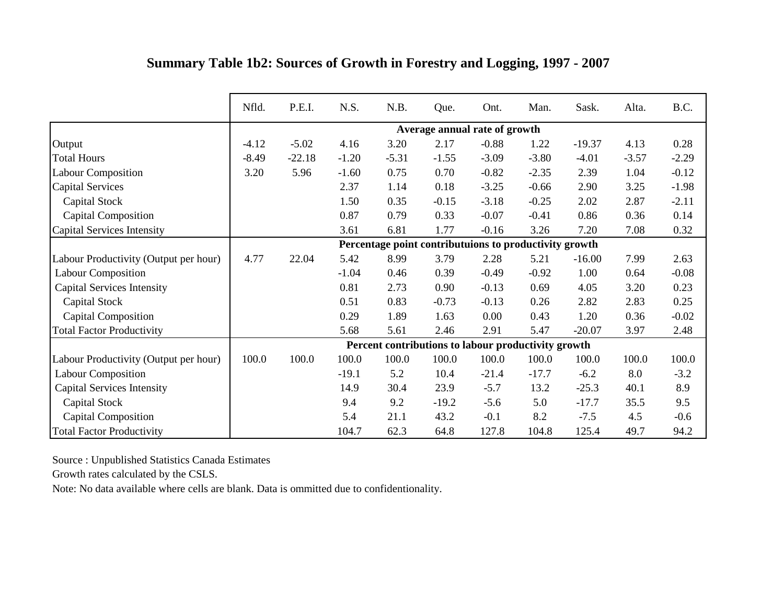|  | Summary Table 1b2: Sources of Growth in Forestry and Logging, 1997 - 2007 |  |  |  |  |
|--|---------------------------------------------------------------------------|--|--|--|--|
|  |                                                                           |  |  |  |  |

|                                       | Nfld.   | P.E.I.   | N.S.    | N.B.                                                   | Que.                          | Ont.    | Man.    | Sask.    | Alta.   | B.C.    |
|---------------------------------------|---------|----------|---------|--------------------------------------------------------|-------------------------------|---------|---------|----------|---------|---------|
|                                       |         |          |         |                                                        | Average annual rate of growth |         |         |          |         |         |
| Output                                | $-4.12$ | $-5.02$  | 4.16    | 3.20                                                   | 2.17                          | $-0.88$ | 1.22    | $-19.37$ | 4.13    | 0.28    |
| <b>Total Hours</b>                    | $-8.49$ | $-22.18$ | $-1.20$ | $-5.31$                                                | $-1.55$                       | $-3.09$ | $-3.80$ | $-4.01$  | $-3.57$ | $-2.29$ |
| <b>Labour Composition</b>             | 3.20    | 5.96     | $-1.60$ | 0.75                                                   | 0.70                          | $-0.82$ | $-2.35$ | 2.39     | 1.04    | $-0.12$ |
| <b>Capital Services</b>               |         |          | 2.37    | 1.14                                                   | 0.18                          | $-3.25$ | $-0.66$ | 2.90     | 3.25    | $-1.98$ |
| Capital Stock                         |         |          | 1.50    | 0.35                                                   | $-0.15$                       | $-3.18$ | $-0.25$ | 2.02     | 2.87    | $-2.11$ |
| <b>Capital Composition</b>            |         |          | 0.87    | 0.79                                                   | 0.33                          | $-0.07$ | $-0.41$ | 0.86     | 0.36    | 0.14    |
| Capital Services Intensity            |         |          | 3.61    | 6.81                                                   | 1.77                          | $-0.16$ | 3.26    | 7.20     | 7.08    | 0.32    |
|                                       |         |          |         | Percentage point contributuions to productivity growth |                               |         |         |          |         |         |
| Labour Productivity (Output per hour) | 4.77    | 22.04    | 5.42    | 8.99                                                   | 3.79                          | 2.28    | 5.21    | $-16.00$ | 7.99    | 2.63    |
| <b>Labour Composition</b>             |         |          | $-1.04$ | 0.46                                                   | 0.39                          | $-0.49$ | $-0.92$ | 1.00     | 0.64    | $-0.08$ |
| <b>Capital Services Intensity</b>     |         |          | 0.81    | 2.73                                                   | 0.90                          | $-0.13$ | 0.69    | 4.05     | 3.20    | 0.23    |
| <b>Capital Stock</b>                  |         |          | 0.51    | 0.83                                                   | $-0.73$                       | $-0.13$ | 0.26    | 2.82     | 2.83    | 0.25    |
| <b>Capital Composition</b>            |         |          | 0.29    | 1.89                                                   | 1.63                          | 0.00    | 0.43    | 1.20     | 0.36    | $-0.02$ |
| <b>Total Factor Productivity</b>      |         |          | 5.68    | 5.61                                                   | 2.46                          | 2.91    | 5.47    | $-20.07$ | 3.97    | 2.48    |
|                                       |         |          |         | Percent contributions to labour productivity growth    |                               |         |         |          |         |         |
| Labour Productivity (Output per hour) | 100.0   | 100.0    | 100.0   | 100.0                                                  | 100.0                         | 100.0   | 100.0   | 100.0    | 100.0   | 100.0   |
| <b>Labour Composition</b>             |         |          | $-19.1$ | 5.2                                                    | 10.4                          | $-21.4$ | $-17.7$ | $-6.2$   | 8.0     | $-3.2$  |
| <b>Capital Services Intensity</b>     |         |          | 14.9    | 30.4                                                   | 23.9                          | $-5.7$  | 13.2    | $-25.3$  | 40.1    | 8.9     |
| Capital Stock                         |         |          | 9.4     | 9.2                                                    | $-19.2$                       | $-5.6$  | 5.0     | $-17.7$  | 35.5    | 9.5     |
| <b>Capital Composition</b>            |         |          | 5.4     | 21.1                                                   | 43.2                          | $-0.1$  | 8.2     | $-7.5$   | 4.5     | $-0.6$  |
| <b>Total Factor Productivity</b>      |         |          | 104.7   | 62.3                                                   | 64.8                          | 127.8   | 104.8   | 125.4    | 49.7    | 94.2    |

Growth rates calculated by the CSLS.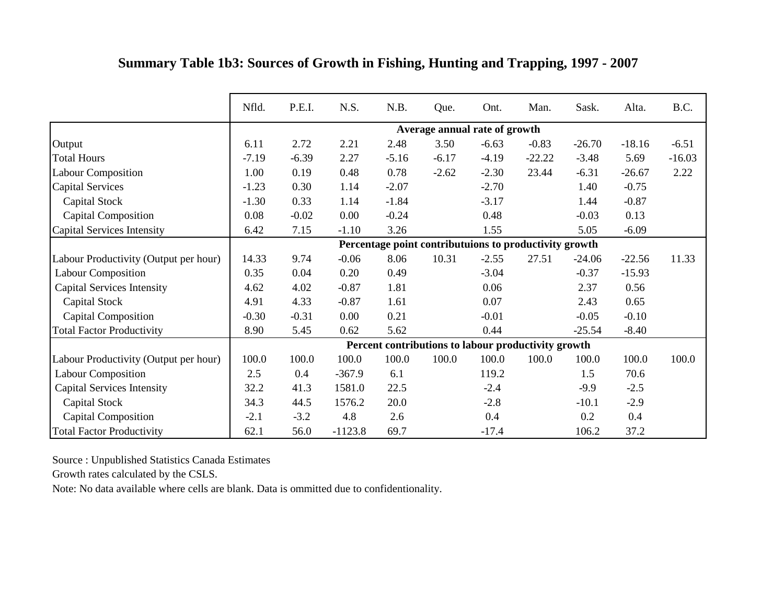|                                       | Nfld.   | P.E.I.  | N.S.      | N.B.    | Que.                                                   | Ont.    | Man.     | Sask.    | Alta.    | B.C.     |
|---------------------------------------|---------|---------|-----------|---------|--------------------------------------------------------|---------|----------|----------|----------|----------|
|                                       |         |         |           |         | Average annual rate of growth                          |         |          |          |          |          |
| Output                                | 6.11    | 2.72    | 2.21      | 2.48    | 3.50                                                   | $-6.63$ | $-0.83$  | $-26.70$ | $-18.16$ | $-6.51$  |
| <b>Total Hours</b>                    | $-7.19$ | $-6.39$ | 2.27      | $-5.16$ | $-6.17$                                                | $-4.19$ | $-22.22$ | $-3.48$  | 5.69     | $-16.03$ |
| <b>Labour Composition</b>             | 1.00    | 0.19    | 0.48      | 0.78    | $-2.62$                                                | $-2.30$ | 23.44    | $-6.31$  | $-26.67$ | 2.22     |
| <b>Capital Services</b>               | $-1.23$ | 0.30    | 1.14      | $-2.07$ |                                                        | $-2.70$ |          | 1.40     | $-0.75$  |          |
| Capital Stock                         | $-1.30$ | 0.33    | 1.14      | $-1.84$ |                                                        | $-3.17$ |          | 1.44     | $-0.87$  |          |
| <b>Capital Composition</b>            | 0.08    | $-0.02$ | 0.00      | $-0.24$ |                                                        | 0.48    |          | $-0.03$  | 0.13     |          |
| <b>Capital Services Intensity</b>     | 6.42    | 7.15    | $-1.10$   | 3.26    |                                                        | 1.55    |          | 5.05     | $-6.09$  |          |
|                                       |         |         |           |         | Percentage point contributuions to productivity growth |         |          |          |          |          |
| Labour Productivity (Output per hour) | 14.33   | 9.74    | $-0.06$   | 8.06    | 10.31                                                  | $-2.55$ | 27.51    | $-24.06$ | $-22.56$ | 11.33    |
| <b>Labour Composition</b>             | 0.35    | 0.04    | 0.20      | 0.49    |                                                        | $-3.04$ |          | $-0.37$  | $-15.93$ |          |
| <b>Capital Services Intensity</b>     | 4.62    | 4.02    | $-0.87$   | 1.81    |                                                        | 0.06    |          | 2.37     | 0.56     |          |
| Capital Stock                         | 4.91    | 4.33    | $-0.87$   | 1.61    |                                                        | 0.07    |          | 2.43     | 0.65     |          |
| <b>Capital Composition</b>            | $-0.30$ | $-0.31$ | 0.00      | 0.21    |                                                        | $-0.01$ |          | $-0.05$  | $-0.10$  |          |
| <b>Total Factor Productivity</b>      | 8.90    | 5.45    | 0.62      | 5.62    |                                                        | 0.44    |          | $-25.54$ | $-8.40$  |          |
|                                       |         |         |           |         | Percent contributions to labour productivity growth    |         |          |          |          |          |
| Labour Productivity (Output per hour) | 100.0   | 100.0   | 100.0     | 100.0   | 100.0                                                  | 100.0   | 100.0    | 100.0    | 100.0    | 100.0    |
| Labour Composition                    | 2.5     | 0.4     | $-367.9$  | 6.1     |                                                        | 119.2   |          | 1.5      | 70.6     |          |
| <b>Capital Services Intensity</b>     | 32.2    | 41.3    | 1581.0    | 22.5    |                                                        | $-2.4$  |          | $-9.9$   | $-2.5$   |          |
| Capital Stock                         | 34.3    | 44.5    | 1576.2    | 20.0    |                                                        | $-2.8$  |          | $-10.1$  | $-2.9$   |          |
| <b>Capital Composition</b>            | $-2.1$  | $-3.2$  | 4.8       | 2.6     |                                                        | 0.4     |          | 0.2      | 0.4      |          |
| <b>Total Factor Productivity</b>      | 62.1    | 56.0    | $-1123.8$ | 69.7    |                                                        | $-17.4$ |          | 106.2    | 37.2     |          |

## **Summary Table 1b3: Sources of Growth in Fishing, Hunting and Trapping, 1997 - 2007**

Source : Unpublished Statistics Canada Estimates

Growth rates calculated by the CSLS.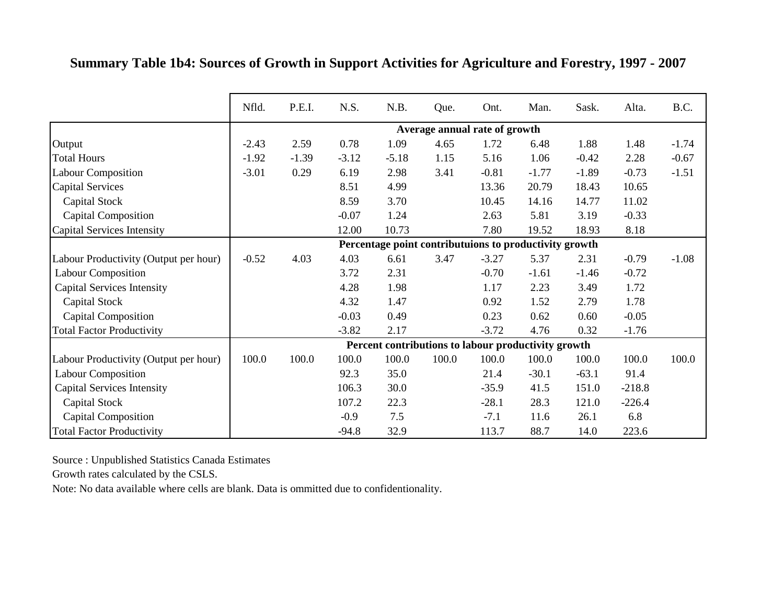|  |  |  |  | Summary Table 1b4: Sources of Growth in Support Activities for Agriculture and Forestry, 1997 - 2007 |  |  |  |
|--|--|--|--|------------------------------------------------------------------------------------------------------|--|--|--|
|  |  |  |  |                                                                                                      |  |  |  |

|                                       | Nfld.   | P.E.I.  | N.S.    | N.B.                                                   | Que.                          | Ont.    | Man.    | Sask.   | Alta.    | B.C.    |
|---------------------------------------|---------|---------|---------|--------------------------------------------------------|-------------------------------|---------|---------|---------|----------|---------|
|                                       |         |         |         |                                                        | Average annual rate of growth |         |         |         |          |         |
| Output                                | $-2.43$ | 2.59    | 0.78    | 1.09                                                   | 4.65                          | 1.72    | 6.48    | 1.88    | 1.48     | $-1.74$ |
| <b>Total Hours</b>                    | $-1.92$ | $-1.39$ | $-3.12$ | $-5.18$                                                | 1.15                          | 5.16    | 1.06    | $-0.42$ | 2.28     | $-0.67$ |
| <b>Labour Composition</b>             | $-3.01$ | 0.29    | 6.19    | 2.98                                                   | 3.41                          | $-0.81$ | $-1.77$ | $-1.89$ | $-0.73$  | $-1.51$ |
| <b>Capital Services</b>               |         |         | 8.51    | 4.99                                                   |                               | 13.36   | 20.79   | 18.43   | 10.65    |         |
| Capital Stock                         |         |         | 8.59    | 3.70                                                   |                               | 10.45   | 14.16   | 14.77   | 11.02    |         |
| <b>Capital Composition</b>            |         |         | $-0.07$ | 1.24                                                   |                               | 2.63    | 5.81    | 3.19    | $-0.33$  |         |
| Capital Services Intensity            |         |         | 12.00   | 10.73                                                  |                               | 7.80    | 19.52   | 18.93   | 8.18     |         |
|                                       |         |         |         | Percentage point contributuions to productivity growth |                               |         |         |         |          |         |
| Labour Productivity (Output per hour) | $-0.52$ | 4.03    | 4.03    | 6.61                                                   | 3.47                          | $-3.27$ | 5.37    | 2.31    | $-0.79$  | $-1.08$ |
| <b>Labour Composition</b>             |         |         | 3.72    | 2.31                                                   |                               | $-0.70$ | $-1.61$ | $-1.46$ | $-0.72$  |         |
| <b>Capital Services Intensity</b>     |         |         | 4.28    | 1.98                                                   |                               | 1.17    | 2.23    | 3.49    | 1.72     |         |
| Capital Stock                         |         |         | 4.32    | 1.47                                                   |                               | 0.92    | 1.52    | 2.79    | 1.78     |         |
| <b>Capital Composition</b>            |         |         | $-0.03$ | 0.49                                                   |                               | 0.23    | 0.62    | 0.60    | $-0.05$  |         |
| <b>Total Factor Productivity</b>      |         |         | $-3.82$ | 2.17                                                   |                               | $-3.72$ | 4.76    | 0.32    | $-1.76$  |         |
|                                       |         |         |         | Percent contributions to labour productivity growth    |                               |         |         |         |          |         |
| Labour Productivity (Output per hour) | 100.0   | 100.0   | 100.0   | 100.0                                                  | 100.0                         | 100.0   | 100.0   | 100.0   | 100.0    | 100.0   |
| Labour Composition                    |         |         | 92.3    | 35.0                                                   |                               | 21.4    | $-30.1$ | $-63.1$ | 91.4     |         |
| <b>Capital Services Intensity</b>     |         |         | 106.3   | 30.0                                                   |                               | $-35.9$ | 41.5    | 151.0   | $-218.8$ |         |
| Capital Stock                         |         |         | 107.2   | 22.3                                                   |                               | $-28.1$ | 28.3    | 121.0   | $-226.4$ |         |
| <b>Capital Composition</b>            |         |         | $-0.9$  | 7.5                                                    |                               | $-7.1$  | 11.6    | 26.1    | 6.8      |         |
| <b>Total Factor Productivity</b>      |         |         | $-94.8$ | 32.9                                                   |                               | 113.7   | 88.7    | 14.0    | 223.6    |         |

Growth rates calculated by the CSLS.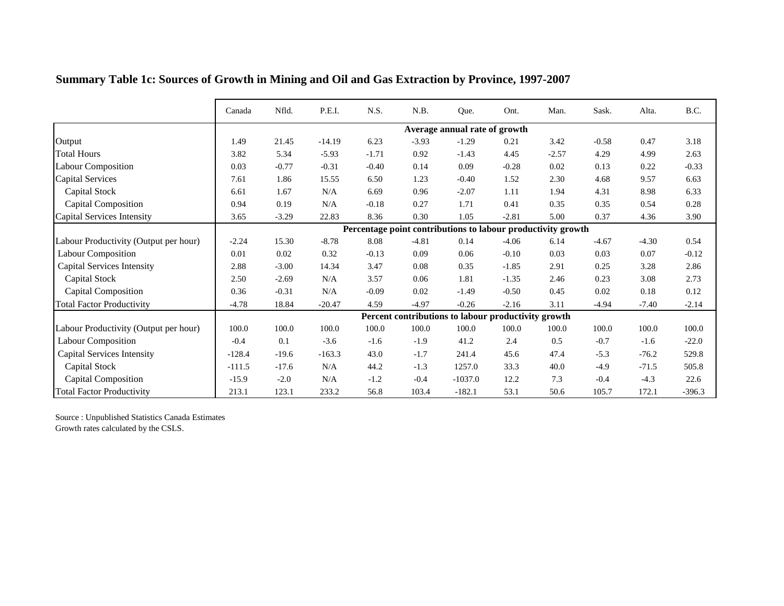|                                       | Canada   | Nfld.    | P.E.I.   | N.S.    | N.B.    | Que.                                                         | Ont.    | Man.    | Sask.    | Alta.   | B.C.     |
|---------------------------------------|----------|----------|----------|---------|---------|--------------------------------------------------------------|---------|---------|----------|---------|----------|
|                                       |          |          |          |         |         | Average annual rate of growth                                |         |         |          |         |          |
| Output                                | 1.49     | 21.45    | $-14.19$ | 6.23    | $-3.93$ | $-1.29$                                                      | 0.21    | 3.42    | $-0.58$  | 0.47    | 3.18     |
| <b>Total Hours</b>                    | 3.82     | 5.34     | $-5.93$  | $-1.71$ | 0.92    | $-1.43$                                                      | 4.45    | $-2.57$ | 4.29     | 4.99    | 2.63     |
| <b>Labour Composition</b>             | 0.03     | $-0.77$  | $-0.31$  | $-0.40$ | 0.14    | 0.09                                                         | $-0.28$ | 0.02    | 0.13     | 0.22    | $-0.33$  |
| <b>Capital Services</b>               | 7.61     | 1.86     | 15.55    | 6.50    | 1.23    | $-0.40$                                                      | 1.52    | 2.30    | 4.68     | 9.57    | 6.63     |
| Capital Stock                         | 6.61     | 1.67     | N/A      | 6.69    | 0.96    | $-2.07$                                                      | 1.11    | 1.94    | 4.31     | 8.98    | 6.33     |
| Capital Composition                   | 0.94     | 0.19     | N/A      | $-0.18$ | 0.27    | 1.71                                                         | 0.41    | 0.35    | 0.35     | 0.54    | 0.28     |
| Capital Services Intensity            | 3.65     | $-3.29$  | 22.83    | 8.36    | 0.30    | 1.05                                                         | $-2.81$ | 5.00    | 0.37     | 4.36    | 3.90     |
|                                       |          |          |          |         |         | Percentage point contributions to labour productivity growth |         |         |          |         |          |
| Labour Productivity (Output per hour) | $-2.24$  | 15.30    | $-8.78$  | 8.08    | $-4.81$ | 0.14                                                         | $-4.06$ | 6.14    | $-4.67$  | $-4.30$ | 0.54     |
| <b>Labour Composition</b>             | $0.01\,$ | $0.02\,$ | 0.32     | $-0.13$ | 0.09    | 0.06                                                         | $-0.10$ | 0.03    | 0.03     | 0.07    | $-0.12$  |
| <b>Capital Services Intensity</b>     | 2.88     | $-3.00$  | 14.34    | 3.47    | 0.08    | 0.35                                                         | $-1.85$ | 2.91    | 0.25     | 3.28    | 2.86     |
| Capital Stock                         | 2.50     | $-2.69$  | N/A      | 3.57    | 0.06    | 1.81                                                         | $-1.35$ | 2.46    | 0.23     | 3.08    | 2.73     |
| <b>Capital Composition</b>            | 0.36     | $-0.31$  | N/A      | $-0.09$ | 0.02    | $-1.49$                                                      | $-0.50$ | 0.45    | $0.02\,$ | 0.18    | 0.12     |
| <b>Total Factor Productivity</b>      | $-4.78$  | 18.84    | $-20.47$ | 4.59    | $-4.97$ | $-0.26$                                                      | $-2.16$ | 3.11    | $-4.94$  | $-7.40$ | $-2.14$  |
|                                       |          |          |          |         |         | Percent contributions to labour productivity growth          |         |         |          |         |          |
| Labour Productivity (Output per hour) | 100.0    | 100.0    | 100.0    | 100.0   | 100.0   | 100.0                                                        | 100.0   | 100.0   | 100.0    | 100.0   | 100.0    |
| <b>Labour Composition</b>             | $-0.4$   | 0.1      | $-3.6$   | $-1.6$  | $-1.9$  | 41.2                                                         | 2.4     | 0.5     | $-0.7$   | $-1.6$  | $-22.0$  |
| <b>Capital Services Intensity</b>     | $-128.4$ | $-19.6$  | $-163.3$ | 43.0    | $-1.7$  | 241.4                                                        | 45.6    | 47.4    | $-5.3$   | $-76.2$ | 529.8    |
| <b>Capital Stock</b>                  | $-111.5$ | $-17.6$  | N/A      | 44.2    | $-1.3$  | 1257.0                                                       | 33.3    | 40.0    | $-4.9$   | $-71.5$ | 505.8    |
| <b>Capital Composition</b>            | $-15.9$  | $-2.0$   | N/A      | $-1.2$  | $-0.4$  | $-1037.0$                                                    | 12.2    | 7.3     | $-0.4$   | $-4.3$  | 22.6     |
| <b>Total Factor Productivity</b>      | 213.1    | 123.1    | 233.2    | 56.8    | 103.4   | $-182.1$                                                     | 53.1    | 50.6    | 105.7    | 172.1   | $-396.3$ |

## **Summary Table 1c: Sources of Growth in Mining and Oil and Gas Extraction by Province, 1997-2007**

Source : Unpublished Statistics Canada Estimates Growth rates calculated by the CSLS.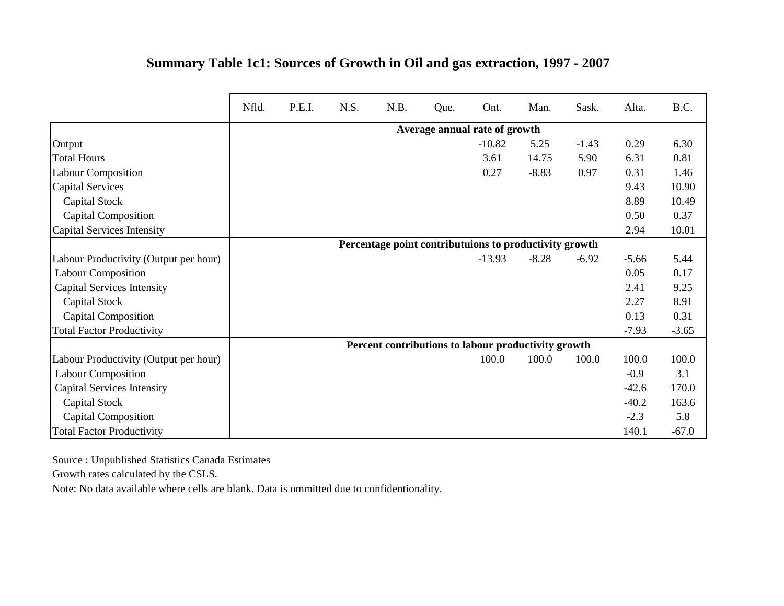|                                       | Nfld. | P.E.I. | N.S. | N.B. | Que. | Ont.                                                   | Man.    | Sask.   | Alta.   | B.C.    |
|---------------------------------------|-------|--------|------|------|------|--------------------------------------------------------|---------|---------|---------|---------|
|                                       |       |        |      |      |      | Average annual rate of growth                          |         |         |         |         |
| Output                                |       |        |      |      |      | $-10.82$                                               | 5.25    | $-1.43$ | 0.29    | 6.30    |
| <b>Total Hours</b>                    |       |        |      |      |      | 3.61                                                   | 14.75   | 5.90    | 6.31    | 0.81    |
| <b>Labour Composition</b>             |       |        |      |      |      | 0.27                                                   | $-8.83$ | 0.97    | 0.31    | 1.46    |
| <b>Capital Services</b>               |       |        |      |      |      |                                                        |         |         | 9.43    | 10.90   |
| Capital Stock                         |       |        |      |      |      |                                                        |         |         | 8.89    | 10.49   |
| <b>Capital Composition</b>            |       |        |      |      |      |                                                        |         |         | 0.50    | 0.37    |
| <b>Capital Services Intensity</b>     |       |        |      |      |      |                                                        |         |         | 2.94    | 10.01   |
|                                       |       |        |      |      |      | Percentage point contributuions to productivity growth |         |         |         |         |
| Labour Productivity (Output per hour) |       |        |      |      |      | $-13.93$                                               | $-8.28$ | $-6.92$ | $-5.66$ | 5.44    |
| <b>Labour Composition</b>             |       |        |      |      |      |                                                        |         |         | 0.05    | 0.17    |
| <b>Capital Services Intensity</b>     |       |        |      |      |      |                                                        |         |         | 2.41    | 9.25    |
| Capital Stock                         |       |        |      |      |      |                                                        |         |         | 2.27    | 8.91    |
| <b>Capital Composition</b>            |       |        |      |      |      |                                                        |         |         | 0.13    | 0.31    |
| <b>Total Factor Productivity</b>      |       |        |      |      |      |                                                        |         |         | $-7.93$ | $-3.65$ |
|                                       |       |        |      |      |      | Percent contributions to labour productivity growth    |         |         |         |         |
| Labour Productivity (Output per hour) |       |        |      |      |      | 100.0                                                  | 100.0   | 100.0   | 100.0   | 100.0   |
| <b>Labour Composition</b>             |       |        |      |      |      |                                                        |         |         | $-0.9$  | 3.1     |
| <b>Capital Services Intensity</b>     |       |        |      |      |      |                                                        |         |         | $-42.6$ | 170.0   |
| <b>Capital Stock</b>                  |       |        |      |      |      |                                                        |         |         | $-40.2$ | 163.6   |
| <b>Capital Composition</b>            |       |        |      |      |      |                                                        |         |         | $-2.3$  | 5.8     |
| <b>Total Factor Productivity</b>      |       |        |      |      |      |                                                        |         |         | 140.1   | $-67.0$ |

## **Summary Table 1c1: Sources of Growth in Oil and gas extraction, 1997 - 2007**

Source : Unpublished Statistics Canada Estimates

Growth rates calculated by the CSLS.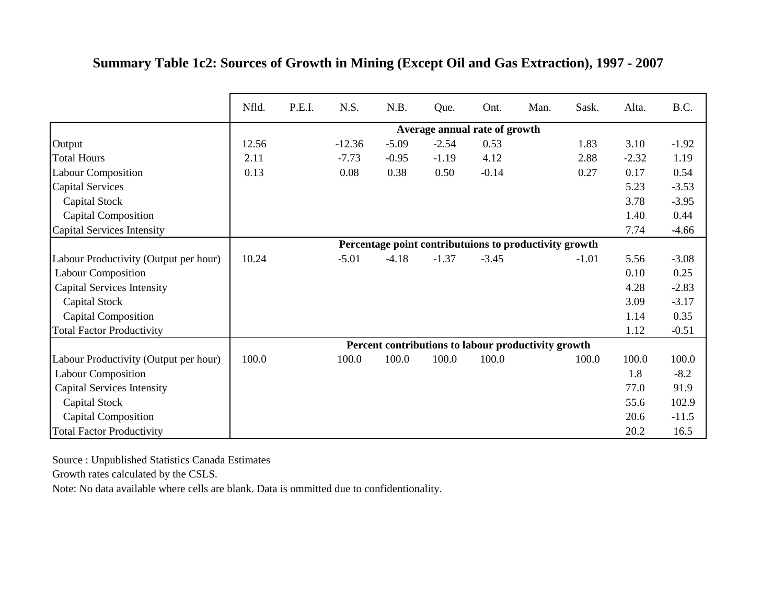|                                       | Nfld. | P.E.I. | N.S.     | N.B.    | Que.                          | Ont.    | Man.                                                   | Sask.   | Alta.   | B.C.    |
|---------------------------------------|-------|--------|----------|---------|-------------------------------|---------|--------------------------------------------------------|---------|---------|---------|
|                                       |       |        |          |         | Average annual rate of growth |         |                                                        |         |         |         |
| Output                                | 12.56 |        | $-12.36$ | $-5.09$ | $-2.54$                       | 0.53    |                                                        | 1.83    | 3.10    | $-1.92$ |
| <b>Total Hours</b>                    | 2.11  |        | $-7.73$  | $-0.95$ | $-1.19$                       | 4.12    |                                                        | 2.88    | $-2.32$ | 1.19    |
| <b>Labour Composition</b>             | 0.13  |        | 0.08     | 0.38    | 0.50                          | $-0.14$ |                                                        | 0.27    | 0.17    | 0.54    |
| <b>Capital Services</b>               |       |        |          |         |                               |         |                                                        |         | 5.23    | $-3.53$ |
| Capital Stock                         |       |        |          |         |                               |         |                                                        |         | 3.78    | $-3.95$ |
| <b>Capital Composition</b>            |       |        |          |         |                               |         |                                                        |         | 1.40    | 0.44    |
| Capital Services Intensity            |       |        |          |         |                               |         |                                                        |         | 7.74    | $-4.66$ |
|                                       |       |        |          |         |                               |         | Percentage point contributuions to productivity growth |         |         |         |
| Labour Productivity (Output per hour) | 10.24 |        | $-5.01$  | $-4.18$ | $-1.37$                       | $-3.45$ |                                                        | $-1.01$ | 5.56    | $-3.08$ |
| <b>Labour Composition</b>             |       |        |          |         |                               |         |                                                        |         | 0.10    | 0.25    |
| <b>Capital Services Intensity</b>     |       |        |          |         |                               |         |                                                        |         | 4.28    | $-2.83$ |
| Capital Stock                         |       |        |          |         |                               |         |                                                        |         | 3.09    | $-3.17$ |
| <b>Capital Composition</b>            |       |        |          |         |                               |         |                                                        |         | 1.14    | 0.35    |
| <b>Total Factor Productivity</b>      |       |        |          |         |                               |         |                                                        |         | 1.12    | $-0.51$ |
|                                       |       |        |          |         |                               |         | Percent contributions to labour productivity growth    |         |         |         |
| Labour Productivity (Output per hour) | 100.0 |        | 100.0    | 100.0   | 100.0                         | 100.0   |                                                        | 100.0   | 100.0   | 100.0   |
| <b>Labour Composition</b>             |       |        |          |         |                               |         |                                                        |         | 1.8     | $-8.2$  |
| <b>Capital Services Intensity</b>     |       |        |          |         |                               |         |                                                        |         | 77.0    | 91.9    |
| <b>Capital Stock</b>                  |       |        |          |         |                               |         |                                                        |         | 55.6    | 102.9   |
| <b>Capital Composition</b>            |       |        |          |         |                               |         |                                                        |         | 20.6    | $-11.5$ |
| <b>Total Factor Productivity</b>      |       |        |          |         |                               |         |                                                        |         | 20.2    | 16.5    |

## **Summary Table 1c2: Sources of Growth in Mining (Except Oil and Gas Extraction), 1997 - 2007**

Source : Unpublished Statistics Canada Estimates

Growth rates calculated by the CSLS.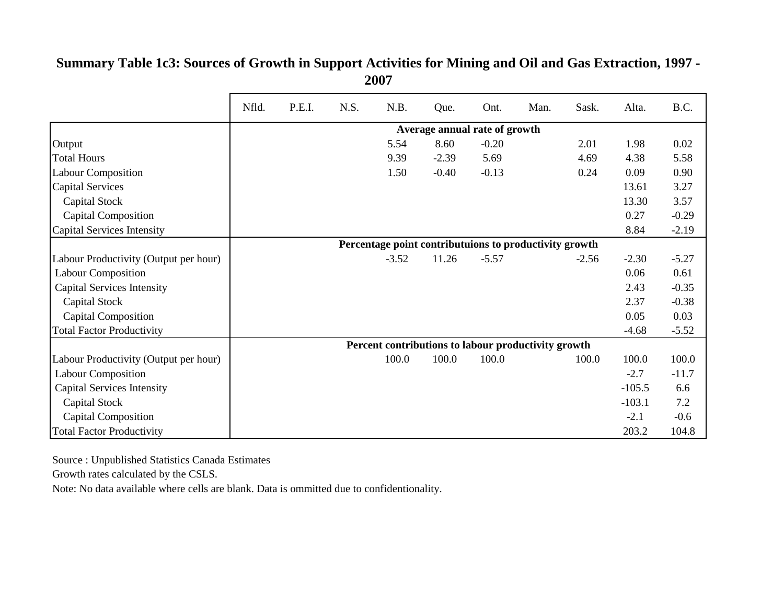|                                       | Nfld. | P.E.I. | N.S. | N.B.    | Que.                          | Ont.    | Man.                                                   | Sask.   | Alta.    | B.C.    |
|---------------------------------------|-------|--------|------|---------|-------------------------------|---------|--------------------------------------------------------|---------|----------|---------|
|                                       |       |        |      |         | Average annual rate of growth |         |                                                        |         |          |         |
| Output                                |       |        |      | 5.54    | 8.60                          | $-0.20$ |                                                        | 2.01    | 1.98     | 0.02    |
| <b>Total Hours</b>                    |       |        |      | 9.39    | $-2.39$                       | 5.69    |                                                        | 4.69    | 4.38     | 5.58    |
| <b>Labour Composition</b>             |       |        |      | 1.50    | $-0.40$                       | $-0.13$ |                                                        | 0.24    | 0.09     | 0.90    |
| <b>Capital Services</b>               |       |        |      |         |                               |         |                                                        |         | 13.61    | 3.27    |
| Capital Stock                         |       |        |      |         |                               |         |                                                        |         | 13.30    | 3.57    |
| <b>Capital Composition</b>            |       |        |      |         |                               |         |                                                        |         | 0.27     | $-0.29$ |
| <b>Capital Services Intensity</b>     |       |        |      |         |                               |         |                                                        |         | 8.84     | $-2.19$ |
|                                       |       |        |      |         |                               |         | Percentage point contributuions to productivity growth |         |          |         |
| Labour Productivity (Output per hour) |       |        |      | $-3.52$ | 11.26                         | $-5.57$ |                                                        | $-2.56$ | $-2.30$  | $-5.27$ |
| <b>Labour Composition</b>             |       |        |      |         |                               |         |                                                        |         | 0.06     | 0.61    |
| <b>Capital Services Intensity</b>     |       |        |      |         |                               |         |                                                        |         | 2.43     | $-0.35$ |
| Capital Stock                         |       |        |      |         |                               |         |                                                        |         | 2.37     | $-0.38$ |
| <b>Capital Composition</b>            |       |        |      |         |                               |         |                                                        |         | 0.05     | 0.03    |
| <b>Total Factor Productivity</b>      |       |        |      |         |                               |         |                                                        |         | $-4.68$  | $-5.52$ |
|                                       |       |        |      |         |                               |         | Percent contributions to labour productivity growth    |         |          |         |
| Labour Productivity (Output per hour) |       |        |      | 100.0   | 100.0                         | 100.0   |                                                        | 100.0   | 100.0    | 100.0   |
| <b>Labour Composition</b>             |       |        |      |         |                               |         |                                                        |         | $-2.7$   | $-11.7$ |
| <b>Capital Services Intensity</b>     |       |        |      |         |                               |         |                                                        |         | $-105.5$ | 6.6     |
| Capital Stock                         |       |        |      |         |                               |         |                                                        |         | $-103.1$ | 7.2     |
| <b>Capital Composition</b>            |       |        |      |         |                               |         |                                                        |         | $-2.1$   | $-0.6$  |
| <b>Total Factor Productivity</b>      |       |        |      |         |                               |         |                                                        |         | 203.2    | 104.8   |

#### **Summary Table 1c3: Sources of Growth in Support Activities for Mining and Oil and Gas Extraction, 1997 - 2007**

Source : Unpublished Statistics Canada Estimates

Growth rates calculated by the CSLS.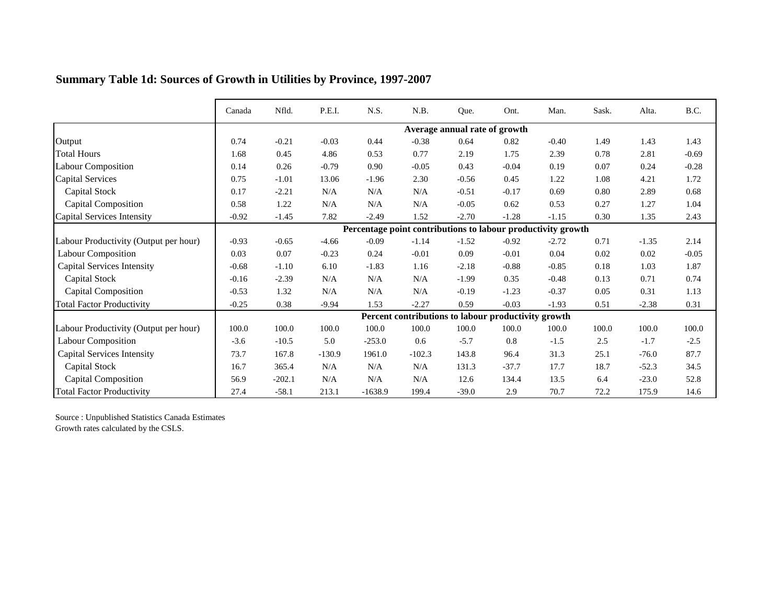|                                       | Canada  | Nfld.    | P.E.I.   | N.S.                                                         | N.B.      | Que.                          | Ont.                                                | Man.    | Sask. | Alta.   | B.C.    |
|---------------------------------------|---------|----------|----------|--------------------------------------------------------------|-----------|-------------------------------|-----------------------------------------------------|---------|-------|---------|---------|
|                                       |         |          |          |                                                              |           | Average annual rate of growth |                                                     |         |       |         |         |
| Output                                | 0.74    | $-0.21$  | $-0.03$  | 0.44                                                         | $-0.38$   | 0.64                          | 0.82                                                | $-0.40$ | 1.49  | 1.43    | 1.43    |
| <b>Total Hours</b>                    | 1.68    | 0.45     | 4.86     | 0.53                                                         | 0.77      | 2.19                          | 1.75                                                | 2.39    | 0.78  | 2.81    | $-0.69$ |
| <b>Labour Composition</b>             | 0.14    | 0.26     | $-0.79$  | 0.90                                                         | $-0.05$   | 0.43                          | $-0.04$                                             | 0.19    | 0.07  | 0.24    | $-0.28$ |
| <b>Capital Services</b>               | 0.75    | $-1.01$  | 13.06    | $-1.96$                                                      | 2.30      | $-0.56$                       | 0.45                                                | 1.22    | 1.08  | 4.21    | 1.72    |
| Capital Stock                         | 0.17    | $-2.21$  | N/A      | N/A                                                          | N/A       | $-0.51$                       | $-0.17$                                             | 0.69    | 0.80  | 2.89    | 0.68    |
| Capital Composition                   | 0.58    | 1.22     | N/A      | N/A                                                          | N/A       | $-0.05$                       | 0.62                                                | 0.53    | 0.27  | 1.27    | 1.04    |
| Capital Services Intensity            | $-0.92$ | $-1.45$  | 7.82     | $-2.49$                                                      | 1.52      | $-2.70$                       | $-1.28$                                             | $-1.15$ | 0.30  | 1.35    | 2.43    |
|                                       |         |          |          | Percentage point contributions to labour productivity growth |           |                               |                                                     |         |       |         |         |
| Labour Productivity (Output per hour) | $-0.93$ | $-0.65$  | $-4.66$  | $-0.09$                                                      | $-1.14$   | $-1.52$                       | $-0.92$                                             | $-2.72$ | 0.71  | $-1.35$ | 2.14    |
| <b>Labour Composition</b>             | 0.03    | $0.07\,$ | $-0.23$  | 0.24                                                         | $-0.01$   | 0.09                          | $-0.01$                                             | 0.04    | 0.02  | 0.02    | $-0.05$ |
| <b>Capital Services Intensity</b>     | $-0.68$ | $-1.10$  | 6.10     | $-1.83$                                                      | 1.16      | $-2.18$                       | $-0.88$                                             | $-0.85$ | 0.18  | 1.03    | 1.87    |
| <b>Capital Stock</b>                  | $-0.16$ | $-2.39$  | N/A      | N/A                                                          | N/A       | $-1.99$                       | 0.35                                                | $-0.48$ | 0.13  | 0.71    | 0.74    |
| <b>Capital Composition</b>            | $-0.53$ | 1.32     | N/A      | N/A                                                          | N/A       | $-0.19$                       | $-1.23$                                             | $-0.37$ | 0.05  | 0.31    | 1.13    |
| <b>Total Factor Productivity</b>      | $-0.25$ | 0.38     | $-9.94$  | 1.53                                                         | $-2.27$   | 0.59                          | $-0.03$                                             | $-1.93$ | 0.51  | $-2.38$ | 0.31    |
|                                       |         |          |          |                                                              |           |                               | Percent contributions to labour productivity growth |         |       |         |         |
| Labour Productivity (Output per hour) | 100.0   | 100.0    | 100.0    | 100.0                                                        | 100.0     | 100.0                         | 100.0                                               | 100.0   | 100.0 | 100.0   | 100.0   |
| <b>Labour Composition</b>             | $-3.6$  | $-10.5$  | 5.0      | $-253.0$                                                     | 0.6       | $-5.7$                        | 0.8                                                 | $-1.5$  | 2.5   | $-1.7$  | $-2.5$  |
| <b>Capital Services Intensity</b>     | 73.7    | 167.8    | $-130.9$ | 1961.0                                                       | $-102.3$  | 143.8                         | 96.4                                                | 31.3    | 25.1  | $-76.0$ | 87.7    |
| <b>Capital Stock</b>                  | 16.7    | 365.4    | N/A      | N/A                                                          | $\rm N/A$ | 131.3                         | $-37.7$                                             | 17.7    | 18.7  | $-52.3$ | 34.5    |
| <b>Capital Composition</b>            | 56.9    | $-202.1$ | N/A      | N/A                                                          | N/A       | 12.6                          | 134.4                                               | 13.5    | 6.4   | $-23.0$ | 52.8    |
| <b>Total Factor Productivity</b>      | 27.4    | $-58.1$  | 213.1    | $-1638.9$                                                    | 199.4     | $-39.0$                       | 2.9                                                 | 70.7    | 72.2  | 175.9   | 14.6    |

## **Summary Table 1d: Sources of Growth in Utilities by Province, 1997-2007**

Source : Unpublished Statistics Canada Estimates Growth rates calculated by the CSLS.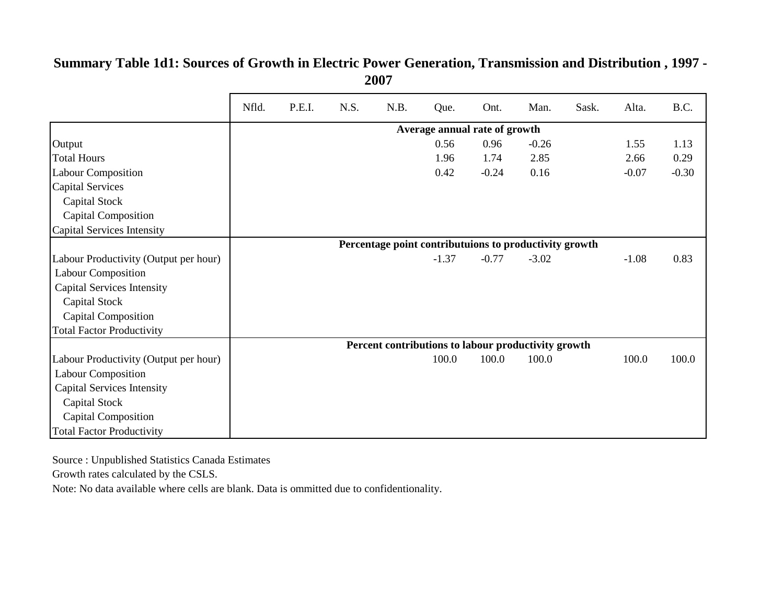|                                       | Nfld. | P.E.I. | N.S. | N.B.                                                   | Que.                          | Ont.    | Man.    | Sask. | Alta.   | B.C.    |
|---------------------------------------|-------|--------|------|--------------------------------------------------------|-------------------------------|---------|---------|-------|---------|---------|
|                                       |       |        |      |                                                        | Average annual rate of growth |         |         |       |         |         |
| Output                                |       |        |      |                                                        | 0.56                          | 0.96    | $-0.26$ |       | 1.55    | 1.13    |
| <b>Total Hours</b>                    |       |        |      |                                                        | 1.96                          | 1.74    | 2.85    |       | 2.66    | 0.29    |
| <b>Labour Composition</b>             |       |        |      |                                                        | 0.42                          | $-0.24$ | 0.16    |       | $-0.07$ | $-0.30$ |
| <b>Capital Services</b>               |       |        |      |                                                        |                               |         |         |       |         |         |
| Capital Stock                         |       |        |      |                                                        |                               |         |         |       |         |         |
| <b>Capital Composition</b>            |       |        |      |                                                        |                               |         |         |       |         |         |
| Capital Services Intensity            |       |        |      |                                                        |                               |         |         |       |         |         |
|                                       |       |        |      | Percentage point contributuions to productivity growth |                               |         |         |       |         |         |
| Labour Productivity (Output per hour) |       |        |      |                                                        | $-1.37$                       | $-0.77$ | $-3.02$ |       | $-1.08$ | 0.83    |
| <b>Labour Composition</b>             |       |        |      |                                                        |                               |         |         |       |         |         |
| <b>Capital Services Intensity</b>     |       |        |      |                                                        |                               |         |         |       |         |         |
| Capital Stock                         |       |        |      |                                                        |                               |         |         |       |         |         |
| <b>Capital Composition</b>            |       |        |      |                                                        |                               |         |         |       |         |         |
| <b>Total Factor Productivity</b>      |       |        |      |                                                        |                               |         |         |       |         |         |
|                                       |       |        |      | Percent contributions to labour productivity growth    |                               |         |         |       |         |         |
| Labour Productivity (Output per hour) |       |        |      |                                                        | 100.0                         | 100.0   | 100.0   |       | 100.0   | 100.0   |
| <b>Labour Composition</b>             |       |        |      |                                                        |                               |         |         |       |         |         |
| <b>Capital Services Intensity</b>     |       |        |      |                                                        |                               |         |         |       |         |         |
| Capital Stock                         |       |        |      |                                                        |                               |         |         |       |         |         |
| <b>Capital Composition</b>            |       |        |      |                                                        |                               |         |         |       |         |         |
| <b>Total Factor Productivity</b>      |       |        |      |                                                        |                               |         |         |       |         |         |

#### **Summary Table 1d1: Sources of Growth in Electric Power Generation, Transmission and Distribution , 1997 - 2007**

Source : Unpublished Statistics Canada Estimates

Growth rates calculated by the CSLS.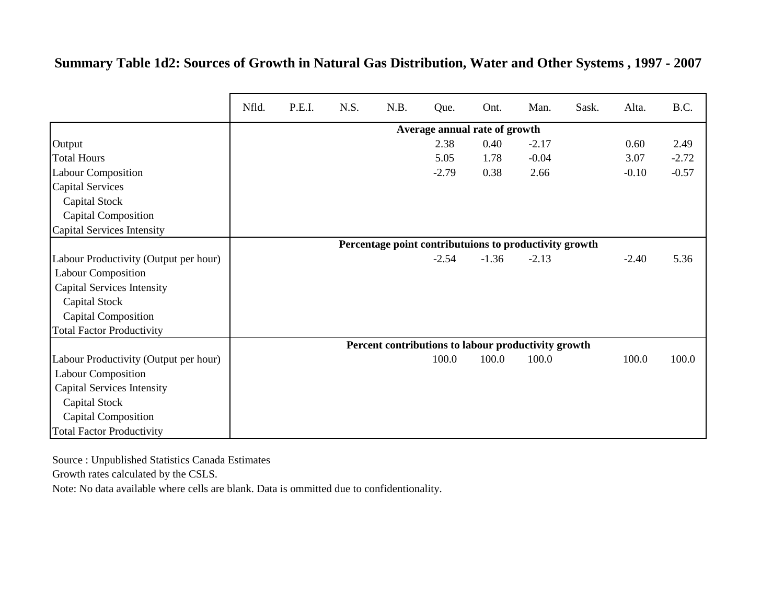#### **Summary Table 1d2: Sources of Growth in Natural Gas Distribution, Water and Other Systems , 1997 - 2007**

|                                       | Nfld. | P.E.I. | N.S. | N.B. | Que.                                                   | Ont.    | Man.    | Sask. | Alta.   | B.C.    |
|---------------------------------------|-------|--------|------|------|--------------------------------------------------------|---------|---------|-------|---------|---------|
|                                       |       |        |      |      | Average annual rate of growth                          |         |         |       |         |         |
| Output                                |       |        |      |      | 2.38                                                   | 0.40    | $-2.17$ |       | 0.60    | 2.49    |
| <b>Total Hours</b>                    |       |        |      |      | 5.05                                                   | 1.78    | $-0.04$ |       | 3.07    | $-2.72$ |
| Labour Composition                    |       |        |      |      | $-2.79$                                                | 0.38    | 2.66    |       | $-0.10$ | $-0.57$ |
| <b>Capital Services</b>               |       |        |      |      |                                                        |         |         |       |         |         |
| Capital Stock                         |       |        |      |      |                                                        |         |         |       |         |         |
| <b>Capital Composition</b>            |       |        |      |      |                                                        |         |         |       |         |         |
| Capital Services Intensity            |       |        |      |      |                                                        |         |         |       |         |         |
|                                       |       |        |      |      | Percentage point contributuions to productivity growth |         |         |       |         |         |
| Labour Productivity (Output per hour) |       |        |      |      | $-2.54$                                                | $-1.36$ | $-2.13$ |       | $-2.40$ | 5.36    |
| <b>Labour Composition</b>             |       |        |      |      |                                                        |         |         |       |         |         |
| <b>Capital Services Intensity</b>     |       |        |      |      |                                                        |         |         |       |         |         |
| Capital Stock                         |       |        |      |      |                                                        |         |         |       |         |         |
| <b>Capital Composition</b>            |       |        |      |      |                                                        |         |         |       |         |         |
| <b>Total Factor Productivity</b>      |       |        |      |      |                                                        |         |         |       |         |         |
|                                       |       |        |      |      | Percent contributions to labour productivity growth    |         |         |       |         |         |
| Labour Productivity (Output per hour) |       |        |      |      | 100.0                                                  | 100.0   | 100.0   |       | 100.0   | 100.0   |
| <b>Labour Composition</b>             |       |        |      |      |                                                        |         |         |       |         |         |
| <b>Capital Services Intensity</b>     |       |        |      |      |                                                        |         |         |       |         |         |
| Capital Stock                         |       |        |      |      |                                                        |         |         |       |         |         |
| <b>Capital Composition</b>            |       |        |      |      |                                                        |         |         |       |         |         |
| <b>Total Factor Productivity</b>      |       |        |      |      |                                                        |         |         |       |         |         |

Source : Unpublished Statistics Canada Estimates

Growth rates calculated by the CSLS.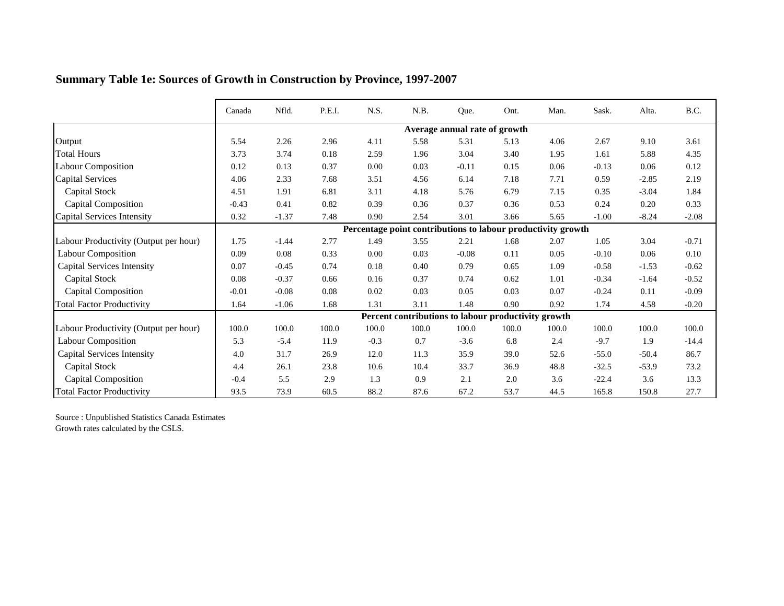|                                       | Canada  | Nfld.   | P.E.I. | N.S.   | N.B.                                                         | Que.                          | Ont.  | Man.  | Sask.   | Alta.   | B.C.    |
|---------------------------------------|---------|---------|--------|--------|--------------------------------------------------------------|-------------------------------|-------|-------|---------|---------|---------|
|                                       |         |         |        |        |                                                              | Average annual rate of growth |       |       |         |         |         |
| Output                                | 5.54    | 2.26    | 2.96   | 4.11   | 5.58                                                         | 5.31                          | 5.13  | 4.06  | 2.67    | 9.10    | 3.61    |
| <b>Total Hours</b>                    | 3.73    | 3.74    | 0.18   | 2.59   | 1.96                                                         | 3.04                          | 3.40  | 1.95  | 1.61    | 5.88    | 4.35    |
| <b>Labour Composition</b>             | 0.12    | 0.13    | 0.37   | 0.00   | 0.03                                                         | $-0.11$                       | 0.15  | 0.06  | $-0.13$ | 0.06    | 0.12    |
| <b>Capital Services</b>               | 4.06    | 2.33    | 7.68   | 3.51   | 4.56                                                         | 6.14                          | 7.18  | 7.71  | 0.59    | $-2.85$ | 2.19    |
| Capital Stock                         | 4.51    | 1.91    | 6.81   | 3.11   | 4.18                                                         | 5.76                          | 6.79  | 7.15  | 0.35    | $-3.04$ | 1.84    |
| <b>Capital Composition</b>            | $-0.43$ | 0.41    | 0.82   | 0.39   | 0.36                                                         | 0.37                          | 0.36  | 0.53  | 0.24    | 0.20    | 0.33    |
| Capital Services Intensity            | 0.32    | $-1.37$ | 7.48   | 0.90   | 2.54                                                         | 3.01                          | 3.66  | 5.65  | $-1.00$ | $-8.24$ | $-2.08$ |
|                                       |         |         |        |        | Percentage point contributions to labour productivity growth |                               |       |       |         |         |         |
| Labour Productivity (Output per hour) | 1.75    | $-1.44$ | 2.77   | 1.49   | 3.55                                                         | 2.21                          | 1.68  | 2.07  | 1.05    | 3.04    | $-0.71$ |
| <b>Labour Composition</b>             | 0.09    | 0.08    | 0.33   | 0.00   | 0.03                                                         | $-0.08$                       | 0.11  | 0.05  | $-0.10$ | 0.06    | 0.10    |
| <b>Capital Services Intensity</b>     | 0.07    | $-0.45$ | 0.74   | 0.18   | 0.40                                                         | 0.79                          | 0.65  | 1.09  | $-0.58$ | $-1.53$ | $-0.62$ |
| <b>Capital Stock</b>                  | 0.08    | $-0.37$ | 0.66   | 0.16   | 0.37                                                         | 0.74                          | 0.62  | 1.01  | $-0.34$ | $-1.64$ | $-0.52$ |
| <b>Capital Composition</b>            | $-0.01$ | $-0.08$ | 0.08   | 0.02   | 0.03                                                         | 0.05                          | 0.03  | 0.07  | $-0.24$ | 0.11    | $-0.09$ |
| <b>Total Factor Productivity</b>      | 1.64    | $-1.06$ | 1.68   | 1.31   | 3.11                                                         | 1.48                          | 0.90  | 0.92  | 1.74    | 4.58    | $-0.20$ |
|                                       |         |         |        |        | Percent contributions to labour productivity growth          |                               |       |       |         |         |         |
| Labour Productivity (Output per hour) | 100.0   | 100.0   | 100.0  | 100.0  | 100.0                                                        | 100.0                         | 100.0 | 100.0 | 100.0   | 100.0   | 100.0   |
| Labour Composition                    | 5.3     | $-5.4$  | 11.9   | $-0.3$ | 0.7                                                          | $-3.6$                        | 6.8   | 2.4   | $-9.7$  | 1.9     | $-14.4$ |
| <b>Capital Services Intensity</b>     | 4.0     | 31.7    | 26.9   | 12.0   | 11.3                                                         | 35.9                          | 39.0  | 52.6  | $-55.0$ | $-50.4$ | 86.7    |
| <b>Capital Stock</b>                  | 4.4     | 26.1    | 23.8   | 10.6   | 10.4                                                         | 33.7                          | 36.9  | 48.8  | $-32.5$ | $-53.9$ | 73.2    |
| <b>Capital Composition</b>            | $-0.4$  | 5.5     | 2.9    | 1.3    | 0.9                                                          | 2.1                           | 2.0   | 3.6   | $-22.4$ | 3.6     | 13.3    |
| <b>Total Factor Productivity</b>      | 93.5    | 73.9    | 60.5   | 88.2   | 87.6                                                         | 67.2                          | 53.7  | 44.5  | 165.8   | 150.8   | 27.7    |

## **Summary Table 1e: Sources of Growth in Construction by Province, 1997-2007**

Source : Unpublished Statistics Canada Estimates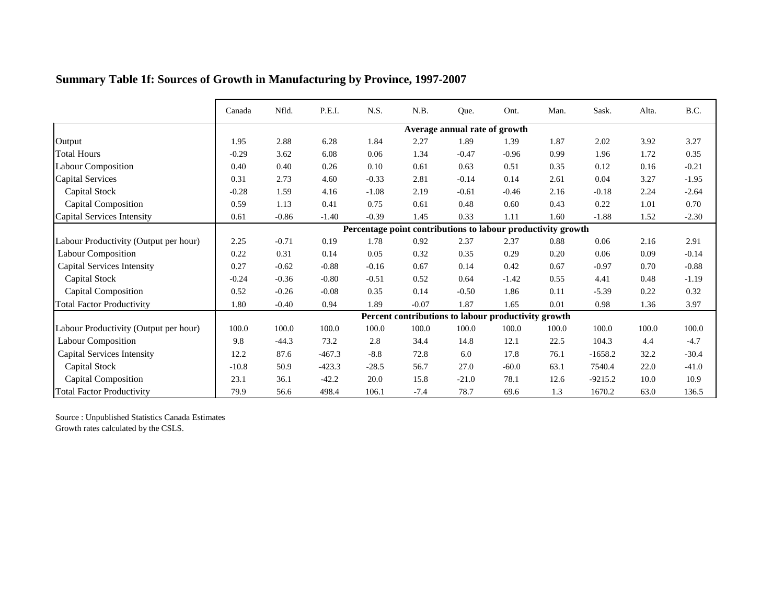|                                       | Canada  | Nfld.   | P.E.I.   | N.S.    | N.B.                                                         | Que.                          | Ont.    | Man.     | Sask.     | Alta. | B.C.    |
|---------------------------------------|---------|---------|----------|---------|--------------------------------------------------------------|-------------------------------|---------|----------|-----------|-------|---------|
|                                       |         |         |          |         |                                                              | Average annual rate of growth |         |          |           |       |         |
| Output                                | 1.95    | 2.88    | 6.28     | 1.84    | 2.27                                                         | 1.89                          | 1.39    | 1.87     | 2.02      | 3.92  | 3.27    |
| <b>Total Hours</b>                    | $-0.29$ | 3.62    | 6.08     | 0.06    | 1.34                                                         | $-0.47$                       | $-0.96$ | 0.99     | 1.96      | 1.72  | 0.35    |
| <b>Labour Composition</b>             | 0.40    | 0.40    | 0.26     | 0.10    | 0.61                                                         | 0.63                          | 0.51    | 0.35     | 0.12      | 0.16  | $-0.21$ |
| <b>Capital Services</b>               | 0.31    | 2.73    | 4.60     | $-0.33$ | 2.81                                                         | $-0.14$                       | 0.14    | 2.61     | 0.04      | 3.27  | $-1.95$ |
| Capital Stock                         | $-0.28$ | 1.59    | 4.16     | $-1.08$ | 2.19                                                         | $-0.61$                       | $-0.46$ | 2.16     | $-0.18$   | 2.24  | $-2.64$ |
| Capital Composition                   | 0.59    | 1.13    | 0.41     | 0.75    | 0.61                                                         | 0.48                          | 0.60    | 0.43     | 0.22      | 1.01  | 0.70    |
| Capital Services Intensity            | 0.61    | $-0.86$ | $-1.40$  | $-0.39$ | 1.45                                                         | 0.33                          | 1.11    | 1.60     | $-1.88$   | 1.52  | $-2.30$ |
|                                       |         |         |          |         | Percentage point contributions to labour productivity growth |                               |         |          |           |       |         |
| Labour Productivity (Output per hour) | 2.25    | $-0.71$ | 0.19     | 1.78    | 0.92                                                         | 2.37                          | 2.37    | 0.88     | 0.06      | 2.16  | 2.91    |
| <b>Labour Composition</b>             | 0.22    | 0.31    | 0.14     | 0.05    | 0.32                                                         | 0.35                          | 0.29    | 0.20     | 0.06      | 0.09  | $-0.14$ |
| <b>Capital Services Intensity</b>     | 0.27    | $-0.62$ | $-0.88$  | $-0.16$ | 0.67                                                         | 0.14                          | 0.42    | 0.67     | $-0.97$   | 0.70  | $-0.88$ |
| <b>Capital Stock</b>                  | $-0.24$ | $-0.36$ | $-0.80$  | $-0.51$ | 0.52                                                         | 0.64                          | $-1.42$ | 0.55     | 4.41      | 0.48  | $-1.19$ |
| <b>Capital Composition</b>            | 0.52    | $-0.26$ | $-0.08$  | 0.35    | 0.14                                                         | $-0.50$                       | 1.86    | 0.11     | $-5.39$   | 0.22  | 0.32    |
| <b>Total Factor Productivity</b>      | 1.80    | $-0.40$ | 0.94     | 1.89    | $-0.07$                                                      | 1.87                          | 1.65    | $0.01\,$ | 0.98      | 1.36  | 3.97    |
|                                       |         |         |          |         | Percent contributions to labour productivity growth          |                               |         |          |           |       |         |
| Labour Productivity (Output per hour) | 100.0   | 100.0   | 100.0    | 100.0   | 100.0                                                        | 100.0                         | 100.0   | 100.0    | 100.0     | 100.0 | 100.0   |
| Labour Composition                    | 9.8     | $-44.3$ | 73.2     | 2.8     | 34.4                                                         | 14.8                          | 12.1    | 22.5     | 104.3     | 4.4   | $-4.7$  |
| <b>Capital Services Intensity</b>     | 12.2    | 87.6    | $-467.3$ | $-8.8$  | 72.8                                                         | 6.0                           | 17.8    | 76.1     | $-1658.2$ | 32.2  | $-30.4$ |
| <b>Capital Stock</b>                  | $-10.8$ | 50.9    | $-423.3$ | $-28.5$ | 56.7                                                         | 27.0                          | $-60.0$ | 63.1     | 7540.4    | 22.0  | $-41.0$ |
| <b>Capital Composition</b>            | 23.1    | 36.1    | $-42.2$  | 20.0    | 15.8                                                         | $-21.0$                       | 78.1    | 12.6     | $-9215.2$ | 10.0  | 10.9    |
| <b>Total Factor Productivity</b>      | 79.9    | 56.6    | 498.4    | 106.1   | $-7.4$                                                       | 78.7                          | 69.6    | 1.3      | 1670.2    | 63.0  | 136.5   |

# **Summary Table 1f: Sources of Growth in Manufacturing by Province, 1997-2007**

Source : Unpublished Statistics Canada Estimates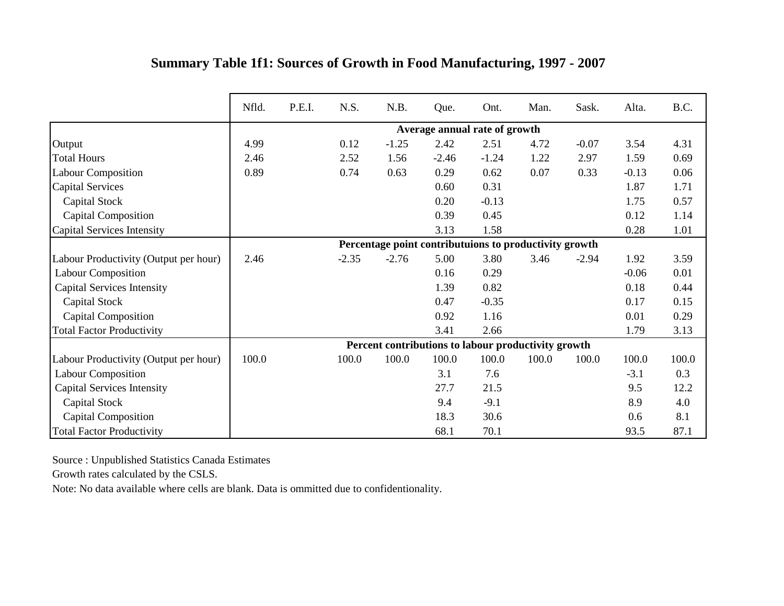|                                       | Nfld. | P.E.I. | N.S.    | N.B.    | Que.    | Ont.                                                   | Man.  | Sask.   | Alta.   | B.C.  |
|---------------------------------------|-------|--------|---------|---------|---------|--------------------------------------------------------|-------|---------|---------|-------|
|                                       |       |        |         |         |         | Average annual rate of growth                          |       |         |         |       |
| Output                                | 4.99  |        | 0.12    | $-1.25$ | 2.42    | 2.51                                                   | 4.72  | $-0.07$ | 3.54    | 4.31  |
| <b>Total Hours</b>                    | 2.46  |        | 2.52    | 1.56    | $-2.46$ | $-1.24$                                                | 1.22  | 2.97    | 1.59    | 0.69  |
| <b>Labour Composition</b>             | 0.89  |        | 0.74    | 0.63    | 0.29    | 0.62                                                   | 0.07  | 0.33    | $-0.13$ | 0.06  |
| <b>Capital Services</b>               |       |        |         |         | 0.60    | 0.31                                                   |       |         | 1.87    | 1.71  |
| Capital Stock                         |       |        |         |         | 0.20    | $-0.13$                                                |       |         | 1.75    | 0.57  |
| <b>Capital Composition</b>            |       |        |         |         | 0.39    | 0.45                                                   |       |         | 0.12    | 1.14  |
| <b>Capital Services Intensity</b>     |       |        |         |         | 3.13    | 1.58                                                   |       |         | 0.28    | 1.01  |
|                                       |       |        |         |         |         | Percentage point contributuions to productivity growth |       |         |         |       |
| Labour Productivity (Output per hour) | 2.46  |        | $-2.35$ | $-2.76$ | 5.00    | 3.80                                                   | 3.46  | $-2.94$ | 1.92    | 3.59  |
| Labour Composition                    |       |        |         |         | 0.16    | 0.29                                                   |       |         | $-0.06$ | 0.01  |
| <b>Capital Services Intensity</b>     |       |        |         |         | 1.39    | 0.82                                                   |       |         | 0.18    | 0.44  |
| Capital Stock                         |       |        |         |         | 0.47    | $-0.35$                                                |       |         | 0.17    | 0.15  |
| <b>Capital Composition</b>            |       |        |         |         | 0.92    | 1.16                                                   |       |         | 0.01    | 0.29  |
| <b>Total Factor Productivity</b>      |       |        |         |         | 3.41    | 2.66                                                   |       |         | 1.79    | 3.13  |
|                                       |       |        |         |         |         | Percent contributions to labour productivity growth    |       |         |         |       |
| Labour Productivity (Output per hour) | 100.0 |        | 100.0   | 100.0   | 100.0   | 100.0                                                  | 100.0 | 100.0   | 100.0   | 100.0 |
| <b>Labour Composition</b>             |       |        |         |         | 3.1     | 7.6                                                    |       |         | $-3.1$  | 0.3   |
| <b>Capital Services Intensity</b>     |       |        |         |         | 27.7    | 21.5                                                   |       |         | 9.5     | 12.2  |
| Capital Stock                         |       |        |         |         | 9.4     | $-9.1$                                                 |       |         | 8.9     | 4.0   |
| <b>Capital Composition</b>            |       |        |         |         | 18.3    | 30.6                                                   |       |         | 0.6     | 8.1   |
| <b>Total Factor Productivity</b>      |       |        |         |         | 68.1    | 70.1                                                   |       |         | 93.5    | 87.1  |

## **Summary Table 1f1: Sources of Growth in Food Manufacturing, 1997 - 2007**

Source : Unpublished Statistics Canada Estimates

Growth rates calculated by the CSLS.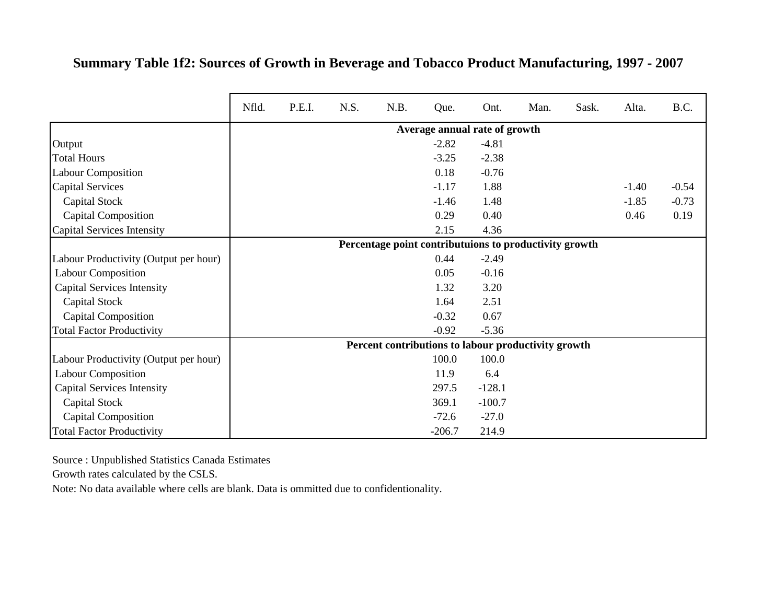## **Summary Table 1f2: Sources of Growth in Beverage and Tobacco Product Manufacturing, 1997 - 2007**

|                                       | Nfld. | P.E.I. | N.S. | N.B. | Que.                                                   | Ont.     | Man. | Sask. | Alta.   | B.C.    |
|---------------------------------------|-------|--------|------|------|--------------------------------------------------------|----------|------|-------|---------|---------|
|                                       |       |        |      |      | Average annual rate of growth                          |          |      |       |         |         |
| Output                                |       |        |      |      | $-2.82$                                                | $-4.81$  |      |       |         |         |
| <b>Total Hours</b>                    |       |        |      |      | $-3.25$                                                | $-2.38$  |      |       |         |         |
| <b>Labour Composition</b>             |       |        |      |      | 0.18                                                   | $-0.76$  |      |       |         |         |
| <b>Capital Services</b>               |       |        |      |      | $-1.17$                                                | 1.88     |      |       | $-1.40$ | $-0.54$ |
| Capital Stock                         |       |        |      |      | $-1.46$                                                | 1.48     |      |       | $-1.85$ | $-0.73$ |
| <b>Capital Composition</b>            |       |        |      |      | 0.29                                                   | 0.40     |      |       | 0.46    | 0.19    |
| Capital Services Intensity            |       |        |      |      | 2.15                                                   | 4.36     |      |       |         |         |
|                                       |       |        |      |      | Percentage point contributuions to productivity growth |          |      |       |         |         |
| Labour Productivity (Output per hour) |       |        |      |      | 0.44                                                   | $-2.49$  |      |       |         |         |
| <b>Labour Composition</b>             |       |        |      |      | 0.05                                                   | $-0.16$  |      |       |         |         |
| <b>Capital Services Intensity</b>     |       |        |      |      | 1.32                                                   | 3.20     |      |       |         |         |
| Capital Stock                         |       |        |      |      | 1.64                                                   | 2.51     |      |       |         |         |
| <b>Capital Composition</b>            |       |        |      |      | $-0.32$                                                | 0.67     |      |       |         |         |
| <b>Total Factor Productivity</b>      |       |        |      |      | $-0.92$                                                | $-5.36$  |      |       |         |         |
|                                       |       |        |      |      | Percent contributions to labour productivity growth    |          |      |       |         |         |
| Labour Productivity (Output per hour) |       |        |      |      | 100.0                                                  | 100.0    |      |       |         |         |
| <b>Labour Composition</b>             |       |        |      |      | 11.9                                                   | 6.4      |      |       |         |         |
| <b>Capital Services Intensity</b>     |       |        |      |      | 297.5                                                  | $-128.1$ |      |       |         |         |
| Capital Stock                         |       |        |      |      | 369.1                                                  | $-100.7$ |      |       |         |         |
| <b>Capital Composition</b>            |       |        |      |      | $-72.6$                                                | $-27.0$  |      |       |         |         |
| <b>Total Factor Productivity</b>      |       |        |      |      | $-206.7$                                               | 214.9    |      |       |         |         |

Source : Unpublished Statistics Canada Estimates

Growth rates calculated by the CSLS.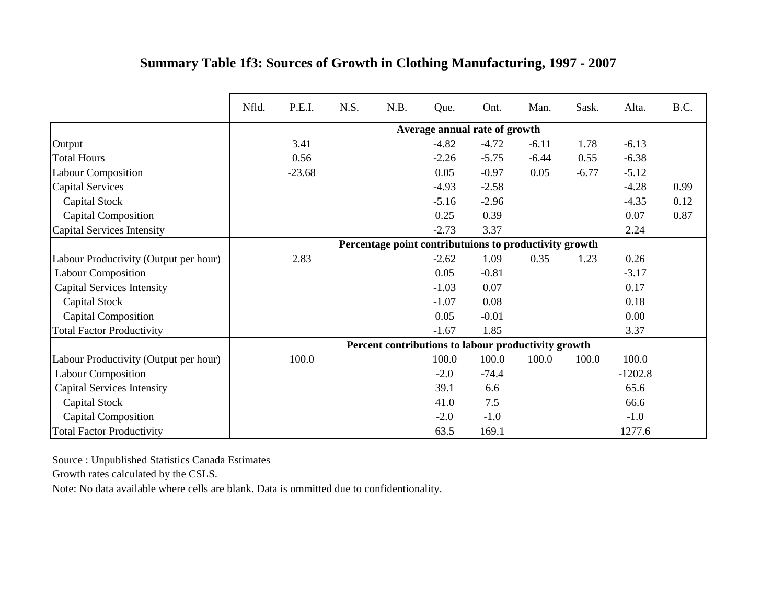|                                       | Nfld. | P.E.I.   | N.S. | N.B. | Que.                                                   | Ont.    | Man.    | Sask.   | Alta.     | B.C. |
|---------------------------------------|-------|----------|------|------|--------------------------------------------------------|---------|---------|---------|-----------|------|
|                                       |       |          |      |      | Average annual rate of growth                          |         |         |         |           |      |
| Output                                |       | 3.41     |      |      | $-4.82$                                                | $-4.72$ | $-6.11$ | 1.78    | $-6.13$   |      |
| <b>Total Hours</b>                    |       | 0.56     |      |      | $-2.26$                                                | $-5.75$ | $-6.44$ | 0.55    | $-6.38$   |      |
| <b>Labour Composition</b>             |       | $-23.68$ |      |      | 0.05                                                   | $-0.97$ | 0.05    | $-6.77$ | $-5.12$   |      |
| <b>Capital Services</b>               |       |          |      |      | $-4.93$                                                | $-2.58$ |         |         | $-4.28$   | 0.99 |
| Capital Stock                         |       |          |      |      | $-5.16$                                                | $-2.96$ |         |         | $-4.35$   | 0.12 |
| Capital Composition                   |       |          |      |      | 0.25                                                   | 0.39    |         |         | 0.07      | 0.87 |
| Capital Services Intensity            |       |          |      |      | $-2.73$                                                | 3.37    |         |         | 2.24      |      |
|                                       |       |          |      |      | Percentage point contributuions to productivity growth |         |         |         |           |      |
| Labour Productivity (Output per hour) |       | 2.83     |      |      | $-2.62$                                                | 1.09    | 0.35    | 1.23    | 0.26      |      |
| <b>Labour Composition</b>             |       |          |      |      | 0.05                                                   | $-0.81$ |         |         | $-3.17$   |      |
| <b>Capital Services Intensity</b>     |       |          |      |      | $-1.03$                                                | 0.07    |         |         | 0.17      |      |
| <b>Capital Stock</b>                  |       |          |      |      | $-1.07$                                                | 0.08    |         |         | 0.18      |      |
| <b>Capital Composition</b>            |       |          |      |      | 0.05                                                   | $-0.01$ |         |         | 0.00      |      |
| <b>Total Factor Productivity</b>      |       |          |      |      | $-1.67$                                                | 1.85    |         |         | 3.37      |      |
|                                       |       |          |      |      | Percent contributions to labour productivity growth    |         |         |         |           |      |
| Labour Productivity (Output per hour) |       | 100.0    |      |      | 100.0                                                  | 100.0   | 100.0   | 100.0   | 100.0     |      |
| <b>Labour Composition</b>             |       |          |      |      | $-2.0$                                                 | $-74.4$ |         |         | $-1202.8$ |      |
| <b>Capital Services Intensity</b>     |       |          |      |      | 39.1                                                   | 6.6     |         |         | 65.6      |      |
| Capital Stock                         |       |          |      |      | 41.0                                                   | 7.5     |         |         | 66.6      |      |
| Capital Composition                   |       |          |      |      | $-2.0$                                                 | $-1.0$  |         |         | $-1.0$    |      |
| <b>Total Factor Productivity</b>      |       |          |      |      | 63.5                                                   | 169.1   |         |         | 1277.6    |      |

## **Summary Table 1f3: Sources of Growth in Clothing Manufacturing, 1997 - 2007**

Source : Unpublished Statistics Canada Estimates

Growth rates calculated by the CSLS.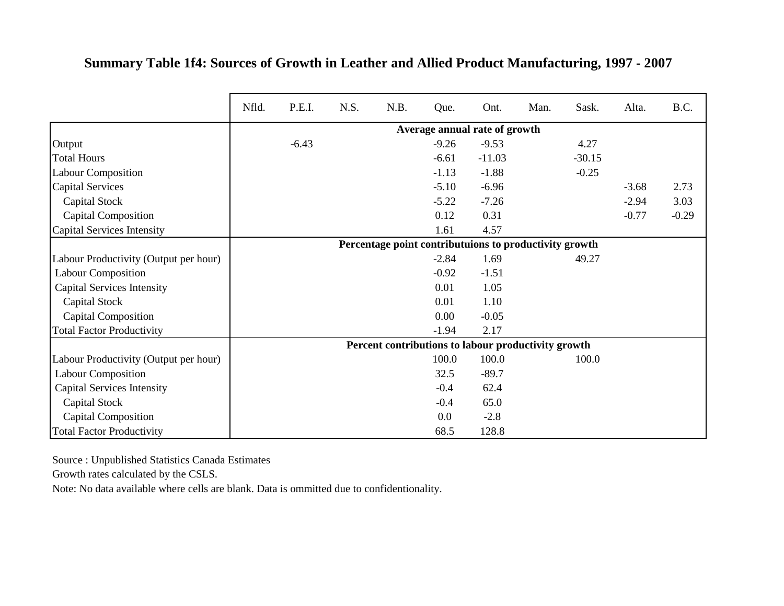#### **Summary Table 1f4: Sources of Growth in Leather and Allied Product Manufacturing, 1997 - 2007**

|                                       | Nfld. | P.E.I.  | N.S. | N.B. | Que.    | Ont.                                                   | Man. | Sask.    | Alta.   | B.C.    |
|---------------------------------------|-------|---------|------|------|---------|--------------------------------------------------------|------|----------|---------|---------|
|                                       |       |         |      |      |         | Average annual rate of growth                          |      |          |         |         |
| Output                                |       | $-6.43$ |      |      | $-9.26$ | $-9.53$                                                |      | 4.27     |         |         |
| <b>Total Hours</b>                    |       |         |      |      | $-6.61$ | $-11.03$                                               |      | $-30.15$ |         |         |
| <b>Labour Composition</b>             |       |         |      |      | $-1.13$ | $-1.88$                                                |      | $-0.25$  |         |         |
| <b>Capital Services</b>               |       |         |      |      | $-5.10$ | $-6.96$                                                |      |          | $-3.68$ | 2.73    |
| Capital Stock                         |       |         |      |      | $-5.22$ | $-7.26$                                                |      |          | $-2.94$ | 3.03    |
| <b>Capital Composition</b>            |       |         |      |      | 0.12    | 0.31                                                   |      |          | $-0.77$ | $-0.29$ |
| Capital Services Intensity            |       |         |      |      | 1.61    | 4.57                                                   |      |          |         |         |
|                                       |       |         |      |      |         | Percentage point contributuions to productivity growth |      |          |         |         |
| Labour Productivity (Output per hour) |       |         |      |      | $-2.84$ | 1.69                                                   |      | 49.27    |         |         |
| <b>Labour Composition</b>             |       |         |      |      | $-0.92$ | $-1.51$                                                |      |          |         |         |
| <b>Capital Services Intensity</b>     |       |         |      |      | 0.01    | 1.05                                                   |      |          |         |         |
| Capital Stock                         |       |         |      |      | 0.01    | 1.10                                                   |      |          |         |         |
| <b>Capital Composition</b>            |       |         |      |      | 0.00    | $-0.05$                                                |      |          |         |         |
| <b>Total Factor Productivity</b>      |       |         |      |      | $-1.94$ | 2.17                                                   |      |          |         |         |
|                                       |       |         |      |      |         | Percent contributions to labour productivity growth    |      |          |         |         |
| Labour Productivity (Output per hour) |       |         |      |      | 100.0   | 100.0                                                  |      | 100.0    |         |         |
| <b>Labour Composition</b>             |       |         |      |      | 32.5    | $-89.7$                                                |      |          |         |         |
| <b>Capital Services Intensity</b>     |       |         |      |      | $-0.4$  | 62.4                                                   |      |          |         |         |
| Capital Stock                         |       |         |      |      | $-0.4$  | 65.0                                                   |      |          |         |         |
| <b>Capital Composition</b>            |       |         |      |      | 0.0     | $-2.8$                                                 |      |          |         |         |
| <b>Total Factor Productivity</b>      |       |         |      |      | 68.5    | 128.8                                                  |      |          |         |         |

Source : Unpublished Statistics Canada Estimates

Growth rates calculated by the CSLS.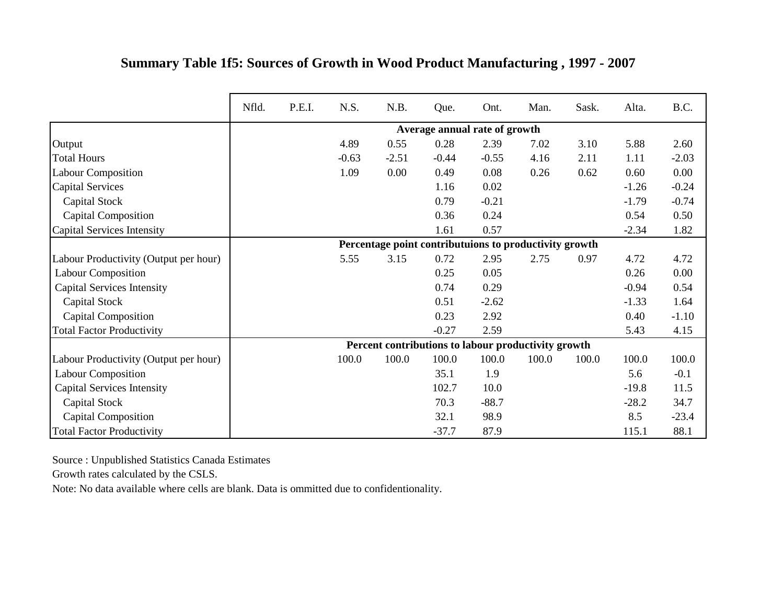|                                       | Nfld. | P.E.I. | N.S.    | N.B.                                                   | Que.    | Ont.                          | Man.  | Sask. | Alta.   | B.C.    |
|---------------------------------------|-------|--------|---------|--------------------------------------------------------|---------|-------------------------------|-------|-------|---------|---------|
|                                       |       |        |         |                                                        |         | Average annual rate of growth |       |       |         |         |
| Output                                |       |        | 4.89    | 0.55                                                   | 0.28    | 2.39                          | 7.02  | 3.10  | 5.88    | 2.60    |
| <b>Total Hours</b>                    |       |        | $-0.63$ | $-2.51$                                                | $-0.44$ | $-0.55$                       | 4.16  | 2.11  | 1.11    | $-2.03$ |
| <b>Labour Composition</b>             |       |        | 1.09    | 0.00                                                   | 0.49    | 0.08                          | 0.26  | 0.62  | 0.60    | 0.00    |
| <b>Capital Services</b>               |       |        |         |                                                        | 1.16    | 0.02                          |       |       | $-1.26$ | $-0.24$ |
| Capital Stock                         |       |        |         |                                                        | 0.79    | $-0.21$                       |       |       | $-1.79$ | $-0.74$ |
| <b>Capital Composition</b>            |       |        |         |                                                        | 0.36    | 0.24                          |       |       | 0.54    | 0.50    |
| Capital Services Intensity            |       |        |         |                                                        | 1.61    | 0.57                          |       |       | $-2.34$ | 1.82    |
|                                       |       |        |         | Percentage point contributuions to productivity growth |         |                               |       |       |         |         |
| Labour Productivity (Output per hour) |       |        | 5.55    | 3.15                                                   | 0.72    | 2.95                          | 2.75  | 0.97  | 4.72    | 4.72    |
| <b>Labour Composition</b>             |       |        |         |                                                        | 0.25    | 0.05                          |       |       | 0.26    | 0.00    |
| <b>Capital Services Intensity</b>     |       |        |         |                                                        | 0.74    | 0.29                          |       |       | $-0.94$ | 0.54    |
| Capital Stock                         |       |        |         |                                                        | 0.51    | $-2.62$                       |       |       | $-1.33$ | 1.64    |
| <b>Capital Composition</b>            |       |        |         |                                                        | 0.23    | 2.92                          |       |       | 0.40    | $-1.10$ |
| <b>Total Factor Productivity</b>      |       |        |         |                                                        | $-0.27$ | 2.59                          |       |       | 5.43    | 4.15    |
|                                       |       |        |         | Percent contributions to labour productivity growth    |         |                               |       |       |         |         |
| Labour Productivity (Output per hour) |       |        | 100.0   | 100.0                                                  | 100.0   | 100.0                         | 100.0 | 100.0 | 100.0   | 100.0   |
| <b>Labour Composition</b>             |       |        |         |                                                        | 35.1    | 1.9                           |       |       | 5.6     | $-0.1$  |
| <b>Capital Services Intensity</b>     |       |        |         |                                                        | 102.7   | 10.0                          |       |       | $-19.8$ | 11.5    |
| <b>Capital Stock</b>                  |       |        |         |                                                        | 70.3    | $-88.7$                       |       |       | $-28.2$ | 34.7    |
| <b>Capital Composition</b>            |       |        |         |                                                        | 32.1    | 98.9                          |       |       | 8.5     | $-23.4$ |
| <b>Total Factor Productivity</b>      |       |        |         |                                                        | $-37.7$ | 87.9                          |       |       | 115.1   | 88.1    |

#### **Summary Table 1f5: Sources of Growth in Wood Product Manufacturing , 1997 - 2007**

Source : Unpublished Statistics Canada Estimates

Growth rates calculated by the CSLS.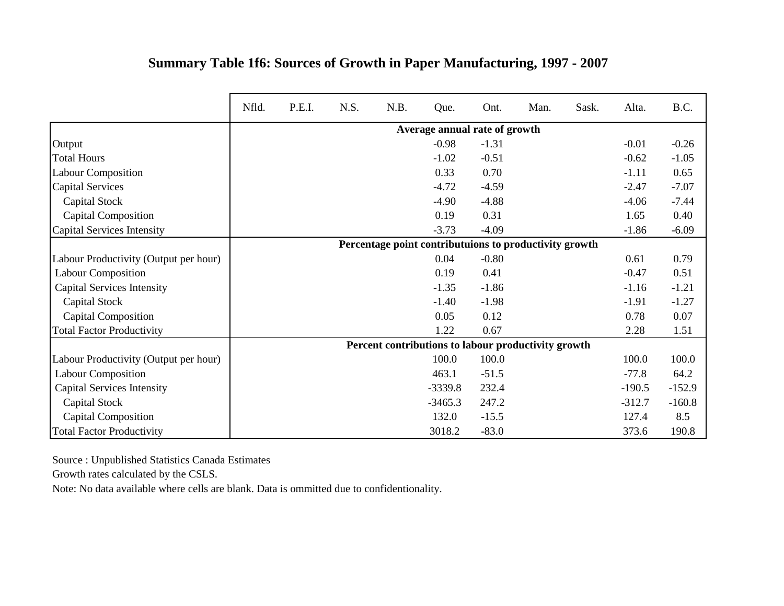|                                       | Nfld. | P.E.I. | N.S. | N.B. | Que.                                                   | Ont.    | Man. | Sask. | Alta.    | B.C.     |
|---------------------------------------|-------|--------|------|------|--------------------------------------------------------|---------|------|-------|----------|----------|
|                                       |       |        |      |      | Average annual rate of growth                          |         |      |       |          |          |
| Output                                |       |        |      |      | $-0.98$                                                | $-1.31$ |      |       | $-0.01$  | $-0.26$  |
| <b>Total Hours</b>                    |       |        |      |      | $-1.02$                                                | $-0.51$ |      |       | $-0.62$  | $-1.05$  |
| <b>Labour Composition</b>             |       |        |      |      | 0.33                                                   | 0.70    |      |       | $-1.11$  | 0.65     |
| <b>Capital Services</b>               |       |        |      |      | $-4.72$                                                | $-4.59$ |      |       | $-2.47$  | $-7.07$  |
| Capital Stock                         |       |        |      |      | $-4.90$                                                | $-4.88$ |      |       | $-4.06$  | $-7.44$  |
| Capital Composition                   |       |        |      |      | 0.19                                                   | 0.31    |      |       | 1.65     | 0.40     |
| Capital Services Intensity            |       |        |      |      | $-3.73$                                                | $-4.09$ |      |       | $-1.86$  | $-6.09$  |
|                                       |       |        |      |      | Percentage point contributuions to productivity growth |         |      |       |          |          |
| Labour Productivity (Output per hour) |       |        |      |      | 0.04                                                   | $-0.80$ |      |       | 0.61     | 0.79     |
| <b>Labour Composition</b>             |       |        |      |      | 0.19                                                   | 0.41    |      |       | $-0.47$  | 0.51     |
| <b>Capital Services Intensity</b>     |       |        |      |      | $-1.35$                                                | $-1.86$ |      |       | $-1.16$  | $-1.21$  |
| Capital Stock                         |       |        |      |      | $-1.40$                                                | $-1.98$ |      |       | $-1.91$  | $-1.27$  |
| <b>Capital Composition</b>            |       |        |      |      | 0.05                                                   | 0.12    |      |       | 0.78     | 0.07     |
| <b>Total Factor Productivity</b>      |       |        |      |      | 1.22                                                   | 0.67    |      |       | 2.28     | 1.51     |
|                                       |       |        |      |      | Percent contributions to labour productivity growth    |         |      |       |          |          |
| Labour Productivity (Output per hour) |       |        |      |      | 100.0                                                  | 100.0   |      |       | 100.0    | 100.0    |
| <b>Labour Composition</b>             |       |        |      |      | 463.1                                                  | $-51.5$ |      |       | $-77.8$  | 64.2     |
| <b>Capital Services Intensity</b>     |       |        |      |      | $-3339.8$                                              | 232.4   |      |       | $-190.5$ | $-152.9$ |
| Capital Stock                         |       |        |      |      | $-3465.3$                                              | 247.2   |      |       | $-312.7$ | $-160.8$ |
| <b>Capital Composition</b>            |       |        |      |      | 132.0                                                  | $-15.5$ |      |       | 127.4    | 8.5      |
| <b>Total Factor Productivity</b>      |       |        |      |      | 3018.2                                                 | $-83.0$ |      |       | 373.6    | 190.8    |

## **Summary Table 1f6: Sources of Growth in Paper Manufacturing, 1997 - 2007**

Source : Unpublished Statistics Canada Estimates

Growth rates calculated by the CSLS.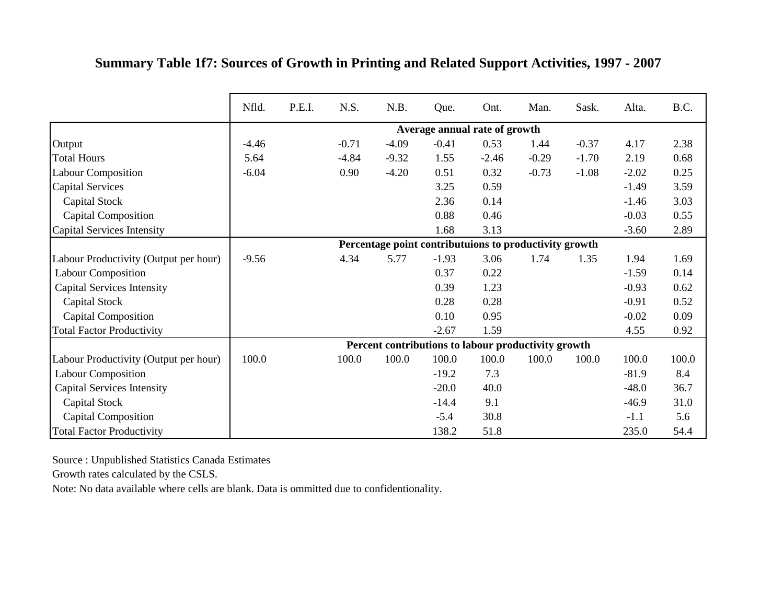|                                       | Nfld.   | P.E.I. | N.S.    | N.B.    | Que.    | Ont.                                                   | Man.    | Sask.   | Alta.   | B.C.  |
|---------------------------------------|---------|--------|---------|---------|---------|--------------------------------------------------------|---------|---------|---------|-------|
|                                       |         |        |         |         |         | Average annual rate of growth                          |         |         |         |       |
| Output                                | $-4.46$ |        | $-0.71$ | $-4.09$ | $-0.41$ | 0.53                                                   | 1.44    | $-0.37$ | 4.17    | 2.38  |
| <b>Total Hours</b>                    | 5.64    |        | $-4.84$ | $-9.32$ | 1.55    | $-2.46$                                                | $-0.29$ | $-1.70$ | 2.19    | 0.68  |
| <b>Labour Composition</b>             | $-6.04$ |        | 0.90    | $-4.20$ | 0.51    | 0.32                                                   | $-0.73$ | $-1.08$ | $-2.02$ | 0.25  |
| <b>Capital Services</b>               |         |        |         |         | 3.25    | 0.59                                                   |         |         | $-1.49$ | 3.59  |
| Capital Stock                         |         |        |         |         | 2.36    | 0.14                                                   |         |         | $-1.46$ | 3.03  |
| <b>Capital Composition</b>            |         |        |         |         | 0.88    | 0.46                                                   |         |         | $-0.03$ | 0.55  |
| Capital Services Intensity            |         |        |         |         | 1.68    | 3.13                                                   |         |         | $-3.60$ | 2.89  |
|                                       |         |        |         |         |         | Percentage point contributuions to productivity growth |         |         |         |       |
| Labour Productivity (Output per hour) | $-9.56$ |        | 4.34    | 5.77    | $-1.93$ | 3.06                                                   | 1.74    | 1.35    | 1.94    | 1.69  |
| <b>Labour Composition</b>             |         |        |         |         | 0.37    | 0.22                                                   |         |         | $-1.59$ | 0.14  |
| <b>Capital Services Intensity</b>     |         |        |         |         | 0.39    | 1.23                                                   |         |         | $-0.93$ | 0.62  |
| <b>Capital Stock</b>                  |         |        |         |         | 0.28    | 0.28                                                   |         |         | $-0.91$ | 0.52  |
| <b>Capital Composition</b>            |         |        |         |         | 0.10    | 0.95                                                   |         |         | $-0.02$ | 0.09  |
| <b>Total Factor Productivity</b>      |         |        |         |         | $-2.67$ | 1.59                                                   |         |         | 4.55    | 0.92  |
|                                       |         |        |         |         |         | Percent contributions to labour productivity growth    |         |         |         |       |
| Labour Productivity (Output per hour) | 100.0   |        | 100.0   | 100.0   | 100.0   | 100.0                                                  | 100.0   | 100.0   | 100.0   | 100.0 |
| <b>Labour Composition</b>             |         |        |         |         | $-19.2$ | 7.3                                                    |         |         | $-81.9$ | 8.4   |
| <b>Capital Services Intensity</b>     |         |        |         |         | $-20.0$ | 40.0                                                   |         |         | $-48.0$ | 36.7  |
| Capital Stock                         |         |        |         |         | $-14.4$ | 9.1                                                    |         |         | $-46.9$ | 31.0  |
| <b>Capital Composition</b>            |         |        |         |         | $-5.4$  | 30.8                                                   |         |         | $-1.1$  | 5.6   |
| <b>Total Factor Productivity</b>      |         |        |         |         | 138.2   | 51.8                                                   |         |         | 235.0   | 54.4  |

## **Summary Table 1f7: Sources of Growth in Printing and Related Support Activities, 1997 - 2007**

Source : Unpublished Statistics Canada Estimates

Growth rates calculated by the CSLS.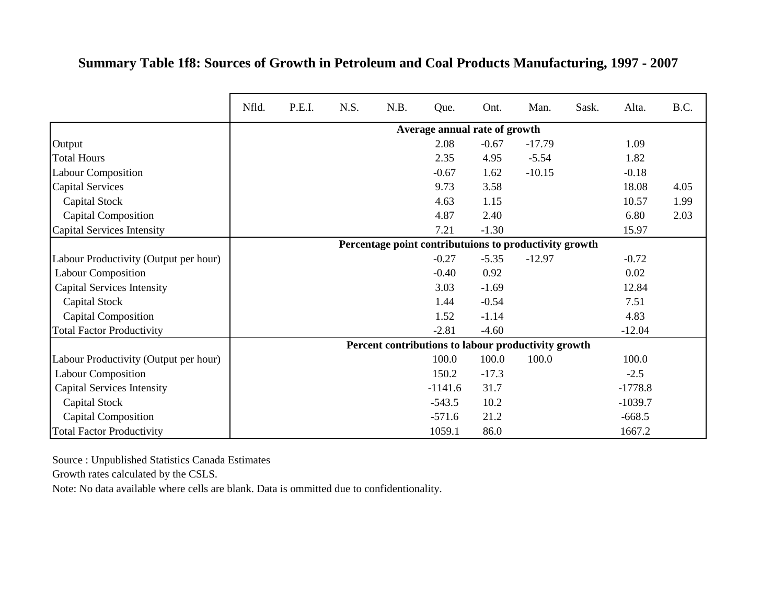#### **Summary Table 1f8: Sources of Growth in Petroleum and Coal Products Manufacturing, 1997 - 2007**

|                                       | Nfld. | P.E.I. | N.S. | N.B. | Que.                          | Ont.    | Man.                                                   | Sask. | Alta.     | B.C. |
|---------------------------------------|-------|--------|------|------|-------------------------------|---------|--------------------------------------------------------|-------|-----------|------|
|                                       |       |        |      |      | Average annual rate of growth |         |                                                        |       |           |      |
| Output                                |       |        |      |      | 2.08                          | $-0.67$ | $-17.79$                                               |       | 1.09      |      |
| <b>Total Hours</b>                    |       |        |      |      | 2.35                          | 4.95    | $-5.54$                                                |       | 1.82      |      |
| <b>Labour Composition</b>             |       |        |      |      | $-0.67$                       | 1.62    | $-10.15$                                               |       | $-0.18$   |      |
| <b>Capital Services</b>               |       |        |      |      | 9.73                          | 3.58    |                                                        |       | 18.08     | 4.05 |
| Capital Stock                         |       |        |      |      | 4.63                          | 1.15    |                                                        |       | 10.57     | 1.99 |
| <b>Capital Composition</b>            |       |        |      |      | 4.87                          | 2.40    |                                                        |       | 6.80      | 2.03 |
| Capital Services Intensity            |       |        |      |      | 7.21                          | $-1.30$ |                                                        |       | 15.97     |      |
|                                       |       |        |      |      |                               |         | Percentage point contributuions to productivity growth |       |           |      |
| Labour Productivity (Output per hour) |       |        |      |      | $-0.27$                       | $-5.35$ | $-12.97$                                               |       | $-0.72$   |      |
| <b>Labour Composition</b>             |       |        |      |      | $-0.40$                       | 0.92    |                                                        |       | 0.02      |      |
| <b>Capital Services Intensity</b>     |       |        |      |      | 3.03                          | $-1.69$ |                                                        |       | 12.84     |      |
| Capital Stock                         |       |        |      |      | 1.44                          | $-0.54$ |                                                        |       | 7.51      |      |
| <b>Capital Composition</b>            |       |        |      |      | 1.52                          | $-1.14$ |                                                        |       | 4.83      |      |
| <b>Total Factor Productivity</b>      |       |        |      |      | $-2.81$                       | $-4.60$ |                                                        |       | $-12.04$  |      |
|                                       |       |        |      |      |                               |         | Percent contributions to labour productivity growth    |       |           |      |
| Labour Productivity (Output per hour) |       |        |      |      | 100.0                         | 100.0   | 100.0                                                  |       | 100.0     |      |
| <b>Labour Composition</b>             |       |        |      |      | 150.2                         | $-17.3$ |                                                        |       | $-2.5$    |      |
| <b>Capital Services Intensity</b>     |       |        |      |      | $-1141.6$                     | 31.7    |                                                        |       | $-1778.8$ |      |
| Capital Stock                         |       |        |      |      | $-543.5$                      | 10.2    |                                                        |       | $-1039.7$ |      |
| <b>Capital Composition</b>            |       |        |      |      | $-571.6$                      | 21.2    |                                                        |       | $-668.5$  |      |
| <b>Total Factor Productivity</b>      |       |        |      |      | 1059.1                        | 86.0    |                                                        |       | 1667.2    |      |

Source : Unpublished Statistics Canada Estimates

Growth rates calculated by the CSLS.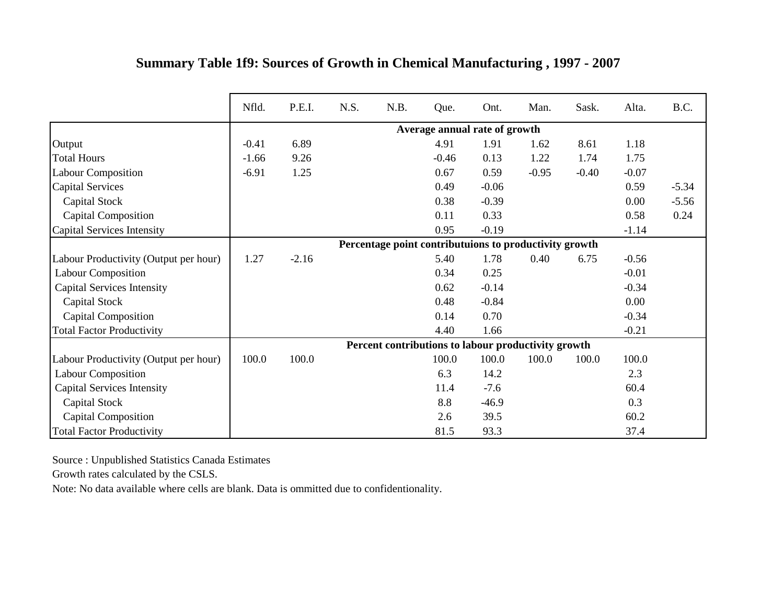|                                       | Nfld.   | P.E.I.  | N.S. | N.B. | Que.                                                   | Ont.    | Man.    | Sask.   | Alta.   | B.C.    |
|---------------------------------------|---------|---------|------|------|--------------------------------------------------------|---------|---------|---------|---------|---------|
|                                       |         |         |      |      | Average annual rate of growth                          |         |         |         |         |         |
| Output                                | $-0.41$ | 6.89    |      |      | 4.91                                                   | 1.91    | 1.62    | 8.61    | 1.18    |         |
| <b>Total Hours</b>                    | $-1.66$ | 9.26    |      |      | $-0.46$                                                | 0.13    | 1.22    | 1.74    | 1.75    |         |
| <b>Labour Composition</b>             | $-6.91$ | 1.25    |      |      | 0.67                                                   | 0.59    | $-0.95$ | $-0.40$ | $-0.07$ |         |
| <b>Capital Services</b>               |         |         |      |      | 0.49                                                   | $-0.06$ |         |         | 0.59    | $-5.34$ |
| Capital Stock                         |         |         |      |      | 0.38                                                   | $-0.39$ |         |         | 0.00    | $-5.56$ |
| Capital Composition                   |         |         |      |      | 0.11                                                   | 0.33    |         |         | 0.58    | 0.24    |
| Capital Services Intensity            |         |         |      |      | 0.95                                                   | $-0.19$ |         |         | $-1.14$ |         |
|                                       |         |         |      |      | Percentage point contributuions to productivity growth |         |         |         |         |         |
| Labour Productivity (Output per hour) | 1.27    | $-2.16$ |      |      | 5.40                                                   | 1.78    | 0.40    | 6.75    | $-0.56$ |         |
| <b>Labour Composition</b>             |         |         |      |      | 0.34                                                   | 0.25    |         |         | $-0.01$ |         |
| <b>Capital Services Intensity</b>     |         |         |      |      | 0.62                                                   | $-0.14$ |         |         | $-0.34$ |         |
| Capital Stock                         |         |         |      |      | 0.48                                                   | $-0.84$ |         |         | 0.00    |         |
| <b>Capital Composition</b>            |         |         |      |      | 0.14                                                   | 0.70    |         |         | $-0.34$ |         |
| <b>Total Factor Productivity</b>      |         |         |      |      | 4.40                                                   | 1.66    |         |         | $-0.21$ |         |
|                                       |         |         |      |      | Percent contributions to labour productivity growth    |         |         |         |         |         |
| Labour Productivity (Output per hour) | 100.0   | 100.0   |      |      | 100.0                                                  | 100.0   | 100.0   | 100.0   | 100.0   |         |
| <b>Labour Composition</b>             |         |         |      |      | 6.3                                                    | 14.2    |         |         | 2.3     |         |
| <b>Capital Services Intensity</b>     |         |         |      |      | 11.4                                                   | $-7.6$  |         |         | 60.4    |         |
| <b>Capital Stock</b>                  |         |         |      |      | 8.8                                                    | $-46.9$ |         |         | 0.3     |         |
| <b>Capital Composition</b>            |         |         |      |      | 2.6                                                    | 39.5    |         |         | 60.2    |         |
| <b>Total Factor Productivity</b>      |         |         |      |      | 81.5                                                   | 93.3    |         |         | 37.4    |         |

## **Summary Table 1f9: Sources of Growth in Chemical Manufacturing , 1997 - 2007**

Source : Unpublished Statistics Canada Estimates

Growth rates calculated by the CSLS.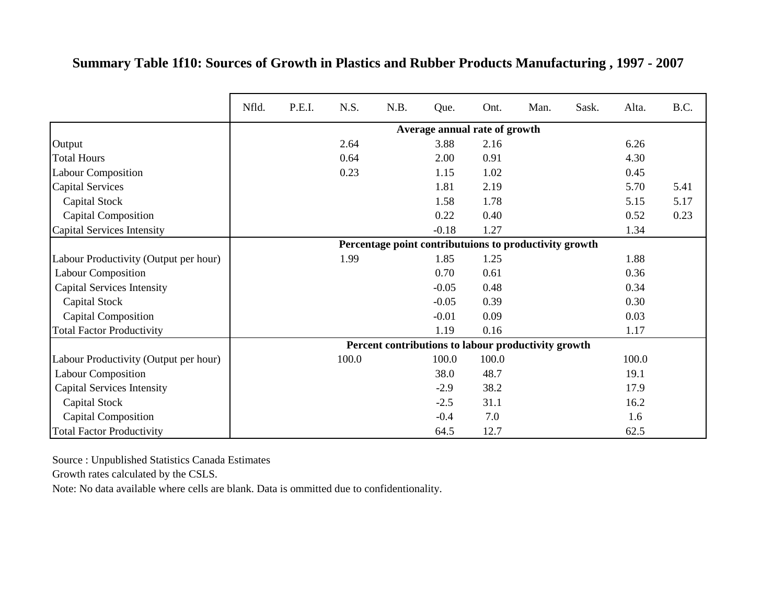|                                       | Nfld. | P.E.I. | N.S.  | N.B. | Que.                                                   | Ont.  | Man. | Sask. | Alta. | B.C. |
|---------------------------------------|-------|--------|-------|------|--------------------------------------------------------|-------|------|-------|-------|------|
|                                       |       |        |       |      | Average annual rate of growth                          |       |      |       |       |      |
| Output                                |       |        | 2.64  |      | 3.88                                                   | 2.16  |      |       | 6.26  |      |
| <b>Total Hours</b>                    |       |        | 0.64  |      | 2.00                                                   | 0.91  |      |       | 4.30  |      |
| <b>Labour Composition</b>             |       |        | 0.23  |      | 1.15                                                   | 1.02  |      |       | 0.45  |      |
| <b>Capital Services</b>               |       |        |       |      | 1.81                                                   | 2.19  |      |       | 5.70  | 5.41 |
| Capital Stock                         |       |        |       |      | 1.58                                                   | 1.78  |      |       | 5.15  | 5.17 |
| <b>Capital Composition</b>            |       |        |       |      | 0.22                                                   | 0.40  |      |       | 0.52  | 0.23 |
| <b>Capital Services Intensity</b>     |       |        |       |      | $-0.18$                                                | 1.27  |      |       | 1.34  |      |
|                                       |       |        |       |      | Percentage point contributuions to productivity growth |       |      |       |       |      |
| Labour Productivity (Output per hour) |       |        | 1.99  |      | 1.85                                                   | 1.25  |      |       | 1.88  |      |
| <b>Labour Composition</b>             |       |        |       |      | 0.70                                                   | 0.61  |      |       | 0.36  |      |
| <b>Capital Services Intensity</b>     |       |        |       |      | $-0.05$                                                | 0.48  |      |       | 0.34  |      |
| Capital Stock                         |       |        |       |      | $-0.05$                                                | 0.39  |      |       | 0.30  |      |
| <b>Capital Composition</b>            |       |        |       |      | $-0.01$                                                | 0.09  |      |       | 0.03  |      |
| <b>Total Factor Productivity</b>      |       |        |       |      | 1.19                                                   | 0.16  |      |       | 1.17  |      |
|                                       |       |        |       |      | Percent contributions to labour productivity growth    |       |      |       |       |      |
| Labour Productivity (Output per hour) |       |        | 100.0 |      | 100.0                                                  | 100.0 |      |       | 100.0 |      |
| <b>Labour Composition</b>             |       |        |       |      | 38.0                                                   | 48.7  |      |       | 19.1  |      |
| <b>Capital Services Intensity</b>     |       |        |       |      | $-2.9$                                                 | 38.2  |      |       | 17.9  |      |
| Capital Stock                         |       |        |       |      | $-2.5$                                                 | 31.1  |      |       | 16.2  |      |
| <b>Capital Composition</b>            |       |        |       |      | $-0.4$                                                 | 7.0   |      |       | 1.6   |      |
| <b>Total Factor Productivity</b>      |       |        |       |      | 64.5                                                   | 12.7  |      |       | 62.5  |      |

#### **Summary Table 1f10: Sources of Growth in Plastics and Rubber Products Manufacturing , 1997 - 2007**

Source : Unpublished Statistics Canada Estimates

Growth rates calculated by the CSLS.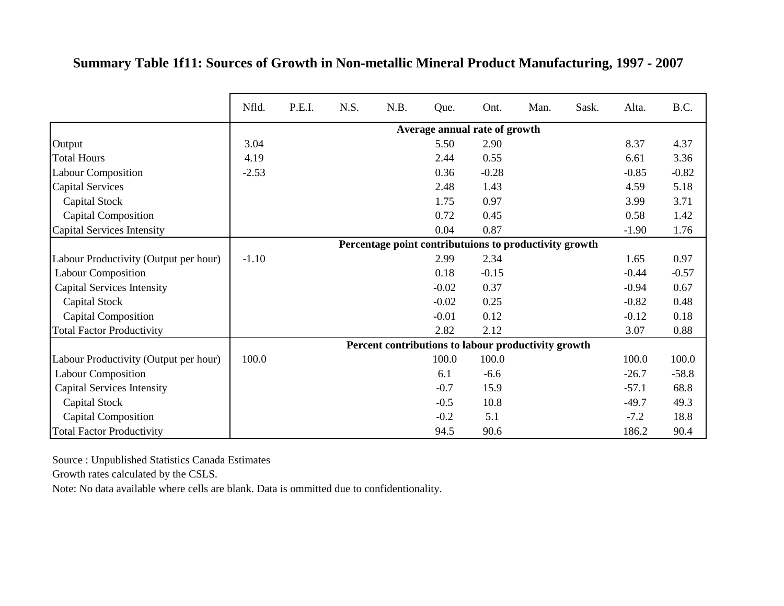|                                       | Nfld.   | P.E.I. | N.S. | N.B.                                                   | Que.                          | Ont.    | Man. | Sask. | Alta.   | B.C.    |
|---------------------------------------|---------|--------|------|--------------------------------------------------------|-------------------------------|---------|------|-------|---------|---------|
|                                       |         |        |      |                                                        | Average annual rate of growth |         |      |       |         |         |
| Output                                | 3.04    |        |      |                                                        | 5.50                          | 2.90    |      |       | 8.37    | 4.37    |
| <b>Total Hours</b>                    | 4.19    |        |      |                                                        | 2.44                          | 0.55    |      |       | 6.61    | 3.36    |
| <b>Labour Composition</b>             | $-2.53$ |        |      |                                                        | 0.36                          | $-0.28$ |      |       | $-0.85$ | $-0.82$ |
| <b>Capital Services</b>               |         |        |      |                                                        | 2.48                          | 1.43    |      |       | 4.59    | 5.18    |
| Capital Stock                         |         |        |      |                                                        | 1.75                          | 0.97    |      |       | 3.99    | 3.71    |
| <b>Capital Composition</b>            |         |        |      |                                                        | 0.72                          | 0.45    |      |       | 0.58    | 1.42    |
| <b>Capital Services Intensity</b>     |         |        |      |                                                        | 0.04                          | 0.87    |      |       | $-1.90$ | 1.76    |
|                                       |         |        |      | Percentage point contributuions to productivity growth |                               |         |      |       |         |         |
| Labour Productivity (Output per hour) | $-1.10$ |        |      |                                                        | 2.99                          | 2.34    |      |       | 1.65    | 0.97    |
| <b>Labour Composition</b>             |         |        |      |                                                        | 0.18                          | $-0.15$ |      |       | $-0.44$ | $-0.57$ |
| <b>Capital Services Intensity</b>     |         |        |      |                                                        | $-0.02$                       | 0.37    |      |       | $-0.94$ | 0.67    |
| Capital Stock                         |         |        |      |                                                        | $-0.02$                       | 0.25    |      |       | $-0.82$ | 0.48    |
| <b>Capital Composition</b>            |         |        |      |                                                        | $-0.01$                       | 0.12    |      |       | $-0.12$ | 0.18    |
| <b>Total Factor Productivity</b>      |         |        |      |                                                        | 2.82                          | 2.12    |      |       | 3.07    | 0.88    |
|                                       |         |        |      | Percent contributions to labour productivity growth    |                               |         |      |       |         |         |
| Labour Productivity (Output per hour) | 100.0   |        |      |                                                        | 100.0                         | 100.0   |      |       | 100.0   | 100.0   |
| Labour Composition                    |         |        |      |                                                        | 6.1                           | $-6.6$  |      |       | $-26.7$ | $-58.8$ |
| <b>Capital Services Intensity</b>     |         |        |      |                                                        | $-0.7$                        | 15.9    |      |       | $-57.1$ | 68.8    |
| Capital Stock                         |         |        |      |                                                        | $-0.5$                        | 10.8    |      |       | $-49.7$ | 49.3    |
| <b>Capital Composition</b>            |         |        |      |                                                        | $-0.2$                        | 5.1     |      |       | $-7.2$  | 18.8    |
| <b>Total Factor Productivity</b>      |         |        |      |                                                        | 94.5                          | 90.6    |      |       | 186.2   | 90.4    |

**Summary Table 1f11: Sources of Growth in Non-metallic Mineral Product Manufacturing, 1997 - 2007**

Growth rates calculated by the CSLS.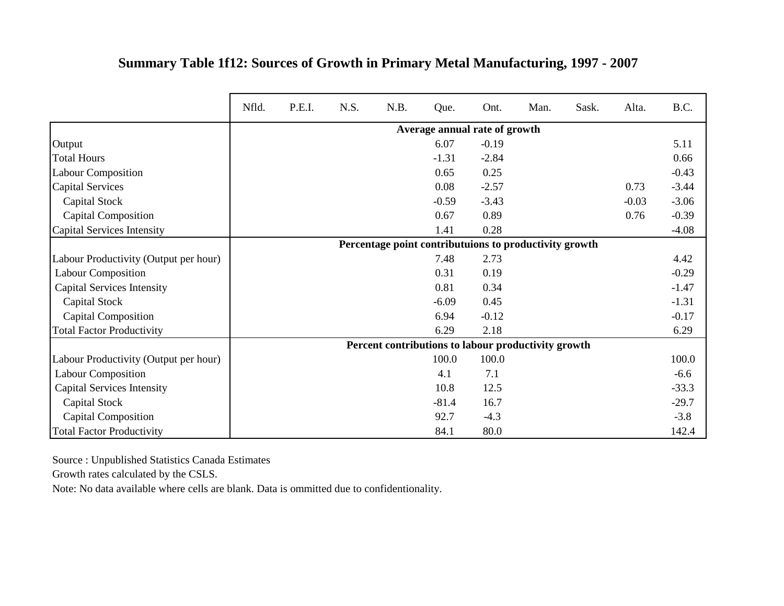|                                       | Nfld. | P.E.I. | N.S. | N.B. | Que.    | Ont.                                                   | Man. | Sask. | Alta.   | B.C.    |
|---------------------------------------|-------|--------|------|------|---------|--------------------------------------------------------|------|-------|---------|---------|
|                                       |       |        |      |      |         | Average annual rate of growth                          |      |       |         |         |
| Output                                |       |        |      |      | 6.07    | $-0.19$                                                |      |       |         | 5.11    |
| <b>Total Hours</b>                    |       |        |      |      | $-1.31$ | $-2.84$                                                |      |       |         | 0.66    |
| <b>Labour Composition</b>             |       |        |      |      | 0.65    | 0.25                                                   |      |       |         | $-0.43$ |
| <b>Capital Services</b>               |       |        |      |      | 0.08    | $-2.57$                                                |      |       | 0.73    | $-3.44$ |
| Capital Stock                         |       |        |      |      | $-0.59$ | $-3.43$                                                |      |       | $-0.03$ | $-3.06$ |
| <b>Capital Composition</b>            |       |        |      |      | 0.67    | 0.89                                                   |      |       | 0.76    | $-0.39$ |
| Capital Services Intensity            |       |        |      |      | 1.41    | 0.28                                                   |      |       |         | $-4.08$ |
|                                       |       |        |      |      |         | Percentage point contributuions to productivity growth |      |       |         |         |
| Labour Productivity (Output per hour) |       |        |      |      | 7.48    | 2.73                                                   |      |       |         | 4.42    |
| Labour Composition                    |       |        |      |      | 0.31    | 0.19                                                   |      |       |         | $-0.29$ |
| <b>Capital Services Intensity</b>     |       |        |      |      | 0.81    | 0.34                                                   |      |       |         | $-1.47$ |
| Capital Stock                         |       |        |      |      | $-6.09$ | 0.45                                                   |      |       |         | $-1.31$ |
| <b>Capital Composition</b>            |       |        |      |      | 6.94    | $-0.12$                                                |      |       |         | $-0.17$ |
| <b>Total Factor Productivity</b>      |       |        |      |      | 6.29    | 2.18                                                   |      |       |         | 6.29    |
|                                       |       |        |      |      |         | Percent contributions to labour productivity growth    |      |       |         |         |
| Labour Productivity (Output per hour) |       |        |      |      | 100.0   | 100.0                                                  |      |       |         | 100.0   |
| <b>Labour Composition</b>             |       |        |      |      | 4.1     | 7.1                                                    |      |       |         | $-6.6$  |
| <b>Capital Services Intensity</b>     |       |        |      |      | 10.8    | 12.5                                                   |      |       |         | $-33.3$ |
| Capital Stock                         |       |        |      |      | $-81.4$ | 16.7                                                   |      |       |         | $-29.7$ |
| <b>Capital Composition</b>            |       |        |      |      | 92.7    | $-4.3$                                                 |      |       |         | $-3.8$  |
| <b>Total Factor Productivity</b>      |       |        |      |      | 84.1    | 80.0                                                   |      |       |         | 142.4   |

## **Summary Table 1f12: Sources of Growth in Primary Metal Manufacturing, 1997 - 2007**

Source : Unpublished Statistics Canada Estimates

Growth rates calculated by the CSLS.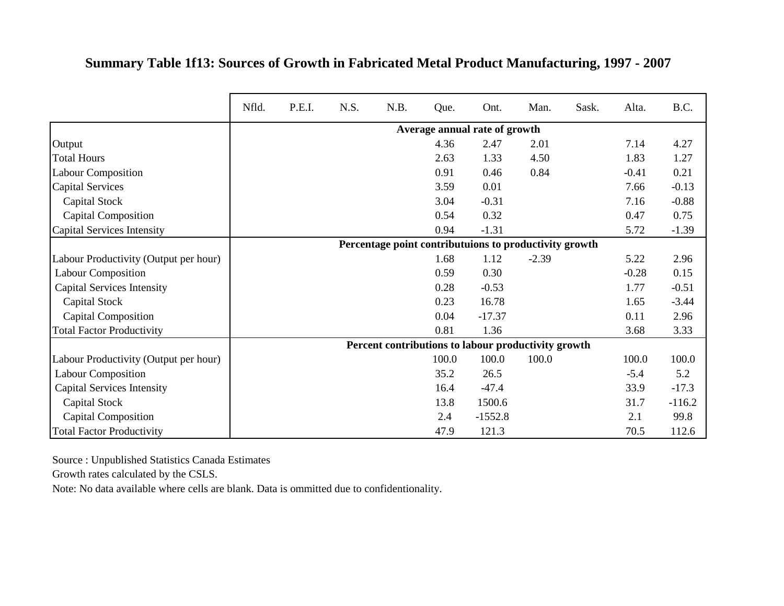#### **Summary Table 1f13: Sources of Growth in Fabricated Metal Product Manufacturing, 1997 - 2007**

|                                       | Nfld. | P.E.I. | N.S. | N.B. | Que.  | Ont.                                                   | Man.    | Sask. | Alta.   | B.C.     |
|---------------------------------------|-------|--------|------|------|-------|--------------------------------------------------------|---------|-------|---------|----------|
|                                       |       |        |      |      |       | Average annual rate of growth                          |         |       |         |          |
| Output                                |       |        |      |      | 4.36  | 2.47                                                   | 2.01    |       | 7.14    | 4.27     |
| <b>Total Hours</b>                    |       |        |      |      | 2.63  | 1.33                                                   | 4.50    |       | 1.83    | 1.27     |
| <b>Labour Composition</b>             |       |        |      |      | 0.91  | 0.46                                                   | 0.84    |       | $-0.41$ | 0.21     |
| <b>Capital Services</b>               |       |        |      |      | 3.59  | 0.01                                                   |         |       | 7.66    | $-0.13$  |
| Capital Stock                         |       |        |      |      | 3.04  | $-0.31$                                                |         |       | 7.16    | $-0.88$  |
| <b>Capital Composition</b>            |       |        |      |      | 0.54  | 0.32                                                   |         |       | 0.47    | 0.75     |
| Capital Services Intensity            |       |        |      |      | 0.94  | $-1.31$                                                |         |       | 5.72    | $-1.39$  |
|                                       |       |        |      |      |       | Percentage point contributuions to productivity growth |         |       |         |          |
| Labour Productivity (Output per hour) |       |        |      |      | 1.68  | 1.12                                                   | $-2.39$ |       | 5.22    | 2.96     |
| <b>Labour Composition</b>             |       |        |      |      | 0.59  | 0.30                                                   |         |       | $-0.28$ | 0.15     |
| <b>Capital Services Intensity</b>     |       |        |      |      | 0.28  | $-0.53$                                                |         |       | 1.77    | $-0.51$  |
| Capital Stock                         |       |        |      |      | 0.23  | 16.78                                                  |         |       | 1.65    | $-3.44$  |
| <b>Capital Composition</b>            |       |        |      |      | 0.04  | $-17.37$                                               |         |       | 0.11    | 2.96     |
| <b>Total Factor Productivity</b>      |       |        |      |      | 0.81  | 1.36                                                   |         |       | 3.68    | 3.33     |
|                                       |       |        |      |      |       | Percent contributions to labour productivity growth    |         |       |         |          |
| Labour Productivity (Output per hour) |       |        |      |      | 100.0 | 100.0                                                  | 100.0   |       | 100.0   | 100.0    |
| <b>Labour Composition</b>             |       |        |      |      | 35.2  | 26.5                                                   |         |       | $-5.4$  | 5.2      |
| <b>Capital Services Intensity</b>     |       |        |      |      | 16.4  | $-47.4$                                                |         |       | 33.9    | $-17.3$  |
| Capital Stock                         |       |        |      |      | 13.8  | 1500.6                                                 |         |       | 31.7    | $-116.2$ |
| <b>Capital Composition</b>            |       |        |      |      | 2.4   | $-1552.8$                                              |         |       | 2.1     | 99.8     |
| <b>Total Factor Productivity</b>      |       |        |      |      | 47.9  | 121.3                                                  |         |       | 70.5    | 112.6    |

Source : Unpublished Statistics Canada Estimates

Growth rates calculated by the CSLS.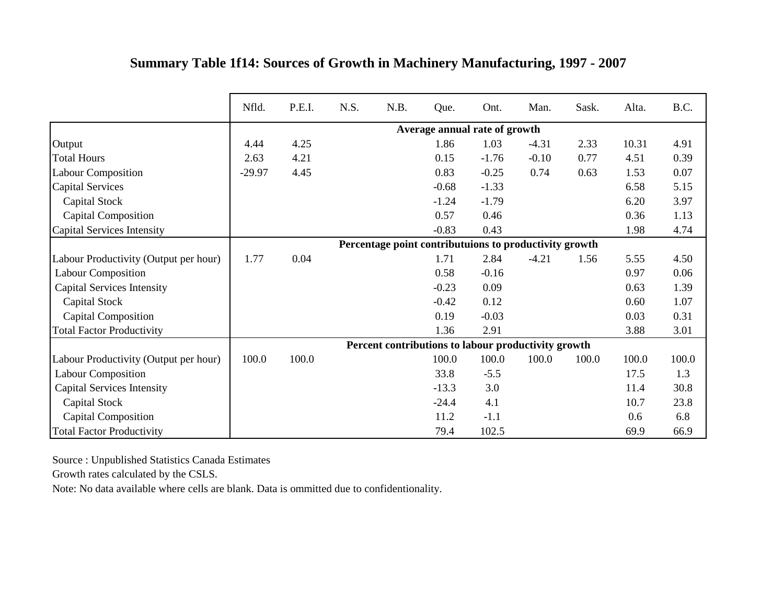|                                       | Nfld.    | P.E.I. | N.S. | N.B. | Que.    | Ont.                                                   | Man.    | Sask. | Alta. | B.C.  |
|---------------------------------------|----------|--------|------|------|---------|--------------------------------------------------------|---------|-------|-------|-------|
|                                       |          |        |      |      |         | Average annual rate of growth                          |         |       |       |       |
| Output                                | 4.44     | 4.25   |      |      | 1.86    | 1.03                                                   | $-4.31$ | 2.33  | 10.31 | 4.91  |
| <b>Total Hours</b>                    | 2.63     | 4.21   |      |      | 0.15    | $-1.76$                                                | $-0.10$ | 0.77  | 4.51  | 0.39  |
| <b>Labour Composition</b>             | $-29.97$ | 4.45   |      |      | 0.83    | $-0.25$                                                | 0.74    | 0.63  | 1.53  | 0.07  |
| <b>Capital Services</b>               |          |        |      |      | $-0.68$ | $-1.33$                                                |         |       | 6.58  | 5.15  |
| Capital Stock                         |          |        |      |      | $-1.24$ | $-1.79$                                                |         |       | 6.20  | 3.97  |
| <b>Capital Composition</b>            |          |        |      |      | 0.57    | 0.46                                                   |         |       | 0.36  | 1.13  |
| Capital Services Intensity            |          |        |      |      | $-0.83$ | 0.43                                                   |         |       | 1.98  | 4.74  |
|                                       |          |        |      |      |         | Percentage point contributuions to productivity growth |         |       |       |       |
| Labour Productivity (Output per hour) | 1.77     | 0.04   |      |      | 1.71    | 2.84                                                   | $-4.21$ | 1.56  | 5.55  | 4.50  |
| <b>Labour Composition</b>             |          |        |      |      | 0.58    | $-0.16$                                                |         |       | 0.97  | 0.06  |
| <b>Capital Services Intensity</b>     |          |        |      |      | $-0.23$ | 0.09                                                   |         |       | 0.63  | 1.39  |
| <b>Capital Stock</b>                  |          |        |      |      | $-0.42$ | 0.12                                                   |         |       | 0.60  | 1.07  |
| <b>Capital Composition</b>            |          |        |      |      | 0.19    | $-0.03$                                                |         |       | 0.03  | 0.31  |
| <b>Total Factor Productivity</b>      |          |        |      |      | 1.36    | 2.91                                                   |         |       | 3.88  | 3.01  |
|                                       |          |        |      |      |         | Percent contributions to labour productivity growth    |         |       |       |       |
| Labour Productivity (Output per hour) | 100.0    | 100.0  |      |      | 100.0   | 100.0                                                  | 100.0   | 100.0 | 100.0 | 100.0 |
| <b>Labour Composition</b>             |          |        |      |      | 33.8    | $-5.5$                                                 |         |       | 17.5  | 1.3   |
| <b>Capital Services Intensity</b>     |          |        |      |      | $-13.3$ | 3.0                                                    |         |       | 11.4  | 30.8  |
| Capital Stock                         |          |        |      |      | $-24.4$ | 4.1                                                    |         |       | 10.7  | 23.8  |
| <b>Capital Composition</b>            |          |        |      |      | 11.2    | $-1.1$                                                 |         |       | 0.6   | 6.8   |
| <b>Total Factor Productivity</b>      |          |        |      |      | 79.4    | 102.5                                                  |         |       | 69.9  | 66.9  |

## **Summary Table 1f14: Sources of Growth in Machinery Manufacturing, 1997 - 2007**

Source : Unpublished Statistics Canada Estimates

Growth rates calculated by the CSLS.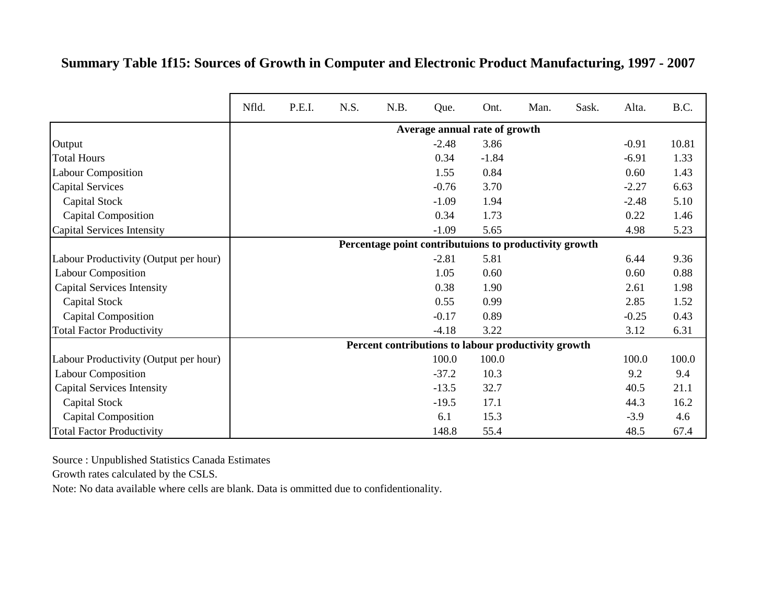## **Summary Table 1f15: Sources of Growth in Computer and Electronic Product Manufacturing, 1997 - 2007**

|                                       | Nfld. | P.E.I. | N.S. | N.B.                                                   | Que.                          | Ont.    | Man. | Sask. | Alta.   | B.C.  |
|---------------------------------------|-------|--------|------|--------------------------------------------------------|-------------------------------|---------|------|-------|---------|-------|
|                                       |       |        |      |                                                        | Average annual rate of growth |         |      |       |         |       |
| Output                                |       |        |      |                                                        | $-2.48$                       | 3.86    |      |       | $-0.91$ | 10.81 |
| <b>Total Hours</b>                    |       |        |      |                                                        | 0.34                          | $-1.84$ |      |       | $-6.91$ | 1.33  |
| <b>Labour Composition</b>             |       |        |      |                                                        | 1.55                          | 0.84    |      |       | 0.60    | 1.43  |
| <b>Capital Services</b>               |       |        |      |                                                        | $-0.76$                       | 3.70    |      |       | $-2.27$ | 6.63  |
| Capital Stock                         |       |        |      |                                                        | $-1.09$                       | 1.94    |      |       | $-2.48$ | 5.10  |
| Capital Composition                   |       |        |      |                                                        | 0.34                          | 1.73    |      |       | 0.22    | 1.46  |
| Capital Services Intensity            |       |        |      |                                                        | $-1.09$                       | 5.65    |      |       | 4.98    | 5.23  |
|                                       |       |        |      | Percentage point contributuions to productivity growth |                               |         |      |       |         |       |
| Labour Productivity (Output per hour) |       |        |      |                                                        | $-2.81$                       | 5.81    |      |       | 6.44    | 9.36  |
| <b>Labour Composition</b>             |       |        |      |                                                        | 1.05                          | 0.60    |      |       | 0.60    | 0.88  |
| <b>Capital Services Intensity</b>     |       |        |      |                                                        | 0.38                          | 1.90    |      |       | 2.61    | 1.98  |
| Capital Stock                         |       |        |      |                                                        | 0.55                          | 0.99    |      |       | 2.85    | 1.52  |
| <b>Capital Composition</b>            |       |        |      |                                                        | $-0.17$                       | 0.89    |      |       | $-0.25$ | 0.43  |
| <b>Total Factor Productivity</b>      |       |        |      |                                                        | $-4.18$                       | 3.22    |      |       | 3.12    | 6.31  |
|                                       |       |        |      | Percent contributions to labour productivity growth    |                               |         |      |       |         |       |
| Labour Productivity (Output per hour) |       |        |      |                                                        | 100.0                         | 100.0   |      |       | 100.0   | 100.0 |
| <b>Labour Composition</b>             |       |        |      |                                                        | $-37.2$                       | 10.3    |      |       | 9.2     | 9.4   |
| <b>Capital Services Intensity</b>     |       |        |      |                                                        | $-13.5$                       | 32.7    |      |       | 40.5    | 21.1  |
| Capital Stock                         |       |        |      |                                                        | $-19.5$                       | 17.1    |      |       | 44.3    | 16.2  |
| <b>Capital Composition</b>            |       |        |      |                                                        | 6.1                           | 15.3    |      |       | $-3.9$  | 4.6   |
| <b>Total Factor Productivity</b>      |       |        |      |                                                        | 148.8                         | 55.4    |      |       | 48.5    | 67.4  |

Source : Unpublished Statistics Canada Estimates

Growth rates calculated by the CSLS.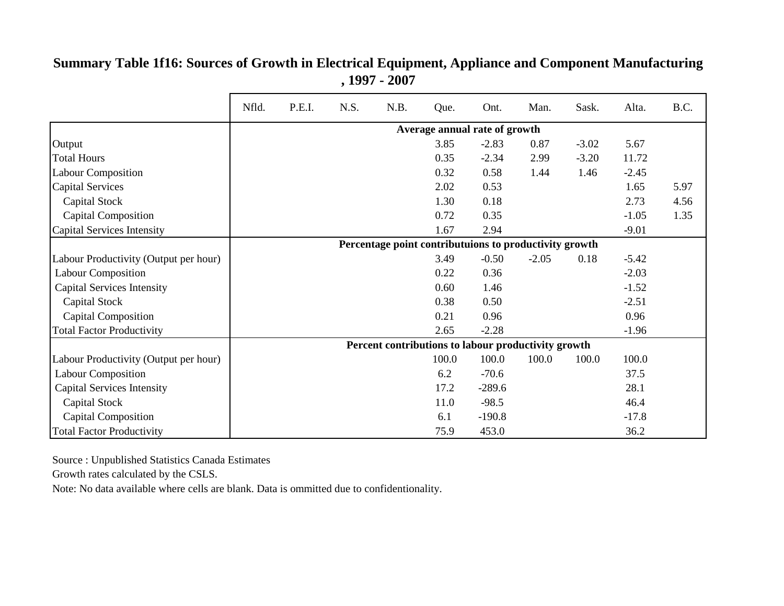#### Output 3.85 -2.83 0.87 -3.02 5.67 Total Hours 0.35 -2.34 2.99 -3.20 11.72 Labour Composition 0.32 0.58 1.44 1.46 -2.45 Capital Services 2.02 0.53 1.65 5.97 Capital Stock 1.30 0.18 2.73 4.56 Capital Composition 1.35 -1.05 -1.05 -1.05 -1.35 Capital Services Intensity  $1.67$   $2.94$   $-9.01$ Labour Productivity (Output per hour) 3.49 -0.50 -2.05 0.18 -5.42 Labour Composition  $0.22 \t 0.36$  -2.03 Capital Services Intensity 1.52 Capital Stock 2.51 Capital Composition and the composition of the composition of the composition of the composition of the composition of the composition of the composition of the composition of the composition of the composition of the comp Total Factor Productivity 1.96 Labour Productivity (Output per hour)  $\begin{bmatrix} 100.0 & 100.0 & 100.0 & 100.0 & 100.0 \end{bmatrix}$ Labour Composition 137.5 Capital Services Intensity 17.2 -289.6 28.1 Capital Stock 11.0 -98.5 46.4 Capital Composition and the composition of the composition of the composition of the composition of the composition of the composition of the composition of the composition of the composition of the composition of the comp Total Factor Productivity 15.9 453.0 36.2 Nfld. P.E.I. N.S. N.B. Que. Ont. Man. Sask. Alta. B.C. **Average annual rate of growth Percentage point contributuions to productivity growth Percent contributions to labour productivity growth**

#### **Summary Table 1f16: Sources of Growth in Electrical Equipment, Appliance and Component Manufacturing , 1997 - 2007**

Source : Unpublished Statistics Canada Estimates

Growth rates calculated by the CSLS.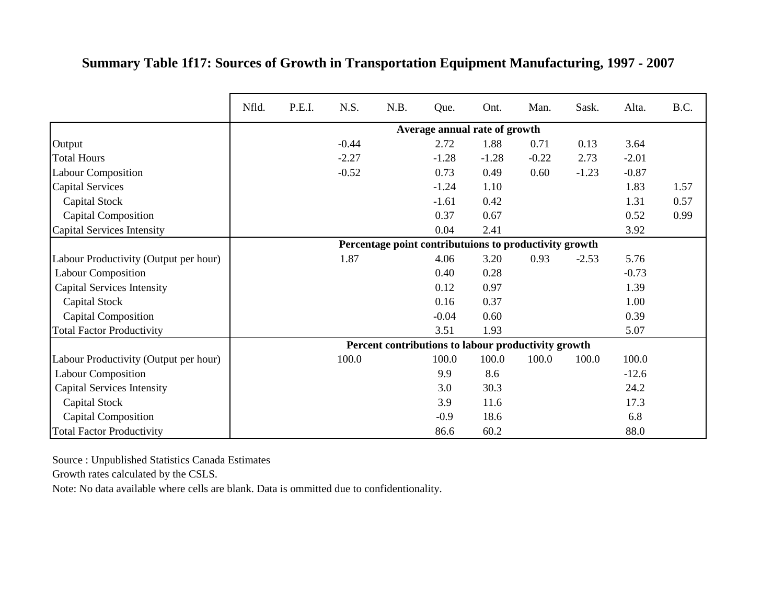|                                       | Nfld. | P.E.I. | N.S.    | N.B. | Que.    | Ont.                                                   | Man.    | Sask.   | Alta.   | B.C. |
|---------------------------------------|-------|--------|---------|------|---------|--------------------------------------------------------|---------|---------|---------|------|
|                                       |       |        |         |      |         | Average annual rate of growth                          |         |         |         |      |
| Output                                |       |        | $-0.44$ |      | 2.72    | 1.88                                                   | 0.71    | 0.13    | 3.64    |      |
| <b>Total Hours</b>                    |       |        | $-2.27$ |      | $-1.28$ | $-1.28$                                                | $-0.22$ | 2.73    | $-2.01$ |      |
| <b>Labour Composition</b>             |       |        | $-0.52$ |      | 0.73    | 0.49                                                   | 0.60    | $-1.23$ | $-0.87$ |      |
| <b>Capital Services</b>               |       |        |         |      | $-1.24$ | 1.10                                                   |         |         | 1.83    | 1.57 |
| Capital Stock                         |       |        |         |      | $-1.61$ | 0.42                                                   |         |         | 1.31    | 0.57 |
| <b>Capital Composition</b>            |       |        |         |      | 0.37    | 0.67                                                   |         |         | 0.52    | 0.99 |
| Capital Services Intensity            |       |        |         |      | 0.04    | 2.41                                                   |         |         | 3.92    |      |
|                                       |       |        |         |      |         | Percentage point contributuions to productivity growth |         |         |         |      |
| Labour Productivity (Output per hour) |       |        | 1.87    |      | 4.06    | 3.20                                                   | 0.93    | $-2.53$ | 5.76    |      |
| <b>Labour Composition</b>             |       |        |         |      | 0.40    | 0.28                                                   |         |         | $-0.73$ |      |
| <b>Capital Services Intensity</b>     |       |        |         |      | 0.12    | 0.97                                                   |         |         | 1.39    |      |
| Capital Stock                         |       |        |         |      | 0.16    | 0.37                                                   |         |         | 1.00    |      |
| <b>Capital Composition</b>            |       |        |         |      | $-0.04$ | 0.60                                                   |         |         | 0.39    |      |
| <b>Total Factor Productivity</b>      |       |        |         |      | 3.51    | 1.93                                                   |         |         | 5.07    |      |
|                                       |       |        |         |      |         | Percent contributions to labour productivity growth    |         |         |         |      |
| Labour Productivity (Output per hour) |       |        | 100.0   |      | 100.0   | 100.0                                                  | 100.0   | 100.0   | 100.0   |      |
| <b>Labour Composition</b>             |       |        |         |      | 9.9     | 8.6                                                    |         |         | $-12.6$ |      |
| <b>Capital Services Intensity</b>     |       |        |         |      | 3.0     | 30.3                                                   |         |         | 24.2    |      |
| <b>Capital Stock</b>                  |       |        |         |      | 3.9     | 11.6                                                   |         |         | 17.3    |      |
| Capital Composition                   |       |        |         |      | $-0.9$  | 18.6                                                   |         |         | 6.8     |      |
| <b>Total Factor Productivity</b>      |       |        |         |      | 86.6    | 60.2                                                   |         |         | 88.0    |      |

## **Summary Table 1f17: Sources of Growth in Transportation Equipment Manufacturing, 1997 - 2007**

Source : Unpublished Statistics Canada Estimates

Growth rates calculated by the CSLS.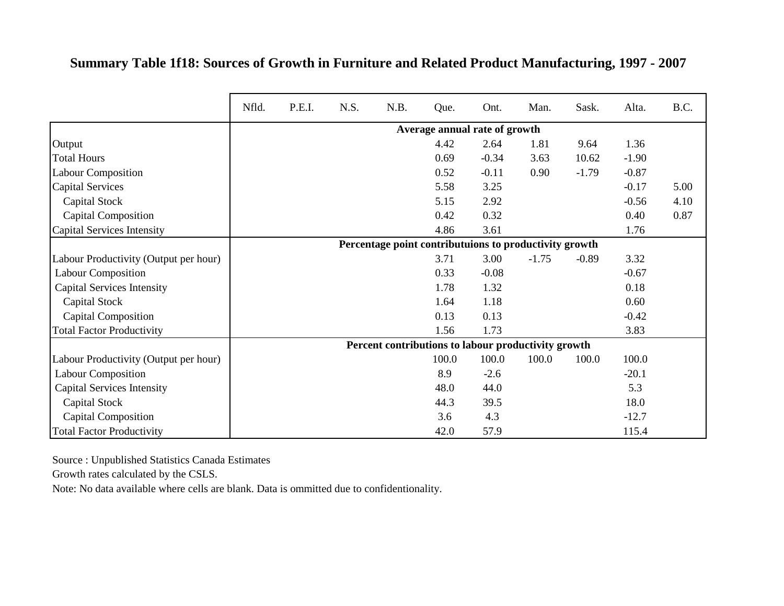#### **Summary Table 1f18: Sources of Growth in Furniture and Related Product Manufacturing, 1997 - 2007**

|                                       | Nfld. | P.E.I. | N.S. | N.B.                                                   | Que.  | Ont.                          | Man.    | Sask.   | Alta.   | B.C. |
|---------------------------------------|-------|--------|------|--------------------------------------------------------|-------|-------------------------------|---------|---------|---------|------|
|                                       |       |        |      |                                                        |       | Average annual rate of growth |         |         |         |      |
| Output                                |       |        |      |                                                        | 4.42  | 2.64                          | 1.81    | 9.64    | 1.36    |      |
| <b>Total Hours</b>                    |       |        |      |                                                        | 0.69  | $-0.34$                       | 3.63    | 10.62   | $-1.90$ |      |
| <b>Labour Composition</b>             |       |        |      |                                                        | 0.52  | $-0.11$                       | 0.90    | $-1.79$ | $-0.87$ |      |
| <b>Capital Services</b>               |       |        |      |                                                        | 5.58  | 3.25                          |         |         | $-0.17$ | 5.00 |
| Capital Stock                         |       |        |      |                                                        | 5.15  | 2.92                          |         |         | $-0.56$ | 4.10 |
| <b>Capital Composition</b>            |       |        |      |                                                        | 0.42  | 0.32                          |         |         | 0.40    | 0.87 |
| Capital Services Intensity            |       |        |      |                                                        | 4.86  | 3.61                          |         |         | 1.76    |      |
|                                       |       |        |      | Percentage point contributuions to productivity growth |       |                               |         |         |         |      |
| Labour Productivity (Output per hour) |       |        |      |                                                        | 3.71  | 3.00                          | $-1.75$ | $-0.89$ | 3.32    |      |
| <b>Labour Composition</b>             |       |        |      |                                                        | 0.33  | $-0.08$                       |         |         | $-0.67$ |      |
| <b>Capital Services Intensity</b>     |       |        |      |                                                        | 1.78  | 1.32                          |         |         | 0.18    |      |
| Capital Stock                         |       |        |      |                                                        | 1.64  | 1.18                          |         |         | 0.60    |      |
| <b>Capital Composition</b>            |       |        |      |                                                        | 0.13  | 0.13                          |         |         | $-0.42$ |      |
| <b>Total Factor Productivity</b>      |       |        |      |                                                        | 1.56  | 1.73                          |         |         | 3.83    |      |
|                                       |       |        |      | Percent contributions to labour productivity growth    |       |                               |         |         |         |      |
| Labour Productivity (Output per hour) |       |        |      |                                                        | 100.0 | 100.0                         | 100.0   | 100.0   | 100.0   |      |
| <b>Labour Composition</b>             |       |        |      |                                                        | 8.9   | $-2.6$                        |         |         | $-20.1$ |      |
| <b>Capital Services Intensity</b>     |       |        |      |                                                        | 48.0  | 44.0                          |         |         | 5.3     |      |
| Capital Stock                         |       |        |      |                                                        | 44.3  | 39.5                          |         |         | 18.0    |      |
| <b>Capital Composition</b>            |       |        |      |                                                        | 3.6   | 4.3                           |         |         | $-12.7$ |      |
| <b>Total Factor Productivity</b>      |       |        |      |                                                        | 42.0  | 57.9                          |         |         | 115.4   |      |

Source : Unpublished Statistics Canada Estimates

Growth rates calculated by the CSLS.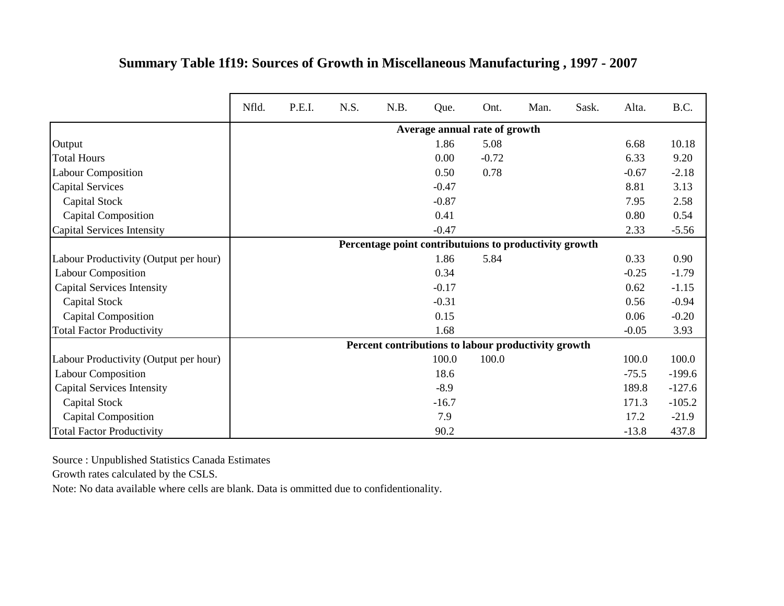|                                       | Nfld. | P.E.I. | N.S. | N.B.                                                   | Que.                          | Ont.    | Man. | Sask. | Alta.   | B.C.     |
|---------------------------------------|-------|--------|------|--------------------------------------------------------|-------------------------------|---------|------|-------|---------|----------|
|                                       |       |        |      |                                                        | Average annual rate of growth |         |      |       |         |          |
| Output                                |       |        |      |                                                        | 1.86                          | 5.08    |      |       | 6.68    | 10.18    |
| <b>Total Hours</b>                    |       |        |      |                                                        | 0.00                          | $-0.72$ |      |       | 6.33    | 9.20     |
| <b>Labour Composition</b>             |       |        |      |                                                        | 0.50                          | 0.78    |      |       | $-0.67$ | $-2.18$  |
| <b>Capital Services</b>               |       |        |      |                                                        | $-0.47$                       |         |      |       | 8.81    | 3.13     |
| Capital Stock                         |       |        |      |                                                        | $-0.87$                       |         |      |       | 7.95    | 2.58     |
| <b>Capital Composition</b>            |       |        |      |                                                        | 0.41                          |         |      |       | 0.80    | 0.54     |
| Capital Services Intensity            |       |        |      |                                                        | $-0.47$                       |         |      |       | 2.33    | $-5.56$  |
|                                       |       |        |      | Percentage point contributuions to productivity growth |                               |         |      |       |         |          |
| Labour Productivity (Output per hour) |       |        |      |                                                        | 1.86                          | 5.84    |      |       | 0.33    | 0.90     |
| <b>Labour Composition</b>             |       |        |      |                                                        | 0.34                          |         |      |       | $-0.25$ | $-1.79$  |
| <b>Capital Services Intensity</b>     |       |        |      |                                                        | $-0.17$                       |         |      |       | 0.62    | $-1.15$  |
| Capital Stock                         |       |        |      |                                                        | $-0.31$                       |         |      |       | 0.56    | $-0.94$  |
| <b>Capital Composition</b>            |       |        |      |                                                        | 0.15                          |         |      |       | 0.06    | $-0.20$  |
| <b>Total Factor Productivity</b>      |       |        |      |                                                        | 1.68                          |         |      |       | $-0.05$ | 3.93     |
|                                       |       |        |      | Percent contributions to labour productivity growth    |                               |         |      |       |         |          |
| Labour Productivity (Output per hour) |       |        |      |                                                        | 100.0                         | 100.0   |      |       | 100.0   | 100.0    |
| <b>Labour Composition</b>             |       |        |      |                                                        | 18.6                          |         |      |       | $-75.5$ | $-199.6$ |
| <b>Capital Services Intensity</b>     |       |        |      |                                                        | $-8.9$                        |         |      |       | 189.8   | $-127.6$ |
| Capital Stock                         |       |        |      |                                                        | $-16.7$                       |         |      |       | 171.3   | $-105.2$ |
| <b>Capital Composition</b>            |       |        |      |                                                        | 7.9                           |         |      |       | 17.2    | $-21.9$  |
| <b>Total Factor Productivity</b>      |       |        |      |                                                        | 90.2                          |         |      |       | $-13.8$ | 437.8    |

## **Summary Table 1f19: Sources of Growth in Miscellaneous Manufacturing , 1997 - 2007**

Source : Unpublished Statistics Canada Estimates

Growth rates calculated by the CSLS.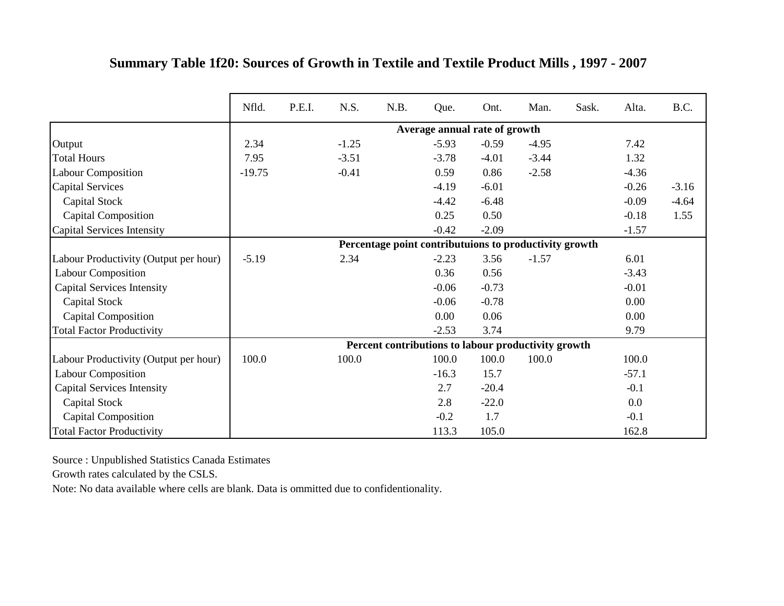|                                       | Nfld.    | P.E.I. | N.S.    | N.B. | Que.                                                   | Ont.    | Man.    | Sask. | Alta.   | B.C.    |
|---------------------------------------|----------|--------|---------|------|--------------------------------------------------------|---------|---------|-------|---------|---------|
|                                       |          |        |         |      | Average annual rate of growth                          |         |         |       |         |         |
| Output                                | 2.34     |        | $-1.25$ |      | $-5.93$                                                | $-0.59$ | $-4.95$ |       | 7.42    |         |
| <b>Total Hours</b>                    | 7.95     |        | $-3.51$ |      | $-3.78$                                                | $-4.01$ | $-3.44$ |       | 1.32    |         |
| <b>Labour Composition</b>             | $-19.75$ |        | $-0.41$ |      | 0.59                                                   | 0.86    | $-2.58$ |       | $-4.36$ |         |
| <b>Capital Services</b>               |          |        |         |      | $-4.19$                                                | $-6.01$ |         |       | $-0.26$ | $-3.16$ |
| Capital Stock                         |          |        |         |      | $-4.42$                                                | $-6.48$ |         |       | $-0.09$ | $-4.64$ |
| <b>Capital Composition</b>            |          |        |         |      | 0.25                                                   | 0.50    |         |       | $-0.18$ | 1.55    |
| Capital Services Intensity            |          |        |         |      | $-0.42$                                                | $-2.09$ |         |       | $-1.57$ |         |
|                                       |          |        |         |      | Percentage point contributuions to productivity growth |         |         |       |         |         |
| Labour Productivity (Output per hour) | $-5.19$  |        | 2.34    |      | $-2.23$                                                | 3.56    | $-1.57$ |       | 6.01    |         |
| <b>Labour Composition</b>             |          |        |         |      | 0.36                                                   | 0.56    |         |       | $-3.43$ |         |
| <b>Capital Services Intensity</b>     |          |        |         |      | $-0.06$                                                | $-0.73$ |         |       | $-0.01$ |         |
| Capital Stock                         |          |        |         |      | $-0.06$                                                | $-0.78$ |         |       | 0.00    |         |
| <b>Capital Composition</b>            |          |        |         |      | 0.00                                                   | 0.06    |         |       | 0.00    |         |
| <b>Total Factor Productivity</b>      |          |        |         |      | $-2.53$                                                | 3.74    |         |       | 9.79    |         |
|                                       |          |        |         |      | Percent contributions to labour productivity growth    |         |         |       |         |         |
| Labour Productivity (Output per hour) | 100.0    |        | 100.0   |      | 100.0                                                  | 100.0   | 100.0   |       | 100.0   |         |
| <b>Labour Composition</b>             |          |        |         |      | $-16.3$                                                | 15.7    |         |       | $-57.1$ |         |
| <b>Capital Services Intensity</b>     |          |        |         |      | 2.7                                                    | $-20.4$ |         |       | $-0.1$  |         |
| Capital Stock                         |          |        |         |      | 2.8                                                    | $-22.0$ |         |       | 0.0     |         |
| <b>Capital Composition</b>            |          |        |         |      | $-0.2$                                                 | 1.7     |         |       | $-0.1$  |         |
| <b>Total Factor Productivity</b>      |          |        |         |      | 113.3                                                  | 105.0   |         |       | 162.8   |         |

#### **Summary Table 1f20: Sources of Growth in Textile and Textile Product Mills , 1997 - 2007**

Source : Unpublished Statistics Canada Estimates

Growth rates calculated by the CSLS.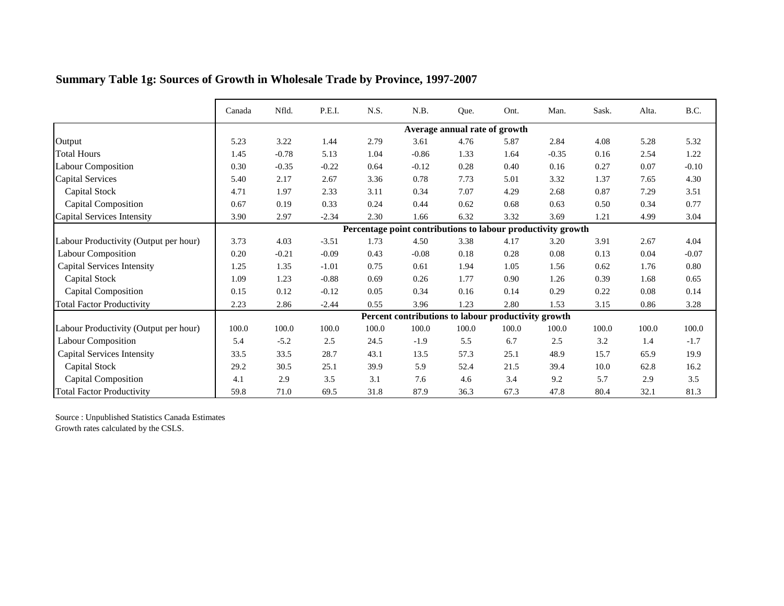|                                       | Canada | Nfld.   | P.E.I.  | N.S.  | N.B.                                                         | Que.                          | Ont.  | Man.    | Sask. | Alta. | B.C.     |
|---------------------------------------|--------|---------|---------|-------|--------------------------------------------------------------|-------------------------------|-------|---------|-------|-------|----------|
|                                       |        |         |         |       |                                                              | Average annual rate of growth |       |         |       |       |          |
| Output                                | 5.23   | 3.22    | 1.44    | 2.79  | 3.61                                                         | 4.76                          | 5.87  | 2.84    | 4.08  | 5.28  | 5.32     |
| <b>Total Hours</b>                    | 1.45   | $-0.78$ | 5.13    | 1.04  | $-0.86$                                                      | 1.33                          | 1.64  | $-0.35$ | 0.16  | 2.54  | 1.22     |
| <b>Labour Composition</b>             | 0.30   | $-0.35$ | $-0.22$ | 0.64  | $-0.12$                                                      | 0.28                          | 0.40  | 0.16    | 0.27  | 0.07  | $-0.10$  |
| <b>Capital Services</b>               | 5.40   | 2.17    | 2.67    | 3.36  | 0.78                                                         | 7.73                          | 5.01  | 3.32    | 1.37  | 7.65  | 4.30     |
| Capital Stock                         | 4.71   | 1.97    | 2.33    | 3.11  | 0.34                                                         | 7.07                          | 4.29  | 2.68    | 0.87  | 7.29  | 3.51     |
| <b>Capital Composition</b>            | 0.67   | 0.19    | 0.33    | 0.24  | 0.44                                                         | 0.62                          | 0.68  | 0.63    | 0.50  | 0.34  | 0.77     |
| Capital Services Intensity            | 3.90   | 2.97    | $-2.34$ | 2.30  | 1.66                                                         | 6.32                          | 3.32  | 3.69    | 1.21  | 4.99  | 3.04     |
|                                       |        |         |         |       | Percentage point contributions to labour productivity growth |                               |       |         |       |       |          |
| Labour Productivity (Output per hour) | 3.73   | 4.03    | $-3.51$ | 1.73  | 4.50                                                         | 3.38                          | 4.17  | 3.20    | 3.91  | 2.67  | 4.04     |
| <b>Labour Composition</b>             | 0.20   | $-0.21$ | $-0.09$ | 0.43  | $-0.08$                                                      | 0.18                          | 0.28  | 0.08    | 0.13  | 0.04  | $-0.07$  |
| <b>Capital Services Intensity</b>     | 1.25   | 1.35    | $-1.01$ | 0.75  | 0.61                                                         | 1.94                          | 1.05  | 1.56    | 0.62  | 1.76  | $0.80\,$ |
| <b>Capital Stock</b>                  | 1.09   | 1.23    | $-0.88$ | 0.69  | 0.26                                                         | 1.77                          | 0.90  | 1.26    | 0.39  | 1.68  | 0.65     |
| <b>Capital Composition</b>            | 0.15   | 0.12    | $-0.12$ | 0.05  | 0.34                                                         | 0.16                          | 0.14  | 0.29    | 0.22  | 0.08  | 0.14     |
| <b>Total Factor Productivity</b>      | 2.23   | 2.86    | $-2.44$ | 0.55  | 3.96                                                         | 1.23                          | 2.80  | 1.53    | 3.15  | 0.86  | 3.28     |
|                                       |        |         |         |       | Percent contributions to labour productivity growth          |                               |       |         |       |       |          |
| Labour Productivity (Output per hour) | 100.0  | 100.0   | 100.0   | 100.0 | 100.0                                                        | 100.0                         | 100.0 | 100.0   | 100.0 | 100.0 | 100.0    |
| <b>Labour Composition</b>             | 5.4    | $-5.2$  | 2.5     | 24.5  | $-1.9$                                                       | 5.5                           | 6.7   | 2.5     | 3.2   | 1.4   | $-1.7$   |
| <b>Capital Services Intensity</b>     | 33.5   | 33.5    | 28.7    | 43.1  | 13.5                                                         | 57.3                          | 25.1  | 48.9    | 15.7  | 65.9  | 19.9     |
| Capital Stock                         | 29.2   | 30.5    | 25.1    | 39.9  | 5.9                                                          | 52.4                          | 21.5  | 39.4    | 10.0  | 62.8  | 16.2     |
| <b>Capital Composition</b>            | 4.1    | 2.9     | 3.5     | 3.1   | 7.6                                                          | 4.6                           | 3.4   | 9.2     | 5.7   | 2.9   | 3.5      |
| <b>Total Factor Productivity</b>      | 59.8   | 71.0    | 69.5    | 31.8  | 87.9                                                         | 36.3                          | 67.3  | 47.8    | 80.4  | 32.1  | 81.3     |

## **Summary Table 1g: Sources of Growth in Wholesale Trade by Province, 1997-2007**

Source : Unpublished Statistics Canada Estimates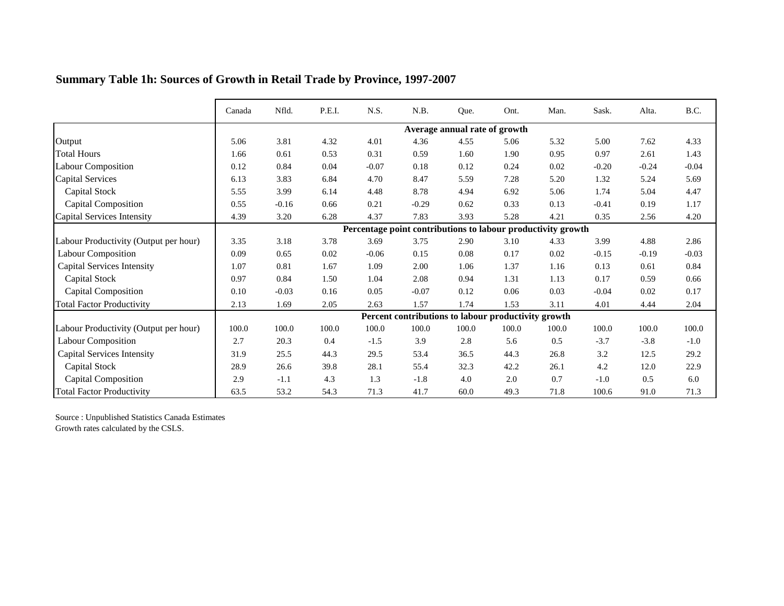|                                       | Canada | Nfld.   | P.E.I. | N.S.    | N.B.                                                         | Que.                          | Ont.  | Man.     | Sask.   | Alta.    | B.C.    |
|---------------------------------------|--------|---------|--------|---------|--------------------------------------------------------------|-------------------------------|-------|----------|---------|----------|---------|
|                                       |        |         |        |         |                                                              | Average annual rate of growth |       |          |         |          |         |
| Output                                | 5.06   | 3.81    | 4.32   | 4.01    | 4.36                                                         | 4.55                          | 5.06  | 5.32     | 5.00    | 7.62     | 4.33    |
| <b>Total Hours</b>                    | 1.66   | 0.61    | 0.53   | 0.31    | 0.59                                                         | 1.60                          | 1.90  | 0.95     | 0.97    | 2.61     | 1.43    |
| <b>Labour Composition</b>             | 0.12   | 0.84    | 0.04   | $-0.07$ | 0.18                                                         | 0.12                          | 0.24  | $0.02\,$ | $-0.20$ | $-0.24$  | $-0.04$ |
| <b>Capital Services</b>               | 6.13   | 3.83    | 6.84   | 4.70    | 8.47                                                         | 5.59                          | 7.28  | 5.20     | 1.32    | 5.24     | 5.69    |
| <b>Capital Stock</b>                  | 5.55   | 3.99    | 6.14   | 4.48    | 8.78                                                         | 4.94                          | 6.92  | 5.06     | 1.74    | 5.04     | 4.47    |
| <b>Capital Composition</b>            | 0.55   | $-0.16$ | 0.66   | 0.21    | $-0.29$                                                      | 0.62                          | 0.33  | 0.13     | $-0.41$ | 0.19     | 1.17    |
| Capital Services Intensity            | 4.39   | 3.20    | 6.28   | 4.37    | 7.83                                                         | 3.93                          | 5.28  | 4.21     | 0.35    | 2.56     | 4.20    |
|                                       |        |         |        |         | Percentage point contributions to labour productivity growth |                               |       |          |         |          |         |
| Labour Productivity (Output per hour) | 3.35   | 3.18    | 3.78   | 3.69    | 3.75                                                         | 2.90                          | 3.10  | 4.33     | 3.99    | 4.88     | 2.86    |
| <b>Labour Composition</b>             | 0.09   | 0.65    | 0.02   | $-0.06$ | 0.15                                                         | 0.08                          | 0.17  | 0.02     | $-0.15$ | $-0.19$  | $-0.03$ |
| <b>Capital Services Intensity</b>     | 1.07   | 0.81    | 1.67   | 1.09    | 2.00                                                         | 1.06                          | 1.37  | 1.16     | 0.13    | 0.61     | 0.84    |
| Capital Stock                         | 0.97   | 0.84    | 1.50   | 1.04    | 2.08                                                         | 0.94                          | 1.31  | 1.13     | 0.17    | 0.59     | 0.66    |
| <b>Capital Composition</b>            | 0.10   | $-0.03$ | 0.16   | 0.05    | $-0.07$                                                      | 0.12                          | 0.06  | 0.03     | $-0.04$ | $0.02\,$ | 0.17    |
| <b>Total Factor Productivity</b>      | 2.13   | 1.69    | 2.05   | 2.63    | 1.57                                                         | 1.74                          | 1.53  | 3.11     | 4.01    | 4.44     | 2.04    |
|                                       |        |         |        |         | Percent contributions to labour productivity growth          |                               |       |          |         |          |         |
| Labour Productivity (Output per hour) | 100.0  | 100.0   | 100.0  | 100.0   | 100.0                                                        | 100.0                         | 100.0 | 100.0    | 100.0   | 100.0    | 100.0   |
| <b>Labour Composition</b>             | 2.7    | 20.3    | 0.4    | $-1.5$  | 3.9                                                          | 2.8                           | 5.6   | 0.5      | $-3.7$  | $-3.8$   | $-1.0$  |
| <b>Capital Services Intensity</b>     | 31.9   | 25.5    | 44.3   | 29.5    | 53.4                                                         | 36.5                          | 44.3  | 26.8     | 3.2     | 12.5     | 29.2    |
| Capital Stock                         | 28.9   | 26.6    | 39.8   | 28.1    | 55.4                                                         | 32.3                          | 42.2  | 26.1     | 4.2     | 12.0     | 22.9    |
| <b>Capital Composition</b>            | 2.9    | $-1.1$  | 4.3    | 1.3     | $-1.8$                                                       | 4.0                           | 2.0   | 0.7      | $-1.0$  | 0.5      | 6.0     |
| <b>Total Factor Productivity</b>      | 63.5   | 53.2    | 54.3   | 71.3    | 41.7                                                         | 60.0                          | 49.3  | 71.8     | 100.6   | 91.0     | 71.3    |

## **Summary Table 1h: Sources of Growth in Retail Trade by Province, 1997-2007**

Source : Unpublished Statistics Canada Estimates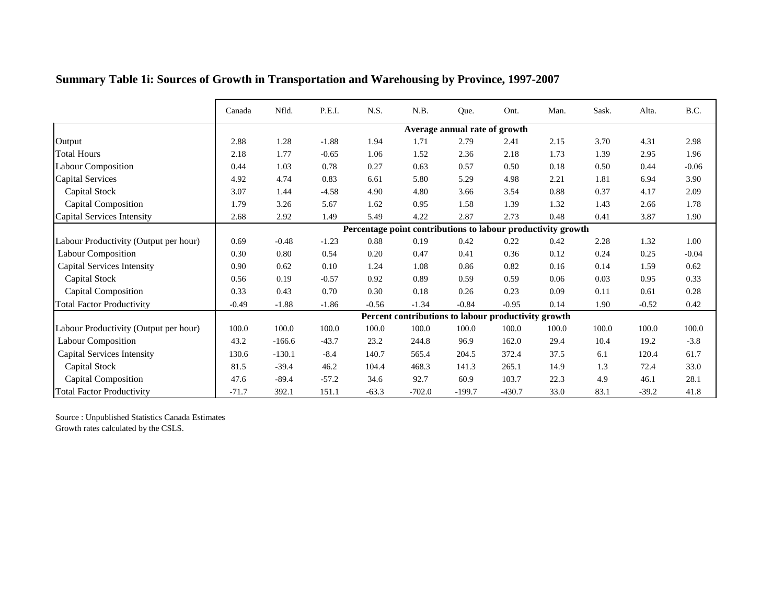|                                       | Canada  | Nfld.    | P.E.I.  | N.S.    | N.B.     | Que.                          | Ont.                                                         | Man.  | Sask. | Alta.   | B.C.    |
|---------------------------------------|---------|----------|---------|---------|----------|-------------------------------|--------------------------------------------------------------|-------|-------|---------|---------|
|                                       |         |          |         |         |          | Average annual rate of growth |                                                              |       |       |         |         |
| Output                                | 2.88    | 1.28     | $-1.88$ | 1.94    | 1.71     | 2.79                          | 2.41                                                         | 2.15  | 3.70  | 4.31    | 2.98    |
| <b>Total Hours</b>                    | 2.18    | 1.77     | $-0.65$ | 1.06    | 1.52     | 2.36                          | 2.18                                                         | 1.73  | 1.39  | 2.95    | 1.96    |
| <b>Labour Composition</b>             | 0.44    | 1.03     | 0.78    | 0.27    | 0.63     | 0.57                          | 0.50                                                         | 0.18  | 0.50  | 0.44    | $-0.06$ |
| <b>Capital Services</b>               | 4.92    | 4.74     | 0.83    | 6.61    | 5.80     | 5.29                          | 4.98                                                         | 2.21  | 1.81  | 6.94    | 3.90    |
| Capital Stock                         | 3.07    | 1.44     | $-4.58$ | 4.90    | 4.80     | 3.66                          | 3.54                                                         | 0.88  | 0.37  | 4.17    | 2.09    |
| Capital Composition                   | 1.79    | 3.26     | 5.67    | 1.62    | 0.95     | 1.58                          | 1.39                                                         | 1.32  | 1.43  | 2.66    | 1.78    |
| Capital Services Intensity            | 2.68    | 2.92     | 1.49    | 5.49    | 4.22     | 2.87                          | 2.73                                                         | 0.48  | 0.41  | 3.87    | 1.90    |
|                                       |         |          |         |         |          |                               | Percentage point contributions to labour productivity growth |       |       |         |         |
| Labour Productivity (Output per hour) | 0.69    | $-0.48$  | $-1.23$ | 0.88    | 0.19     | 0.42                          | 0.22                                                         | 0.42  | 2.28  | 1.32    | 1.00    |
| <b>Labour Composition</b>             | 0.30    | 0.80     | 0.54    | 0.20    | 0.47     | 0.41                          | 0.36                                                         | 0.12  | 0.24  | 0.25    | $-0.04$ |
| <b>Capital Services Intensity</b>     | 0.90    | 0.62     | 0.10    | 1.24    | 1.08     | 0.86                          | 0.82                                                         | 0.16  | 0.14  | 1.59    | 0.62    |
| <b>Capital Stock</b>                  | 0.56    | 0.19     | $-0.57$ | 0.92    | 0.89     | 0.59                          | 0.59                                                         | 0.06  | 0.03  | 0.95    | 0.33    |
| <b>Capital Composition</b>            | 0.33    | 0.43     | 0.70    | 0.30    | 0.18     | 0.26                          | 0.23                                                         | 0.09  | 0.11  | 0.61    | 0.28    |
| <b>Total Factor Productivity</b>      | $-0.49$ | $-1.88$  | $-1.86$ | $-0.56$ | $-1.34$  | $-0.84$                       | $-0.95$                                                      | 0.14  | 1.90  | $-0.52$ | 0.42    |
|                                       |         |          |         |         |          |                               | Percent contributions to labour productivity growth          |       |       |         |         |
| Labour Productivity (Output per hour) | 100.0   | 100.0    | 100.0   | 100.0   | 100.0    | 100.0                         | 100.0                                                        | 100.0 | 100.0 | 100.0   | 100.0   |
| <b>Labour Composition</b>             | 43.2    | $-166.6$ | $-43.7$ | 23.2    | 244.8    | 96.9                          | 162.0                                                        | 29.4  | 10.4  | 19.2    | $-3.8$  |
| <b>Capital Services Intensity</b>     | 130.6   | $-130.1$ | $-8.4$  | 140.7   | 565.4    | 204.5                         | 372.4                                                        | 37.5  | 6.1   | 120.4   | 61.7    |
| Capital Stock                         | 81.5    | $-39.4$  | 46.2    | 104.4   | 468.3    | 141.3                         | 265.1                                                        | 14.9  | 1.3   | 72.4    | 33.0    |
| <b>Capital Composition</b>            | 47.6    | $-89.4$  | $-57.2$ | 34.6    | 92.7     | 60.9                          | 103.7                                                        | 22.3  | 4.9   | 46.1    | 28.1    |
| <b>Total Factor Productivity</b>      | $-71.7$ | 392.1    | 151.1   | $-63.3$ | $-702.0$ | $-199.7$                      | $-430.7$                                                     | 33.0  | 83.1  | $-39.2$ | 41.8    |

## **Summary Table 1i: Sources of Growth in Transportation and Warehousing by Province, 1997-2007**

Source : Unpublished Statistics Canada Estimates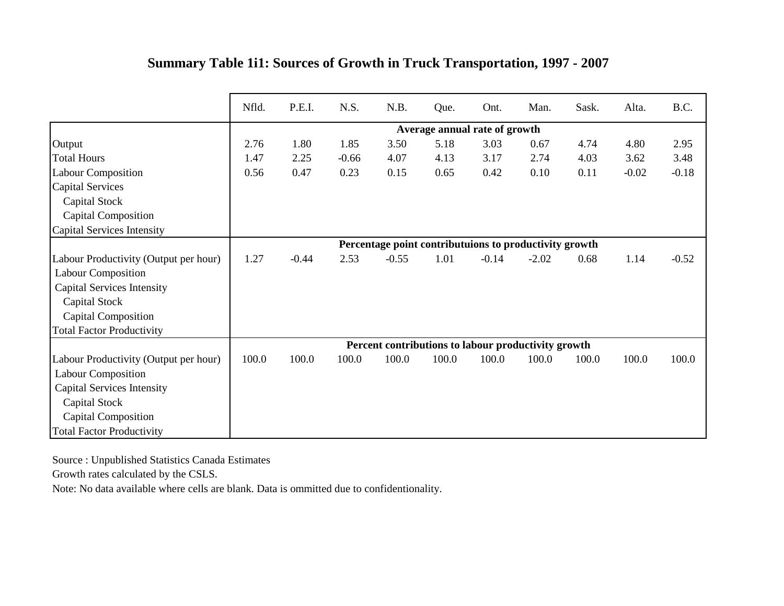|                                       | Nfld. | P.E.I.  | N.S.    | N.B.                                                   | Que.                          | Ont.    | Man.    | Sask. | Alta.   | B.C.    |
|---------------------------------------|-------|---------|---------|--------------------------------------------------------|-------------------------------|---------|---------|-------|---------|---------|
|                                       |       |         |         |                                                        | Average annual rate of growth |         |         |       |         |         |
| Output                                | 2.76  | 1.80    | 1.85    | 3.50                                                   | 5.18                          | 3.03    | 0.67    | 4.74  | 4.80    | 2.95    |
| <b>Total Hours</b>                    | 1.47  | 2.25    | $-0.66$ | 4.07                                                   | 4.13                          | 3.17    | 2.74    | 4.03  | 3.62    | 3.48    |
| <b>Labour Composition</b>             | 0.56  | 0.47    | 0.23    | 0.15                                                   | 0.65                          | 0.42    | 0.10    | 0.11  | $-0.02$ | $-0.18$ |
| <b>Capital Services</b>               |       |         |         |                                                        |                               |         |         |       |         |         |
| Capital Stock                         |       |         |         |                                                        |                               |         |         |       |         |         |
| <b>Capital Composition</b>            |       |         |         |                                                        |                               |         |         |       |         |         |
| Capital Services Intensity            |       |         |         |                                                        |                               |         |         |       |         |         |
|                                       |       |         |         | Percentage point contributuions to productivity growth |                               |         |         |       |         |         |
| Labour Productivity (Output per hour) | 1.27  | $-0.44$ | 2.53    | $-0.55$                                                | 1.01                          | $-0.14$ | $-2.02$ | 0.68  | 1.14    | $-0.52$ |
| <b>Labour Composition</b>             |       |         |         |                                                        |                               |         |         |       |         |         |
| <b>Capital Services Intensity</b>     |       |         |         |                                                        |                               |         |         |       |         |         |
| Capital Stock                         |       |         |         |                                                        |                               |         |         |       |         |         |
| <b>Capital Composition</b>            |       |         |         |                                                        |                               |         |         |       |         |         |
| <b>Total Factor Productivity</b>      |       |         |         |                                                        |                               |         |         |       |         |         |
|                                       |       |         |         | Percent contributions to labour productivity growth    |                               |         |         |       |         |         |
| Labour Productivity (Output per hour) | 100.0 | 100.0   | 100.0   | 100.0                                                  | 100.0                         | 100.0   | 100.0   | 100.0 | 100.0   | 100.0   |
| <b>Labour Composition</b>             |       |         |         |                                                        |                               |         |         |       |         |         |
| <b>Capital Services Intensity</b>     |       |         |         |                                                        |                               |         |         |       |         |         |
| Capital Stock                         |       |         |         |                                                        |                               |         |         |       |         |         |
| <b>Capital Composition</b>            |       |         |         |                                                        |                               |         |         |       |         |         |
| <b>Total Factor Productivity</b>      |       |         |         |                                                        |                               |         |         |       |         |         |

## **Summary Table 1i1: Sources of Growth in Truck Transportation, 1997 - 2007**

Source : Unpublished Statistics Canada Estimates

Growth rates calculated by the CSLS.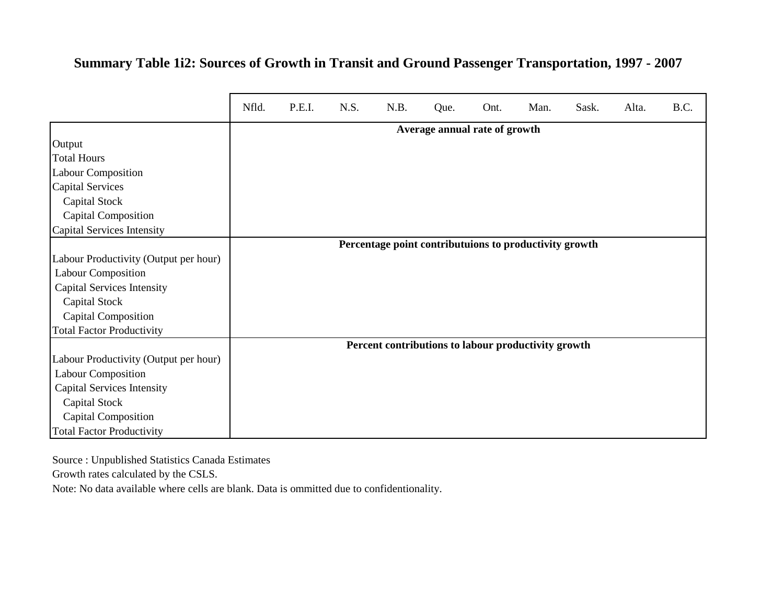## **Summary Table 1i2: Sources of Growth in Transit and Ground Passenger Transportation, 1997 - 2007**

|                                       | Nfld. | P.E.I. | N.S. | N.B.                                                   | Que.                          | Ont. | Man. | Sask. | Alta. | B.C. |
|---------------------------------------|-------|--------|------|--------------------------------------------------------|-------------------------------|------|------|-------|-------|------|
|                                       |       |        |      |                                                        | Average annual rate of growth |      |      |       |       |      |
| Output                                |       |        |      |                                                        |                               |      |      |       |       |      |
| <b>Total Hours</b>                    |       |        |      |                                                        |                               |      |      |       |       |      |
| <b>Labour Composition</b>             |       |        |      |                                                        |                               |      |      |       |       |      |
| <b>Capital Services</b>               |       |        |      |                                                        |                               |      |      |       |       |      |
| Capital Stock                         |       |        |      |                                                        |                               |      |      |       |       |      |
| <b>Capital Composition</b>            |       |        |      |                                                        |                               |      |      |       |       |      |
| Capital Services Intensity            |       |        |      |                                                        |                               |      |      |       |       |      |
|                                       |       |        |      | Percentage point contributuions to productivity growth |                               |      |      |       |       |      |
| Labour Productivity (Output per hour) |       |        |      |                                                        |                               |      |      |       |       |      |
| <b>Labour Composition</b>             |       |        |      |                                                        |                               |      |      |       |       |      |
| <b>Capital Services Intensity</b>     |       |        |      |                                                        |                               |      |      |       |       |      |
| Capital Stock                         |       |        |      |                                                        |                               |      |      |       |       |      |
| Capital Composition                   |       |        |      |                                                        |                               |      |      |       |       |      |
| <b>Total Factor Productivity</b>      |       |        |      |                                                        |                               |      |      |       |       |      |
|                                       |       |        |      | Percent contributions to labour productivity growth    |                               |      |      |       |       |      |
| Labour Productivity (Output per hour) |       |        |      |                                                        |                               |      |      |       |       |      |
| <b>Labour Composition</b>             |       |        |      |                                                        |                               |      |      |       |       |      |
| <b>Capital Services Intensity</b>     |       |        |      |                                                        |                               |      |      |       |       |      |
| Capital Stock                         |       |        |      |                                                        |                               |      |      |       |       |      |
| Capital Composition                   |       |        |      |                                                        |                               |      |      |       |       |      |
| <b>Total Factor Productivity</b>      |       |        |      |                                                        |                               |      |      |       |       |      |

Source : Unpublished Statistics Canada Estimates

Growth rates calculated by the CSLS.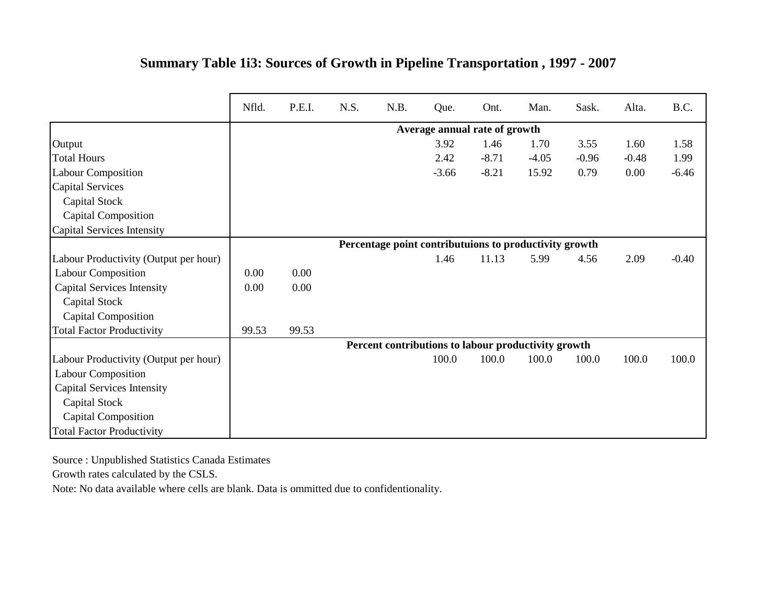|                                       | Nfld. | P.E.I. | N.S. | N.B. | Que.                                                   | Ont.    | Man.    | Sask.   | Alta.   | B.C.    |
|---------------------------------------|-------|--------|------|------|--------------------------------------------------------|---------|---------|---------|---------|---------|
|                                       |       |        |      |      | Average annual rate of growth                          |         |         |         |         |         |
| Output                                |       |        |      |      | 3.92                                                   | 1.46    | 1.70    | 3.55    | 1.60    | 1.58    |
| <b>Total Hours</b>                    |       |        |      |      | 2.42                                                   | $-8.71$ | $-4.05$ | $-0.96$ | $-0.48$ | 1.99    |
| <b>Labour Composition</b>             |       |        |      |      | $-3.66$                                                | $-8.21$ | 15.92   | 0.79    | 0.00    | $-6.46$ |
| <b>Capital Services</b>               |       |        |      |      |                                                        |         |         |         |         |         |
| Capital Stock                         |       |        |      |      |                                                        |         |         |         |         |         |
| <b>Capital Composition</b>            |       |        |      |      |                                                        |         |         |         |         |         |
| <b>Capital Services Intensity</b>     |       |        |      |      |                                                        |         |         |         |         |         |
|                                       |       |        |      |      | Percentage point contributuions to productivity growth |         |         |         |         |         |
| Labour Productivity (Output per hour) |       |        |      |      | 1.46                                                   | 11.13   | 5.99    | 4.56    | 2.09    | $-0.40$ |
| <b>Labour Composition</b>             | 0.00  | 0.00   |      |      |                                                        |         |         |         |         |         |
| <b>Capital Services Intensity</b>     | 0.00  | 0.00   |      |      |                                                        |         |         |         |         |         |
| Capital Stock                         |       |        |      |      |                                                        |         |         |         |         |         |
| <b>Capital Composition</b>            |       |        |      |      |                                                        |         |         |         |         |         |
| <b>Total Factor Productivity</b>      | 99.53 | 99.53  |      |      |                                                        |         |         |         |         |         |
|                                       |       |        |      |      | Percent contributions to labour productivity growth    |         |         |         |         |         |
| Labour Productivity (Output per hour) |       |        |      |      | 100.0                                                  | 100.0   | 100.0   | 100.0   | 100.0   | 100.0   |
| <b>Labour Composition</b>             |       |        |      |      |                                                        |         |         |         |         |         |
| <b>Capital Services Intensity</b>     |       |        |      |      |                                                        |         |         |         |         |         |
| Capital Stock                         |       |        |      |      |                                                        |         |         |         |         |         |
| <b>Capital Composition</b>            |       |        |      |      |                                                        |         |         |         |         |         |
| <b>Total Factor Productivity</b>      |       |        |      |      |                                                        |         |         |         |         |         |

## **Summary Table 1i3: Sources of Growth in Pipeline Transportation , 1997 - 2007**

Source : Unpublished Statistics Canada Estimates

Growth rates calculated by the CSLS.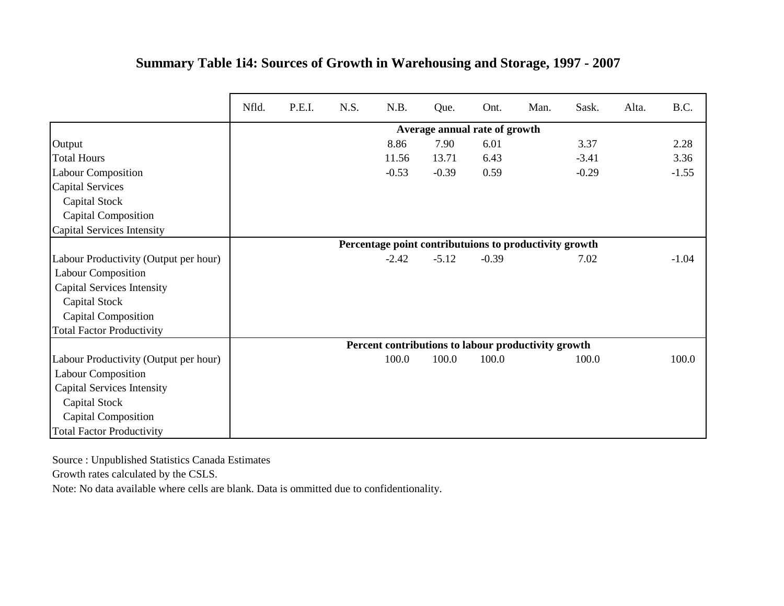|                                       | Nfld. | P.E.I. | N.S. | N.B.                                                   | Que.                          | Ont.    | Man. | Sask.   | Alta. | B.C.    |
|---------------------------------------|-------|--------|------|--------------------------------------------------------|-------------------------------|---------|------|---------|-------|---------|
|                                       |       |        |      |                                                        | Average annual rate of growth |         |      |         |       |         |
| Output                                |       |        |      | 8.86                                                   | 7.90                          | 6.01    |      | 3.37    |       | 2.28    |
| <b>Total Hours</b>                    |       |        |      | 11.56                                                  | 13.71                         | 6.43    |      | $-3.41$ |       | 3.36    |
| <b>Labour Composition</b>             |       |        |      | $-0.53$                                                | $-0.39$                       | 0.59    |      | $-0.29$ |       | $-1.55$ |
| <b>Capital Services</b>               |       |        |      |                                                        |                               |         |      |         |       |         |
| Capital Stock                         |       |        |      |                                                        |                               |         |      |         |       |         |
| <b>Capital Composition</b>            |       |        |      |                                                        |                               |         |      |         |       |         |
| Capital Services Intensity            |       |        |      |                                                        |                               |         |      |         |       |         |
|                                       |       |        |      | Percentage point contributuions to productivity growth |                               |         |      |         |       |         |
| Labour Productivity (Output per hour) |       |        |      | $-2.42$                                                | $-5.12$                       | $-0.39$ |      | 7.02    |       | $-1.04$ |
| <b>Labour Composition</b>             |       |        |      |                                                        |                               |         |      |         |       |         |
| <b>Capital Services Intensity</b>     |       |        |      |                                                        |                               |         |      |         |       |         |
| Capital Stock                         |       |        |      |                                                        |                               |         |      |         |       |         |
| <b>Capital Composition</b>            |       |        |      |                                                        |                               |         |      |         |       |         |
| <b>Total Factor Productivity</b>      |       |        |      |                                                        |                               |         |      |         |       |         |
|                                       |       |        |      | Percent contributions to labour productivity growth    |                               |         |      |         |       |         |
| Labour Productivity (Output per hour) |       |        |      | 100.0                                                  | 100.0                         | 100.0   |      | 100.0   |       | 100.0   |
| <b>Labour Composition</b>             |       |        |      |                                                        |                               |         |      |         |       |         |
| <b>Capital Services Intensity</b>     |       |        |      |                                                        |                               |         |      |         |       |         |
| Capital Stock                         |       |        |      |                                                        |                               |         |      |         |       |         |
| <b>Capital Composition</b>            |       |        |      |                                                        |                               |         |      |         |       |         |
| <b>Total Factor Productivity</b>      |       |        |      |                                                        |                               |         |      |         |       |         |

## **Summary Table 1i4: Sources of Growth in Warehousing and Storage, 1997 - 2007**

Source : Unpublished Statistics Canada Estimates

Growth rates calculated by the CSLS.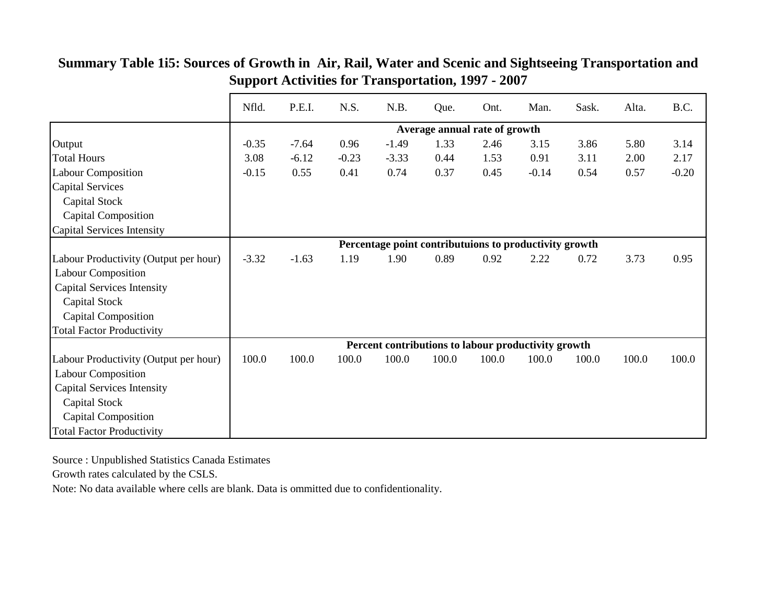|                                       | Nfld.   | P.E.I.  | N.S.    | N.B.                                                   | Que.  | Ont.                          | Man.    | Sask. | Alta. | B.C.    |
|---------------------------------------|---------|---------|---------|--------------------------------------------------------|-------|-------------------------------|---------|-------|-------|---------|
|                                       |         |         |         |                                                        |       | Average annual rate of growth |         |       |       |         |
| Output                                | $-0.35$ | $-7.64$ | 0.96    | $-1.49$                                                | 1.33  | 2.46                          | 3.15    | 3.86  | 5.80  | 3.14    |
| <b>Total Hours</b>                    | 3.08    | $-6.12$ | $-0.23$ | $-3.33$                                                | 0.44  | 1.53                          | 0.91    | 3.11  | 2.00  | 2.17    |
| <b>Labour Composition</b>             | $-0.15$ | 0.55    | 0.41    | 0.74                                                   | 0.37  | 0.45                          | $-0.14$ | 0.54  | 0.57  | $-0.20$ |
| <b>Capital Services</b>               |         |         |         |                                                        |       |                               |         |       |       |         |
| Capital Stock                         |         |         |         |                                                        |       |                               |         |       |       |         |
| <b>Capital Composition</b>            |         |         |         |                                                        |       |                               |         |       |       |         |
| Capital Services Intensity            |         |         |         |                                                        |       |                               |         |       |       |         |
|                                       |         |         |         | Percentage point contributuions to productivity growth |       |                               |         |       |       |         |
| Labour Productivity (Output per hour) | $-3.32$ | $-1.63$ | 1.19    | 1.90                                                   | 0.89  | 0.92                          | 2.22    | 0.72  | 3.73  | 0.95    |
| <b>Labour Composition</b>             |         |         |         |                                                        |       |                               |         |       |       |         |
| <b>Capital Services Intensity</b>     |         |         |         |                                                        |       |                               |         |       |       |         |
| Capital Stock                         |         |         |         |                                                        |       |                               |         |       |       |         |
| <b>Capital Composition</b>            |         |         |         |                                                        |       |                               |         |       |       |         |
| <b>Total Factor Productivity</b>      |         |         |         |                                                        |       |                               |         |       |       |         |
|                                       |         |         |         | Percent contributions to labour productivity growth    |       |                               |         |       |       |         |
| Labour Productivity (Output per hour) | 100.0   | 100.0   | 100.0   | 100.0                                                  | 100.0 | 100.0                         | 100.0   | 100.0 | 100.0 | 100.0   |
| <b>Labour Composition</b>             |         |         |         |                                                        |       |                               |         |       |       |         |
| <b>Capital Services Intensity</b>     |         |         |         |                                                        |       |                               |         |       |       |         |
| <b>Capital Stock</b>                  |         |         |         |                                                        |       |                               |         |       |       |         |
| Capital Composition                   |         |         |         |                                                        |       |                               |         |       |       |         |
| <b>Total Factor Productivity</b>      |         |         |         |                                                        |       |                               |         |       |       |         |

#### **Summary Table 1i5: Sources of Growth in Air, Rail, Water and Scenic and Sightseeing Transportation and Support Activities for Transportation, 1997 - 2007**

Source : Unpublished Statistics Canada Estimates

Growth rates calculated by the CSLS.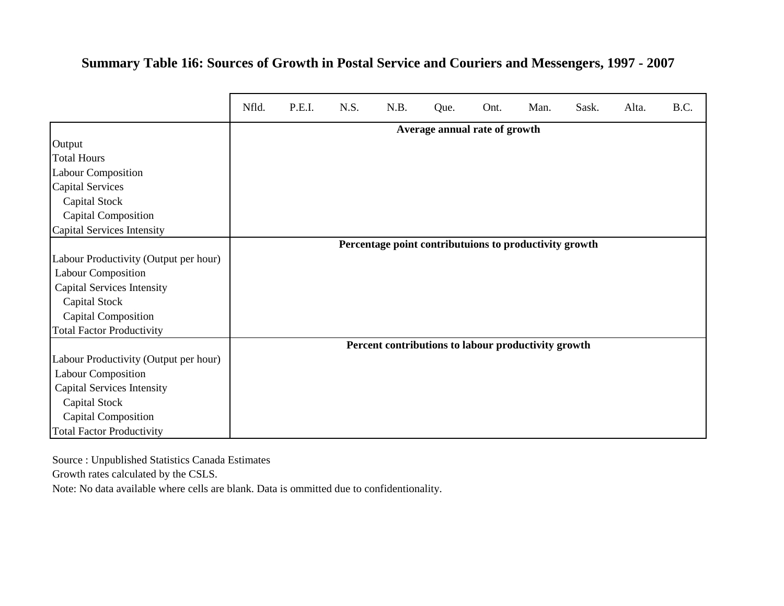#### **Summary Table 1i6: Sources of Growth in Postal Service and Couriers and Messengers, 1997 - 2007**

|                                       | Nfld. | P.E.I. | N.S. | N.B.                                                   | Que.                          | Ont. | Man. | Sask. | Alta. | B.C. |
|---------------------------------------|-------|--------|------|--------------------------------------------------------|-------------------------------|------|------|-------|-------|------|
|                                       |       |        |      |                                                        | Average annual rate of growth |      |      |       |       |      |
| Output                                |       |        |      |                                                        |                               |      |      |       |       |      |
| <b>Total Hours</b>                    |       |        |      |                                                        |                               |      |      |       |       |      |
| <b>Labour Composition</b>             |       |        |      |                                                        |                               |      |      |       |       |      |
| <b>Capital Services</b>               |       |        |      |                                                        |                               |      |      |       |       |      |
| Capital Stock                         |       |        |      |                                                        |                               |      |      |       |       |      |
| <b>Capital Composition</b>            |       |        |      |                                                        |                               |      |      |       |       |      |
| Capital Services Intensity            |       |        |      |                                                        |                               |      |      |       |       |      |
|                                       |       |        |      | Percentage point contributuions to productivity growth |                               |      |      |       |       |      |
| Labour Productivity (Output per hour) |       |        |      |                                                        |                               |      |      |       |       |      |
| <b>Labour Composition</b>             |       |        |      |                                                        |                               |      |      |       |       |      |
| <b>Capital Services Intensity</b>     |       |        |      |                                                        |                               |      |      |       |       |      |
| Capital Stock                         |       |        |      |                                                        |                               |      |      |       |       |      |
| <b>Capital Composition</b>            |       |        |      |                                                        |                               |      |      |       |       |      |
| <b>Total Factor Productivity</b>      |       |        |      |                                                        |                               |      |      |       |       |      |
|                                       |       |        |      | Percent contributions to labour productivity growth    |                               |      |      |       |       |      |
| Labour Productivity (Output per hour) |       |        |      |                                                        |                               |      |      |       |       |      |
| <b>Labour Composition</b>             |       |        |      |                                                        |                               |      |      |       |       |      |
| <b>Capital Services Intensity</b>     |       |        |      |                                                        |                               |      |      |       |       |      |
| Capital Stock                         |       |        |      |                                                        |                               |      |      |       |       |      |
| <b>Capital Composition</b>            |       |        |      |                                                        |                               |      |      |       |       |      |
| <b>Total Factor Productivity</b>      |       |        |      |                                                        |                               |      |      |       |       |      |

Source : Unpublished Statistics Canada Estimates

Growth rates calculated by the CSLS.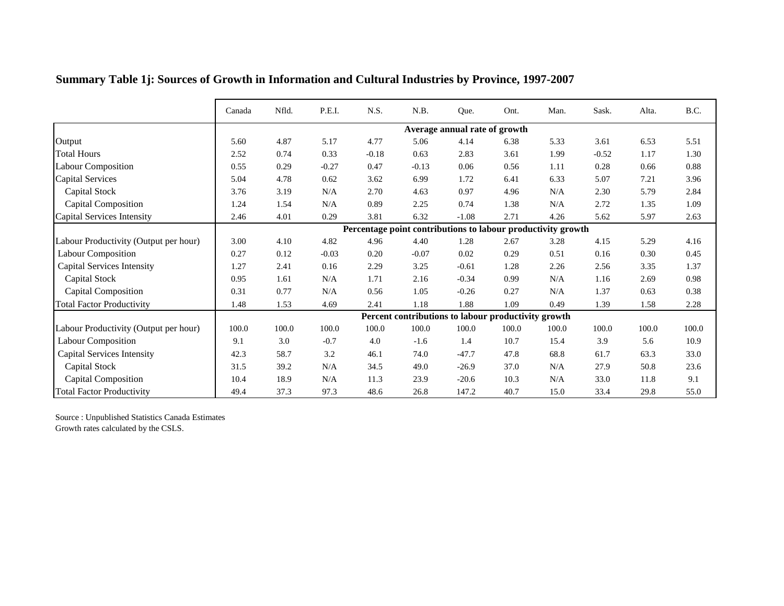|                                       | Canada | Nfld. | P.E.I.  | N.S.    | N.B.    | Que.                                                | Ont.  | Man.                                                         | Sask.   | Alta. | B.C.     |
|---------------------------------------|--------|-------|---------|---------|---------|-----------------------------------------------------|-------|--------------------------------------------------------------|---------|-------|----------|
|                                       |        |       |         |         |         |                                                     |       |                                                              |         |       |          |
|                                       |        |       |         |         |         | Average annual rate of growth                       |       |                                                              |         |       |          |
| Output                                | 5.60   | 4.87  | 5.17    | 4.77    | 5.06    | 4.14                                                | 6.38  | 5.33                                                         | 3.61    | 6.53  | 5.51     |
| <b>Total Hours</b>                    | 2.52   | 0.74  | 0.33    | $-0.18$ | 0.63    | 2.83                                                | 3.61  | 1.99                                                         | $-0.52$ | 1.17  | 1.30     |
| <b>Labour Composition</b>             | 0.55   | 0.29  | $-0.27$ | 0.47    | $-0.13$ | 0.06                                                | 0.56  | 1.11                                                         | 0.28    | 0.66  | $0.88\,$ |
| <b>Capital Services</b>               | 5.04   | 4.78  | 0.62    | 3.62    | 6.99    | 1.72                                                | 6.41  | 6.33                                                         | 5.07    | 7.21  | 3.96     |
| Capital Stock                         | 3.76   | 3.19  | N/A     | 2.70    | 4.63    | 0.97                                                | 4.96  | N/A                                                          | 2.30    | 5.79  | 2.84     |
| Capital Composition                   | 1.24   | 1.54  | N/A     | 0.89    | 2.25    | 0.74                                                | 1.38  | N/A                                                          | 2.72    | 1.35  | 1.09     |
| Capital Services Intensity            | 2.46   | 4.01  | 0.29    | 3.81    | 6.32    | $-1.08$                                             | 2.71  | 4.26                                                         | 5.62    | 5.97  | 2.63     |
|                                       |        |       |         |         |         |                                                     |       | Percentage point contributions to labour productivity growth |         |       |          |
| Labour Productivity (Output per hour) | 3.00   | 4.10  | 4.82    | 4.96    | 4.40    | 1.28                                                | 2.67  | 3.28                                                         | 4.15    | 5.29  | 4.16     |
| <b>Labour Composition</b>             | 0.27   | 0.12  | $-0.03$ | 0.20    | $-0.07$ | 0.02                                                | 0.29  | 0.51                                                         | 0.16    | 0.30  | 0.45     |
| <b>Capital Services Intensity</b>     | 1.27   | 2.41  | 0.16    | 2.29    | 3.25    | $-0.61$                                             | 1.28  | 2.26                                                         | 2.56    | 3.35  | 1.37     |
| <b>Capital Stock</b>                  | 0.95   | 1.61  | N/A     | 1.71    | 2.16    | $-0.34$                                             | 0.99  | N/A                                                          | 1.16    | 2.69  | 0.98     |
| <b>Capital Composition</b>            | 0.31   | 0.77  | N/A     | 0.56    | 1.05    | $-0.26$                                             | 0.27  | N/A                                                          | 1.37    | 0.63  | 0.38     |
| <b>Total Factor Productivity</b>      | 1.48   | 1.53  | 4.69    | 2.41    | 1.18    | 1.88                                                | 1.09  | 0.49                                                         | 1.39    | 1.58  | 2.28     |
|                                       |        |       |         |         |         | Percent contributions to labour productivity growth |       |                                                              |         |       |          |
| Labour Productivity (Output per hour) | 100.0  | 100.0 | 100.0   | 100.0   | 100.0   | 100.0                                               | 100.0 | 100.0                                                        | 100.0   | 100.0 | 100.0    |
| Labour Composition                    | 9.1    | 3.0   | $-0.7$  | 4.0     | $-1.6$  | 1.4                                                 | 10.7  | 15.4                                                         | 3.9     | 5.6   | 10.9     |
| <b>Capital Services Intensity</b>     | 42.3   | 58.7  | 3.2     | 46.1    | 74.0    | $-47.7$                                             | 47.8  | 68.8                                                         | 61.7    | 63.3  | 33.0     |
| <b>Capital Stock</b>                  | 31.5   | 39.2  | N/A     | 34.5    | 49.0    | $-26.9$                                             | 37.0  | N/A                                                          | 27.9    | 50.8  | 23.6     |
| <b>Capital Composition</b>            | 10.4   | 18.9  | N/A     | 11.3    | 23.9    | $-20.6$                                             | 10.3  | N/A                                                          | 33.0    | 11.8  | 9.1      |
| <b>Total Factor Productivity</b>      | 49.4   | 37.3  | 97.3    | 48.6    | 26.8    | 147.2                                               | 40.7  | 15.0                                                         | 33.4    | 29.8  | 55.0     |

## **Summary Table 1j: Sources of Growth in Information and Cultural Industries by Province, 1997-2007**

Source : Unpublished Statistics Canada Estimates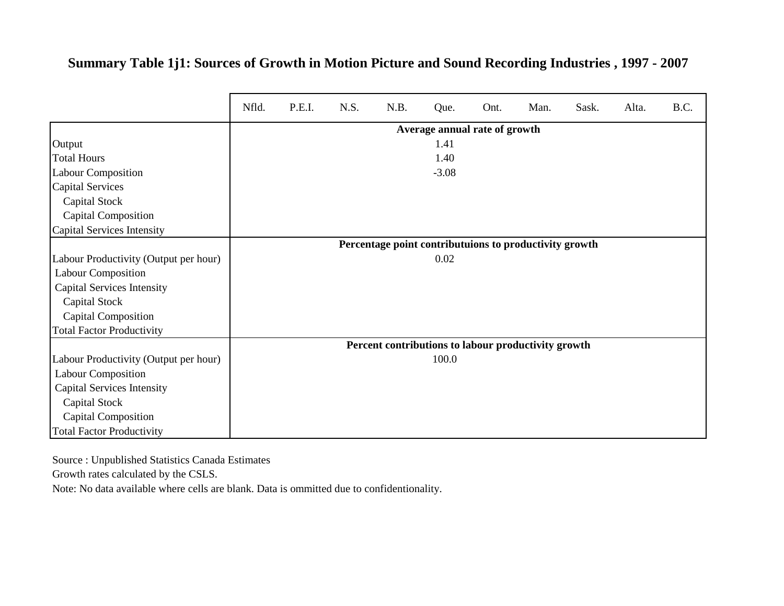#### **Summary Table 1j1: Sources of Growth in Motion Picture and Sound Recording Industries , 1997 - 2007**

|                                       | Nfld. | P.E.I. | N.S. | N.B.                                                   | Que.                          | Ont. | Man. | Sask. | Alta. | B.C. |
|---------------------------------------|-------|--------|------|--------------------------------------------------------|-------------------------------|------|------|-------|-------|------|
|                                       |       |        |      |                                                        | Average annual rate of growth |      |      |       |       |      |
| Output                                |       |        |      |                                                        | 1.41                          |      |      |       |       |      |
| <b>Total Hours</b>                    |       |        |      |                                                        | 1.40                          |      |      |       |       |      |
| <b>Labour Composition</b>             |       |        |      |                                                        | $-3.08$                       |      |      |       |       |      |
| <b>Capital Services</b>               |       |        |      |                                                        |                               |      |      |       |       |      |
| Capital Stock                         |       |        |      |                                                        |                               |      |      |       |       |      |
| <b>Capital Composition</b>            |       |        |      |                                                        |                               |      |      |       |       |      |
| Capital Services Intensity            |       |        |      |                                                        |                               |      |      |       |       |      |
|                                       |       |        |      | Percentage point contributuions to productivity growth |                               |      |      |       |       |      |
| Labour Productivity (Output per hour) |       |        |      |                                                        | 0.02                          |      |      |       |       |      |
| <b>Labour Composition</b>             |       |        |      |                                                        |                               |      |      |       |       |      |
| <b>Capital Services Intensity</b>     |       |        |      |                                                        |                               |      |      |       |       |      |
| Capital Stock                         |       |        |      |                                                        |                               |      |      |       |       |      |
| <b>Capital Composition</b>            |       |        |      |                                                        |                               |      |      |       |       |      |
| <b>Total Factor Productivity</b>      |       |        |      |                                                        |                               |      |      |       |       |      |
|                                       |       |        |      | Percent contributions to labour productivity growth    |                               |      |      |       |       |      |
| Labour Productivity (Output per hour) |       |        |      |                                                        | 100.0                         |      |      |       |       |      |
| <b>Labour Composition</b>             |       |        |      |                                                        |                               |      |      |       |       |      |
| <b>Capital Services Intensity</b>     |       |        |      |                                                        |                               |      |      |       |       |      |
| Capital Stock                         |       |        |      |                                                        |                               |      |      |       |       |      |
| <b>Capital Composition</b>            |       |        |      |                                                        |                               |      |      |       |       |      |
| <b>Total Factor Productivity</b>      |       |        |      |                                                        |                               |      |      |       |       |      |

Source : Unpublished Statistics Canada Estimates

Growth rates calculated by the CSLS.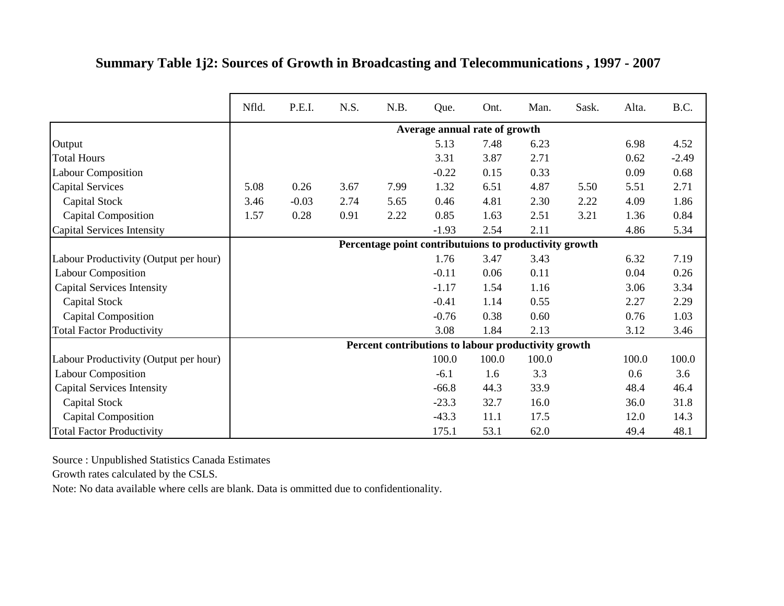|  |  | Summary Table 1j2: Sources of Growth in Broadcasting and Telecommunications, 1997 - 2007 |  |  |
|--|--|------------------------------------------------------------------------------------------|--|--|
|  |  |                                                                                          |  |  |

|                                       | Nfld. | P.E.I.  | N.S. | N.B. | Que.    | Ont.                                                   | Man.  | Sask. | Alta. | B.C.    |
|---------------------------------------|-------|---------|------|------|---------|--------------------------------------------------------|-------|-------|-------|---------|
|                                       |       |         |      |      |         | Average annual rate of growth                          |       |       |       |         |
| Output                                |       |         |      |      | 5.13    | 7.48                                                   | 6.23  |       | 6.98  | 4.52    |
| <b>Total Hours</b>                    |       |         |      |      | 3.31    | 3.87                                                   | 2.71  |       | 0.62  | $-2.49$ |
| <b>Labour Composition</b>             |       |         |      |      | $-0.22$ | 0.15                                                   | 0.33  |       | 0.09  | 0.68    |
| <b>Capital Services</b>               | 5.08  | 0.26    | 3.67 | 7.99 | 1.32    | 6.51                                                   | 4.87  | 5.50  | 5.51  | 2.71    |
| Capital Stock                         | 3.46  | $-0.03$ | 2.74 | 5.65 | 0.46    | 4.81                                                   | 2.30  | 2.22  | 4.09  | 1.86    |
| <b>Capital Composition</b>            | 1.57  | 0.28    | 0.91 | 2.22 | 0.85    | 1.63                                                   | 2.51  | 3.21  | 1.36  | 0.84    |
| Capital Services Intensity            |       |         |      |      | $-1.93$ | 2.54                                                   | 2.11  |       | 4.86  | 5.34    |
|                                       |       |         |      |      |         | Percentage point contributuions to productivity growth |       |       |       |         |
| Labour Productivity (Output per hour) |       |         |      |      | 1.76    | 3.47                                                   | 3.43  |       | 6.32  | 7.19    |
| <b>Labour Composition</b>             |       |         |      |      | $-0.11$ | 0.06                                                   | 0.11  |       | 0.04  | 0.26    |
| <b>Capital Services Intensity</b>     |       |         |      |      | $-1.17$ | 1.54                                                   | 1.16  |       | 3.06  | 3.34    |
| Capital Stock                         |       |         |      |      | $-0.41$ | 1.14                                                   | 0.55  |       | 2.27  | 2.29    |
| <b>Capital Composition</b>            |       |         |      |      | $-0.76$ | 0.38                                                   | 0.60  |       | 0.76  | 1.03    |
| <b>Total Factor Productivity</b>      |       |         |      |      | 3.08    | 1.84                                                   | 2.13  |       | 3.12  | 3.46    |
|                                       |       |         |      |      |         | Percent contributions to labour productivity growth    |       |       |       |         |
| Labour Productivity (Output per hour) |       |         |      |      | 100.0   | 100.0                                                  | 100.0 |       | 100.0 | 100.0   |
| <b>Labour Composition</b>             |       |         |      |      | $-6.1$  | 1.6                                                    | 3.3   |       | 0.6   | 3.6     |
| <b>Capital Services Intensity</b>     |       |         |      |      | $-66.8$ | 44.3                                                   | 33.9  |       | 48.4  | 46.4    |
| <b>Capital Stock</b>                  |       |         |      |      | $-23.3$ | 32.7                                                   | 16.0  |       | 36.0  | 31.8    |
| <b>Capital Composition</b>            |       |         |      |      | $-43.3$ | 11.1                                                   | 17.5  |       | 12.0  | 14.3    |
| <b>Total Factor Productivity</b>      |       |         |      |      | 175.1   | 53.1                                                   | 62.0  |       | 49.4  | 48.1    |

Growth rates calculated by the CSLS.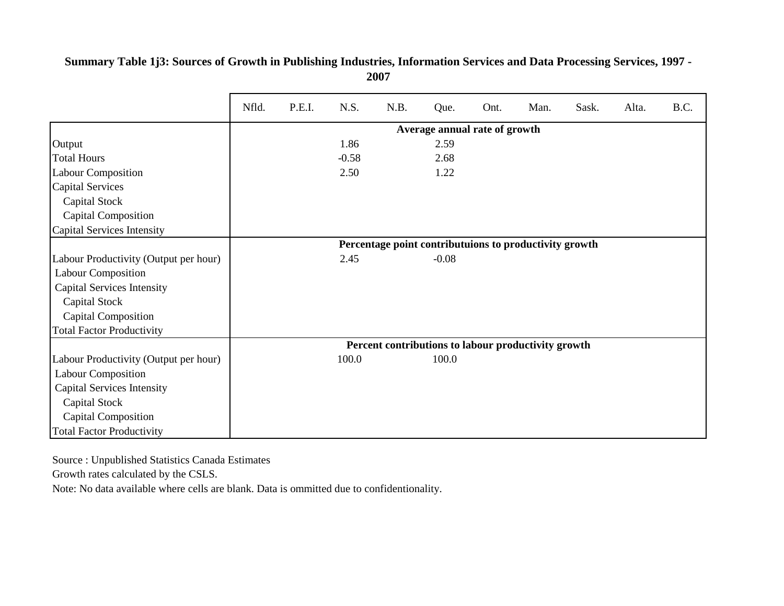|                                       | Nfld. | P.E.I. | N.S.    | N.B. | Que.                                                   | Ont. | Man. | Sask. | Alta. | B.C. |
|---------------------------------------|-------|--------|---------|------|--------------------------------------------------------|------|------|-------|-------|------|
|                                       |       |        |         |      | Average annual rate of growth                          |      |      |       |       |      |
| Output                                |       |        | 1.86    |      | 2.59                                                   |      |      |       |       |      |
| <b>Total Hours</b>                    |       |        | $-0.58$ |      | 2.68                                                   |      |      |       |       |      |
| <b>Labour Composition</b>             |       |        | 2.50    |      | 1.22                                                   |      |      |       |       |      |
| <b>Capital Services</b>               |       |        |         |      |                                                        |      |      |       |       |      |
| Capital Stock                         |       |        |         |      |                                                        |      |      |       |       |      |
| Capital Composition                   |       |        |         |      |                                                        |      |      |       |       |      |
| Capital Services Intensity            |       |        |         |      |                                                        |      |      |       |       |      |
|                                       |       |        |         |      | Percentage point contributuions to productivity growth |      |      |       |       |      |
| Labour Productivity (Output per hour) |       |        | 2.45    |      | $-0.08$                                                |      |      |       |       |      |
| <b>Labour Composition</b>             |       |        |         |      |                                                        |      |      |       |       |      |
| <b>Capital Services Intensity</b>     |       |        |         |      |                                                        |      |      |       |       |      |
| Capital Stock                         |       |        |         |      |                                                        |      |      |       |       |      |
| <b>Capital Composition</b>            |       |        |         |      |                                                        |      |      |       |       |      |
| <b>Total Factor Productivity</b>      |       |        |         |      |                                                        |      |      |       |       |      |
|                                       |       |        |         |      | Percent contributions to labour productivity growth    |      |      |       |       |      |
| Labour Productivity (Output per hour) |       |        | 100.0   |      | 100.0                                                  |      |      |       |       |      |
| <b>Labour Composition</b>             |       |        |         |      |                                                        |      |      |       |       |      |
| <b>Capital Services Intensity</b>     |       |        |         |      |                                                        |      |      |       |       |      |
| Capital Stock                         |       |        |         |      |                                                        |      |      |       |       |      |
| <b>Capital Composition</b>            |       |        |         |      |                                                        |      |      |       |       |      |
| <b>Total Factor Productivity</b>      |       |        |         |      |                                                        |      |      |       |       |      |

**Summary Table 1j3: Sources of Growth in Publishing Industries, Information Services and Data Processing Services, 1997 - 2007**

Source : Unpublished Statistics Canada Estimates

Growth rates calculated by the CSLS.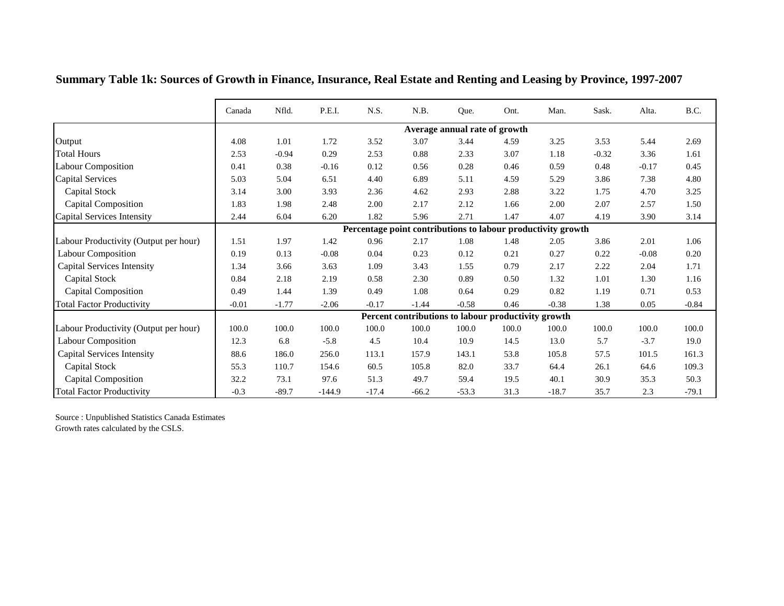|                                       | Canada  | Nfld.   | P.E.I.   | N.S.    | N.B.    | Que.                                                         | Ont.  | Man.    | Sask.   | Alta.   | B.C.    |
|---------------------------------------|---------|---------|----------|---------|---------|--------------------------------------------------------------|-------|---------|---------|---------|---------|
|                                       |         |         |          |         |         | Average annual rate of growth                                |       |         |         |         |         |
| Output                                | 4.08    | 1.01    | 1.72     | 3.52    | 3.07    | 3.44                                                         | 4.59  | 3.25    | 3.53    | 5.44    | 2.69    |
| <b>Total Hours</b>                    | 2.53    | $-0.94$ | 0.29     | 2.53    | 0.88    | 2.33                                                         | 3.07  | 1.18    | $-0.32$ | 3.36    | 1.61    |
| <b>Labour Composition</b>             | 0.41    | 0.38    | $-0.16$  | 0.12    | 0.56    | 0.28                                                         | 0.46  | 0.59    | 0.48    | $-0.17$ | 0.45    |
| <b>Capital Services</b>               | 5.03    | 5.04    | 6.51     | 4.40    | 6.89    | 5.11                                                         | 4.59  | 5.29    | 3.86    | 7.38    | 4.80    |
| <b>Capital Stock</b>                  | 3.14    | 3.00    | 3.93     | 2.36    | 4.62    | 2.93                                                         | 2.88  | 3.22    | 1.75    | 4.70    | 3.25    |
| <b>Capital Composition</b>            | 1.83    | 1.98    | 2.48     | 2.00    | 2.17    | 2.12                                                         | 1.66  | 2.00    | 2.07    | 2.57    | 1.50    |
| Capital Services Intensity            | 2.44    | 6.04    | 6.20     | 1.82    | 5.96    | 2.71                                                         | 1.47  | 4.07    | 4.19    | 3.90    | 3.14    |
|                                       |         |         |          |         |         | Percentage point contributions to labour productivity growth |       |         |         |         |         |
| Labour Productivity (Output per hour) | 1.51    | 1.97    | 1.42     | 0.96    | 2.17    | 1.08                                                         | 1.48  | 2.05    | 3.86    | 2.01    | 1.06    |
| <b>Labour Composition</b>             | 0.19    | 0.13    | $-0.08$  | 0.04    | 0.23    | 0.12                                                         | 0.21  | 0.27    | 0.22    | $-0.08$ | 0.20    |
| <b>Capital Services Intensity</b>     | 1.34    | 3.66    | 3.63     | 1.09    | 3.43    | 1.55                                                         | 0.79  | 2.17    | 2.22    | 2.04    | 1.71    |
| <b>Capital Stock</b>                  | 0.84    | 2.18    | 2.19     | 0.58    | 2.30    | 0.89                                                         | 0.50  | 1.32    | 1.01    | 1.30    | 1.16    |
| <b>Capital Composition</b>            | 0.49    | 1.44    | 1.39     | 0.49    | 1.08    | 0.64                                                         | 0.29  | 0.82    | 1.19    | 0.71    | 0.53    |
| <b>Total Factor Productivity</b>      | $-0.01$ | $-1.77$ | $-2.06$  | $-0.17$ | $-1.44$ | $-0.58$                                                      | 0.46  | $-0.38$ | 1.38    | 0.05    | $-0.84$ |
|                                       |         |         |          |         |         | Percent contributions to labour productivity growth          |       |         |         |         |         |
| Labour Productivity (Output per hour) | 100.0   | 100.0   | 100.0    | 100.0   | 100.0   | 100.0                                                        | 100.0 | 100.0   | 100.0   | 100.0   | 100.0   |
| <b>Labour Composition</b>             | 12.3    | 6.8     | $-5.8$   | 4.5     | 10.4    | 10.9                                                         | 14.5  | 13.0    | 5.7     | $-3.7$  | 19.0    |
| <b>Capital Services Intensity</b>     | 88.6    | 186.0   | 256.0    | 113.1   | 157.9   | 143.1                                                        | 53.8  | 105.8   | 57.5    | 101.5   | 161.3   |
| <b>Capital Stock</b>                  | 55.3    | 110.7   | 154.6    | 60.5    | 105.8   | 82.0                                                         | 33.7  | 64.4    | 26.1    | 64.6    | 109.3   |
| <b>Capital Composition</b>            | 32.2    | 73.1    | 97.6     | 51.3    | 49.7    | 59.4                                                         | 19.5  | 40.1    | 30.9    | 35.3    | 50.3    |
| <b>Total Factor Productivity</b>      | $-0.3$  | $-89.7$ | $-144.9$ | $-17.4$ | $-66.2$ | $-53.3$                                                      | 31.3  | $-18.7$ | 35.7    | 2.3     | $-79.1$ |

**Summary Table 1k: Sources of Growth in Finance, Insurance, Real Estate and Renting and Leasing by Province, 1997-2007**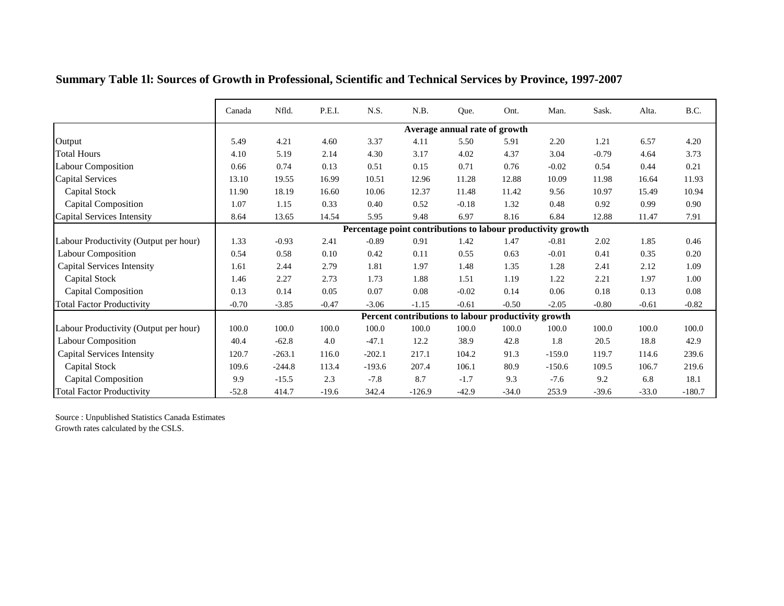|                                       | Canada  | Nfld.    | P.E.I.  | N.S.     | N.B.                                                         | Que.                          | Ont.    | Man.     | Sask.   | Alta.   | B.C.     |
|---------------------------------------|---------|----------|---------|----------|--------------------------------------------------------------|-------------------------------|---------|----------|---------|---------|----------|
|                                       |         |          |         |          |                                                              | Average annual rate of growth |         |          |         |         |          |
| Output                                | 5.49    | 4.21     | 4.60    | 3.37     | 4.11                                                         | 5.50                          | 5.91    | 2.20     | 1.21    | 6.57    | 4.20     |
| <b>Total Hours</b>                    | 4.10    | 5.19     | 2.14    | 4.30     | 3.17                                                         | 4.02                          | 4.37    | 3.04     | $-0.79$ | 4.64    | 3.73     |
| Labour Composition                    | 0.66    | 0.74     | 0.13    | 0.51     | 0.15                                                         | 0.71                          | 0.76    | $-0.02$  | 0.54    | 0.44    | 0.21     |
| <b>Capital Services</b>               | 13.10   | 19.55    | 16.99   | 10.51    | 12.96                                                        | 11.28                         | 12.88   | 10.09    | 11.98   | 16.64   | 11.93    |
| Capital Stock                         | 11.90   | 18.19    | 16.60   | 10.06    | 12.37                                                        | 11.48                         | 11.42   | 9.56     | 10.97   | 15.49   | 10.94    |
| <b>Capital Composition</b>            | 1.07    | 1.15     | 0.33    | 0.40     | 0.52                                                         | $-0.18$                       | 1.32    | 0.48     | 0.92    | 0.99    | 0.90     |
| Capital Services Intensity            | 8.64    | 13.65    | 14.54   | 5.95     | 9.48                                                         | 6.97                          | 8.16    | 6.84     | 12.88   | 11.47   | 7.91     |
|                                       |         |          |         |          | Percentage point contributions to labour productivity growth |                               |         |          |         |         |          |
| Labour Productivity (Output per hour) | 1.33    | $-0.93$  | 2.41    | $-0.89$  | 0.91                                                         | 1.42                          | 1.47    | $-0.81$  | 2.02    | 1.85    | 0.46     |
| <b>Labour Composition</b>             | 0.54    | 0.58     | 0.10    | 0.42     | 0.11                                                         | 0.55                          | 0.63    | $-0.01$  | 0.41    | 0.35    | 0.20     |
| <b>Capital Services Intensity</b>     | 1.61    | 2.44     | 2.79    | 1.81     | 1.97                                                         | 1.48                          | 1.35    | 1.28     | 2.41    | 2.12    | 1.09     |
| Capital Stock                         | 1.46    | 2.27     | 2.73    | 1.73     | 1.88                                                         | 1.51                          | 1.19    | 1.22     | 2.21    | 1.97    | 1.00     |
| <b>Capital Composition</b>            | 0.13    | 0.14     | 0.05    | 0.07     | 0.08                                                         | $-0.02$                       | 0.14    | 0.06     | 0.18    | 0.13    | $0.08\,$ |
| <b>Total Factor Productivity</b>      | $-0.70$ | $-3.85$  | $-0.47$ | $-3.06$  | $-1.15$                                                      | $-0.61$                       | $-0.50$ | $-2.05$  | $-0.80$ | $-0.61$ | $-0.82$  |
|                                       |         |          |         |          | Percent contributions to labour productivity growth          |                               |         |          |         |         |          |
| Labour Productivity (Output per hour) | 100.0   | 100.0    | 100.0   | 100.0    | 100.0                                                        | 100.0                         | 100.0   | 100.0    | 100.0   | 100.0   | 100.0    |
| <b>Labour Composition</b>             | 40.4    | $-62.8$  | 4.0     | $-47.1$  | 12.2                                                         | 38.9                          | 42.8    | 1.8      | 20.5    | 18.8    | 42.9     |
| <b>Capital Services Intensity</b>     | 120.7   | $-263.1$ | 116.0   | $-202.1$ | 217.1                                                        | 104.2                         | 91.3    | $-159.0$ | 119.7   | 114.6   | 239.6    |
| Capital Stock                         | 109.6   | $-244.8$ | 113.4   | $-193.6$ | 207.4                                                        | 106.1                         | 80.9    | $-150.6$ | 109.5   | 106.7   | 219.6    |
| <b>Capital Composition</b>            | 9.9     | $-15.5$  | 2.3     | $-7.8$   | 8.7                                                          | $-1.7$                        | 9.3     | $-7.6$   | 9.2     | 6.8     | 18.1     |
| <b>Total Factor Productivity</b>      | $-52.8$ | 414.7    | $-19.6$ | 342.4    | $-126.9$                                                     | $-42.9$                       | $-34.0$ | 253.9    | $-39.6$ | $-33.0$ | $-180.7$ |

**Summary Table 1l: Sources of Growth in Professional, Scientific and Technical Services by Province, 1997-2007**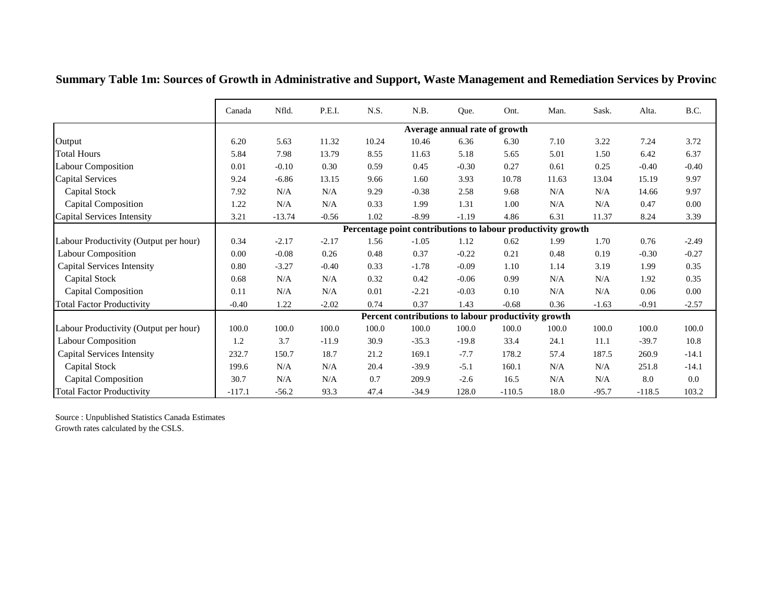|                                       | Canada   | Nfld.    | P.E.I.  | N.S.  | N.B.    | Que.                          | Ont.                                                         | Man.  | Sask.   | Alta.    | B.C.     |
|---------------------------------------|----------|----------|---------|-------|---------|-------------------------------|--------------------------------------------------------------|-------|---------|----------|----------|
|                                       |          |          |         |       |         | Average annual rate of growth |                                                              |       |         |          |          |
| Output                                | 6.20     | 5.63     | 11.32   | 10.24 | 10.46   | 6.36                          | 6.30                                                         | 7.10  | 3.22    | 7.24     | 3.72     |
| <b>Total Hours</b>                    | 5.84     | 7.98     | 13.79   | 8.55  | 11.63   | 5.18                          | 5.65                                                         | 5.01  | 1.50    | 6.42     | 6.37     |
| <b>Labour Composition</b>             | 0.01     | $-0.10$  | 0.30    | 0.59  | 0.45    | $-0.30$                       | 0.27                                                         | 0.61  | 0.25    | $-0.40$  | $-0.40$  |
| <b>Capital Services</b>               | 9.24     | $-6.86$  | 13.15   | 9.66  | 1.60    | 3.93                          | 10.78                                                        | 11.63 | 13.04   | 15.19    | 9.97     |
| Capital Stock                         | 7.92     | N/A      | N/A     | 9.29  | $-0.38$ | 2.58                          | 9.68                                                         | N/A   | N/A     | 14.66    | 9.97     |
| <b>Capital Composition</b>            | 1.22     | N/A      | N/A     | 0.33  | 1.99    | 1.31                          | 1.00                                                         | N/A   | N/A     | 0.47     | $0.00\,$ |
| Capital Services Intensity            | 3.21     | $-13.74$ | $-0.56$ | 1.02  | $-8.99$ | $-1.19$                       | 4.86                                                         | 6.31  | 11.37   | 8.24     | 3.39     |
|                                       |          |          |         |       |         |                               | Percentage point contributions to labour productivity growth |       |         |          |          |
| Labour Productivity (Output per hour) | 0.34     | $-2.17$  | $-2.17$ | 1.56  | $-1.05$ | 1.12                          | 0.62                                                         | 1.99  | 1.70    | 0.76     | $-2.49$  |
| <b>Labour Composition</b>             | 0.00     | $-0.08$  | 0.26    | 0.48  | 0.37    | $-0.22$                       | 0.21                                                         | 0.48  | 0.19    | $-0.30$  | $-0.27$  |
| <b>Capital Services Intensity</b>     | 0.80     | $-3.27$  | $-0.40$ | 0.33  | $-1.78$ | $-0.09$                       | 1.10                                                         | 1.14  | 3.19    | 1.99     | 0.35     |
| Capital Stock                         | 0.68     | N/A      | N/A     | 0.32  | 0.42    | $-0.06$                       | 0.99                                                         | N/A   | N/A     | 1.92     | 0.35     |
| <b>Capital Composition</b>            | 0.11     | N/A      | N/A     | 0.01  | $-2.21$ | $-0.03$                       | 0.10                                                         | N/A   | N/A     | 0.06     | $0.00\,$ |
| <b>Total Factor Productivity</b>      | $-0.40$  | 1.22     | $-2.02$ | 0.74  | 0.37    | 1.43                          | $-0.68$                                                      | 0.36  | $-1.63$ | $-0.91$  | $-2.57$  |
|                                       |          |          |         |       |         |                               | Percent contributions to labour productivity growth          |       |         |          |          |
| Labour Productivity (Output per hour) | 100.0    | 100.0    | 100.0   | 100.0 | 100.0   | 100.0                         | 100.0                                                        | 100.0 | 100.0   | 100.0    | 100.0    |
| <b>Labour Composition</b>             | 1.2      | 3.7      | $-11.9$ | 30.9  | $-35.3$ | $-19.8$                       | 33.4                                                         | 24.1  | 11.1    | $-39.7$  | 10.8     |
| <b>Capital Services Intensity</b>     | 232.7    | 150.7    | 18.7    | 21.2  | 169.1   | $-7.7$                        | 178.2                                                        | 57.4  | 187.5   | 260.9    | $-14.1$  |
| Capital Stock                         | 199.6    | N/A      | N/A     | 20.4  | $-39.9$ | $-5.1$                        | 160.1                                                        | N/A   | N/A     | 251.8    | $-14.1$  |
| <b>Capital Composition</b>            | 30.7     | N/A      | N/A     | 0.7   | 209.9   | $-2.6$                        | 16.5                                                         | N/A   | N/A     | 8.0      | 0.0      |
| <b>Total Factor Productivity</b>      | $-117.1$ | $-56.2$  | 93.3    | 47.4  | $-34.9$ | 128.0                         | $-110.5$                                                     | 18.0  | $-95.7$ | $-118.5$ | 103.2    |

Summary Table 1m: Sources of Growth in Administrative and Support, Waste Management and Remediation Services by Provinc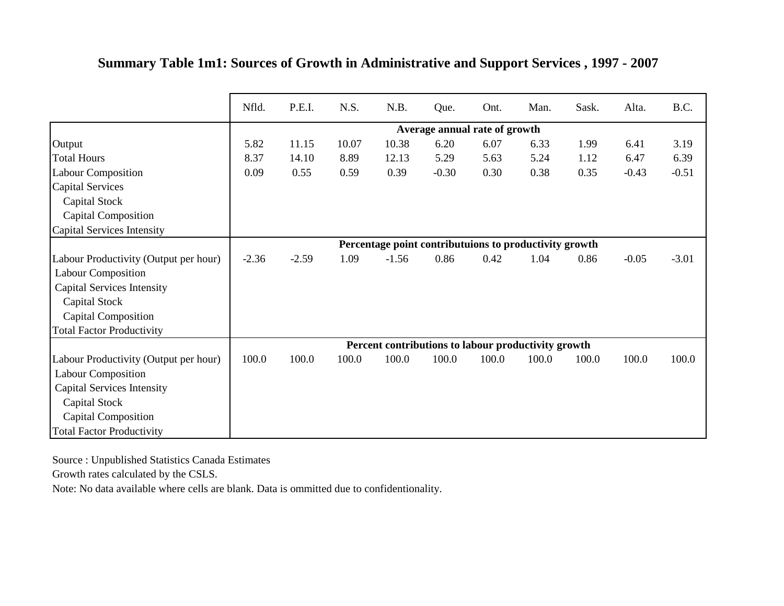|                                       | Nfld.   | P.E.I.  | N.S.  | N.B.                                                   | Que.                          | Ont.  | Man.  | Sask. | Alta.   | B.C.    |
|---------------------------------------|---------|---------|-------|--------------------------------------------------------|-------------------------------|-------|-------|-------|---------|---------|
|                                       |         |         |       |                                                        | Average annual rate of growth |       |       |       |         |         |
| Output                                | 5.82    | 11.15   | 10.07 | 10.38                                                  | 6.20                          | 6.07  | 6.33  | 1.99  | 6.41    | 3.19    |
| <b>Total Hours</b>                    | 8.37    | 14.10   | 8.89  | 12.13                                                  | 5.29                          | 5.63  | 5.24  | 1.12  | 6.47    | 6.39    |
| <b>Labour Composition</b>             | 0.09    | 0.55    | 0.59  | 0.39                                                   | $-0.30$                       | 0.30  | 0.38  | 0.35  | $-0.43$ | $-0.51$ |
| <b>Capital Services</b>               |         |         |       |                                                        |                               |       |       |       |         |         |
| Capital Stock                         |         |         |       |                                                        |                               |       |       |       |         |         |
| <b>Capital Composition</b>            |         |         |       |                                                        |                               |       |       |       |         |         |
| Capital Services Intensity            |         |         |       |                                                        |                               |       |       |       |         |         |
|                                       |         |         |       | Percentage point contributuions to productivity growth |                               |       |       |       |         |         |
| Labour Productivity (Output per hour) | $-2.36$ | $-2.59$ | 1.09  | $-1.56$                                                | 0.86                          | 0.42  | 1.04  | 0.86  | $-0.05$ | $-3.01$ |
| <b>Labour Composition</b>             |         |         |       |                                                        |                               |       |       |       |         |         |
| <b>Capital Services Intensity</b>     |         |         |       |                                                        |                               |       |       |       |         |         |
| <b>Capital Stock</b>                  |         |         |       |                                                        |                               |       |       |       |         |         |
| Capital Composition                   |         |         |       |                                                        |                               |       |       |       |         |         |
| <b>Total Factor Productivity</b>      |         |         |       |                                                        |                               |       |       |       |         |         |
|                                       |         |         |       | Percent contributions to labour productivity growth    |                               |       |       |       |         |         |
| Labour Productivity (Output per hour) | 100.0   | 100.0   | 100.0 | 100.0                                                  | 100.0                         | 100.0 | 100.0 | 100.0 | 100.0   | 100.0   |
| <b>Labour Composition</b>             |         |         |       |                                                        |                               |       |       |       |         |         |
| <b>Capital Services Intensity</b>     |         |         |       |                                                        |                               |       |       |       |         |         |
| Capital Stock                         |         |         |       |                                                        |                               |       |       |       |         |         |
| <b>Capital Composition</b>            |         |         |       |                                                        |                               |       |       |       |         |         |
| <b>Total Factor Productivity</b>      |         |         |       |                                                        |                               |       |       |       |         |         |

## **Summary Table 1m1: Sources of Growth in Administrative and Support Services , 1997 - 2007**

Source : Unpublished Statistics Canada Estimates

Growth rates calculated by the CSLS.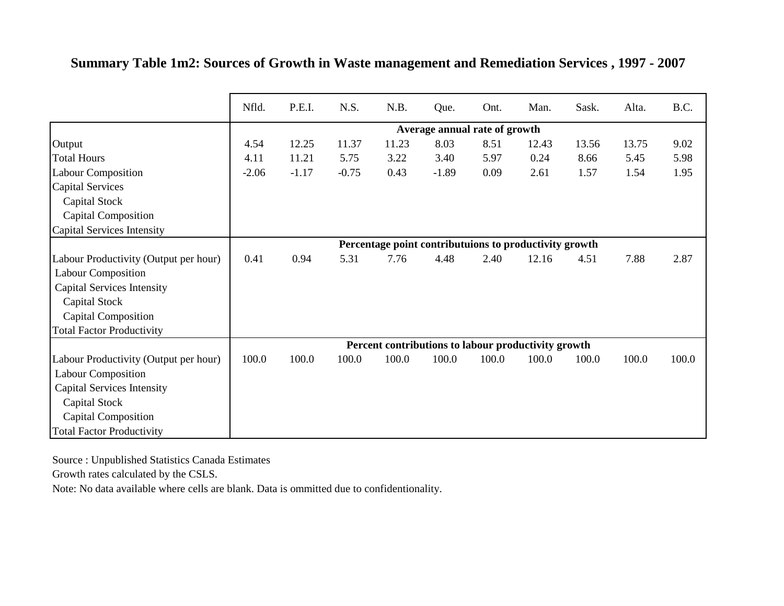|                                       | Nfld.   | P.E.I.  | N.S.    | N.B.  | Que.                          | Ont.  | Man.                                                   | Sask. | Alta. | B.C.  |
|---------------------------------------|---------|---------|---------|-------|-------------------------------|-------|--------------------------------------------------------|-------|-------|-------|
|                                       |         |         |         |       | Average annual rate of growth |       |                                                        |       |       |       |
| Output                                | 4.54    | 12.25   | 11.37   | 11.23 | 8.03                          | 8.51  | 12.43                                                  | 13.56 | 13.75 | 9.02  |
| <b>Total Hours</b>                    | 4.11    | 11.21   | 5.75    | 3.22  | 3.40                          | 5.97  | 0.24                                                   | 8.66  | 5.45  | 5.98  |
| <b>Labour Composition</b>             | $-2.06$ | $-1.17$ | $-0.75$ | 0.43  | $-1.89$                       | 0.09  | 2.61                                                   | 1.57  | 1.54  | 1.95  |
| <b>Capital Services</b>               |         |         |         |       |                               |       |                                                        |       |       |       |
| Capital Stock                         |         |         |         |       |                               |       |                                                        |       |       |       |
| <b>Capital Composition</b>            |         |         |         |       |                               |       |                                                        |       |       |       |
| Capital Services Intensity            |         |         |         |       |                               |       |                                                        |       |       |       |
|                                       |         |         |         |       |                               |       | Percentage point contributuions to productivity growth |       |       |       |
| Labour Productivity (Output per hour) | 0.41    | 0.94    | 5.31    | 7.76  | 4.48                          | 2.40  | 12.16                                                  | 4.51  | 7.88  | 2.87  |
| <b>Labour Composition</b>             |         |         |         |       |                               |       |                                                        |       |       |       |
| <b>Capital Services Intensity</b>     |         |         |         |       |                               |       |                                                        |       |       |       |
| Capital Stock                         |         |         |         |       |                               |       |                                                        |       |       |       |
| <b>Capital Composition</b>            |         |         |         |       |                               |       |                                                        |       |       |       |
| <b>Total Factor Productivity</b>      |         |         |         |       |                               |       |                                                        |       |       |       |
|                                       |         |         |         |       |                               |       | Percent contributions to labour productivity growth    |       |       |       |
| Labour Productivity (Output per hour) | 100.0   | 100.0   | 100.0   | 100.0 | 100.0                         | 100.0 | 100.0                                                  | 100.0 | 100.0 | 100.0 |
| <b>Labour Composition</b>             |         |         |         |       |                               |       |                                                        |       |       |       |
| <b>Capital Services Intensity</b>     |         |         |         |       |                               |       |                                                        |       |       |       |
| Capital Stock                         |         |         |         |       |                               |       |                                                        |       |       |       |
| <b>Capital Composition</b>            |         |         |         |       |                               |       |                                                        |       |       |       |
| <b>Total Factor Productivity</b>      |         |         |         |       |                               |       |                                                        |       |       |       |

**Summary Table 1m2: Sources of Growth in Waste management and Remediation Services , 1997 - 2007**

Growth rates calculated by the CSLS.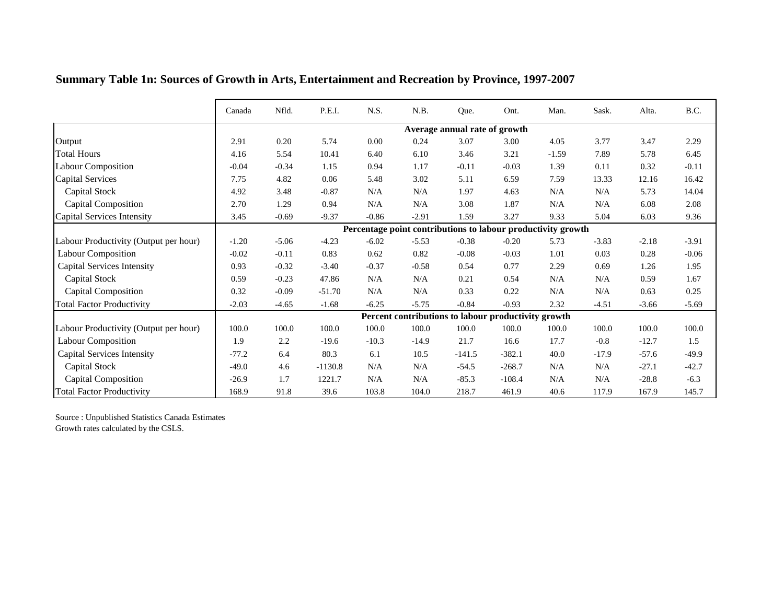|                                       | Canada  | Nfld.   | P.E.I.    | N.S.      | N.B.    | Que.                          | Ont.                                                         | Man.    | Sask.     | Alta.   | B.C.    |
|---------------------------------------|---------|---------|-----------|-----------|---------|-------------------------------|--------------------------------------------------------------|---------|-----------|---------|---------|
|                                       |         |         |           |           |         | Average annual rate of growth |                                                              |         |           |         |         |
| Output                                | 2.91    | 0.20    | 5.74      | 0.00      | 0.24    | 3.07                          | 3.00                                                         | 4.05    | 3.77      | 3.47    | 2.29    |
| <b>Total Hours</b>                    | 4.16    | 5.54    | 10.41     | 6.40      | 6.10    | 3.46                          | 3.21                                                         | $-1.59$ | 7.89      | 5.78    | 6.45    |
| <b>Labour Composition</b>             | $-0.04$ | $-0.34$ | 1.15      | 0.94      | 1.17    | $-0.11$                       | $-0.03$                                                      | 1.39    | 0.11      | 0.32    | $-0.11$ |
| <b>Capital Services</b>               | 7.75    | 4.82    | 0.06      | 5.48      | 3.02    | 5.11                          | 6.59                                                         | 7.59    | 13.33     | 12.16   | 16.42   |
| Capital Stock                         | 4.92    | 3.48    | $-0.87$   | N/A       | N/A     | 1.97                          | 4.63                                                         | N/A     | $\rm N/A$ | 5.73    | 14.04   |
| <b>Capital Composition</b>            | 2.70    | 1.29    | 0.94      | $\rm N/A$ | N/A     | 3.08                          | 1.87                                                         | N/A     | $\rm N/A$ | 6.08    | 2.08    |
| Capital Services Intensity            | 3.45    | $-0.69$ | $-9.37$   | $-0.86$   | $-2.91$ | 1.59                          | 3.27                                                         | 9.33    | 5.04      | 6.03    | 9.36    |
|                                       |         |         |           |           |         |                               | Percentage point contributions to labour productivity growth |         |           |         |         |
| Labour Productivity (Output per hour) | $-1.20$ | $-5.06$ | $-4.23$   | $-6.02$   | $-5.53$ | $-0.38$                       | $-0.20$                                                      | 5.73    | $-3.83$   | $-2.18$ | $-3.91$ |
| <b>Labour Composition</b>             | $-0.02$ | $-0.11$ | 0.83      | 0.62      | 0.82    | $-0.08$                       | $-0.03$                                                      | 1.01    | 0.03      | 0.28    | $-0.06$ |
| <b>Capital Services Intensity</b>     | 0.93    | $-0.32$ | $-3.40$   | $-0.37$   | $-0.58$ | 0.54                          | 0.77                                                         | 2.29    | 0.69      | 1.26    | 1.95    |
| Capital Stock                         | 0.59    | $-0.23$ | 47.86     | N/A       | N/A     | 0.21                          | 0.54                                                         | N/A     | N/A       | 0.59    | 1.67    |
| <b>Capital Composition</b>            | 0.32    | $-0.09$ | $-51.70$  | N/A       | N/A     | 0.33                          | 0.22                                                         | N/A     | N/A       | 0.63    | 0.25    |
| <b>Total Factor Productivity</b>      | $-2.03$ | $-4.65$ | $-1.68$   | $-6.25$   | $-5.75$ | $-0.84$                       | $-0.93$                                                      | 2.32    | $-4.51$   | $-3.66$ | $-5.69$ |
|                                       |         |         |           |           |         |                               | Percent contributions to labour productivity growth          |         |           |         |         |
| Labour Productivity (Output per hour) | 100.0   | 100.0   | 100.0     | 100.0     | 100.0   | 100.0                         | 100.0                                                        | 100.0   | 100.0     | 100.0   | 100.0   |
| <b>Labour Composition</b>             | 1.9     | 2.2     | $-19.6$   | $-10.3$   | $-14.9$ | 21.7                          | 16.6                                                         | 17.7    | $-0.8$    | $-12.7$ | 1.5     |
| <b>Capital Services Intensity</b>     | $-77.2$ | 6.4     | 80.3      | 6.1       | 10.5    | $-141.5$                      | $-382.1$                                                     | 40.0    | $-17.9$   | $-57.6$ | $-49.9$ |
| <b>Capital Stock</b>                  | $-49.0$ | 4.6     | $-1130.8$ | $\rm N/A$ | N/A     | $-54.5$                       | $-268.7$                                                     | N/A     | N/A       | $-27.1$ | $-42.7$ |
| <b>Capital Composition</b>            | $-26.9$ | 1.7     | 1221.7    | N/A       | N/A     | $-85.3$                       | $-108.4$                                                     | N/A     | N/A       | $-28.8$ | $-6.3$  |
| <b>Total Factor Productivity</b>      | 168.9   | 91.8    | 39.6      | 103.8     | 104.0   | 218.7                         | 461.9                                                        | 40.6    | 117.9     | 167.9   | 145.7   |

## **Summary Table 1n: Sources of Growth in Arts, Entertainment and Recreation by Province, 1997-2007**

Source : Unpublished Statistics Canada Estimates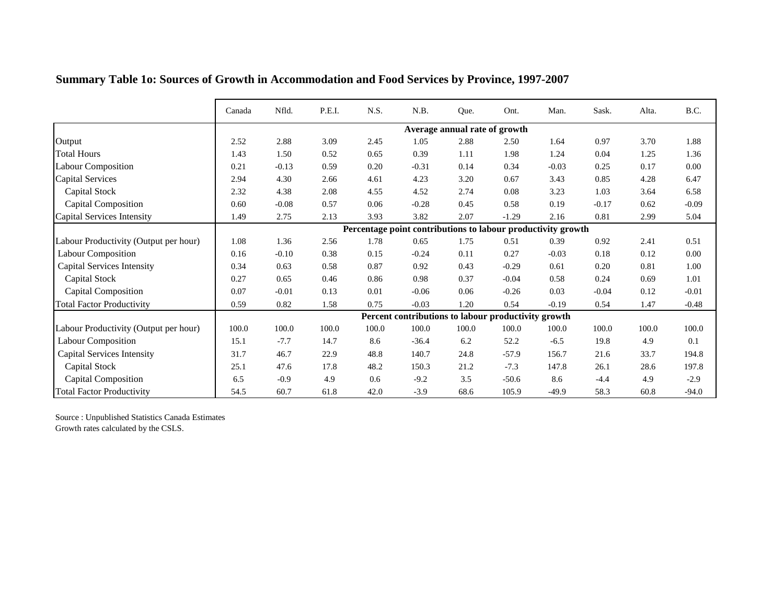|                                       | Canada | Nfld.   | P.E.I. | N.S.  | N.B.                                                         | Que.                          | Ont.     | Man.    | Sask.   | Alta. | B.C.    |
|---------------------------------------|--------|---------|--------|-------|--------------------------------------------------------------|-------------------------------|----------|---------|---------|-------|---------|
|                                       |        |         |        |       |                                                              | Average annual rate of growth |          |         |         |       |         |
| Output                                | 2.52   | 2.88    | 3.09   | 2.45  | 1.05                                                         | 2.88                          | 2.50     | 1.64    | 0.97    | 3.70  | 1.88    |
| <b>Total Hours</b>                    | 1.43   | 1.50    | 0.52   | 0.65  | 0.39                                                         | 1.11                          | 1.98     | 1.24    | 0.04    | 1.25  | 1.36    |
| <b>Labour Composition</b>             | 0.21   | $-0.13$ | 0.59   | 0.20  | $-0.31$                                                      | 0.14                          | 0.34     | $-0.03$ | 0.25    | 0.17  | 0.00    |
| <b>Capital Services</b>               | 2.94   | 4.30    | 2.66   | 4.61  | 4.23                                                         | 3.20                          | 0.67     | 3.43    | 0.85    | 4.28  | 6.47    |
| Capital Stock                         | 2.32   | 4.38    | 2.08   | 4.55  | 4.52                                                         | 2.74                          | $0.08\,$ | 3.23    | 1.03    | 3.64  | 6.58    |
| Capital Composition                   | 0.60   | $-0.08$ | 0.57   | 0.06  | $-0.28$                                                      | 0.45                          | 0.58     | 0.19    | $-0.17$ | 0.62  | $-0.09$ |
| Capital Services Intensity            | 1.49   | 2.75    | 2.13   | 3.93  | 3.82                                                         | 2.07                          | $-1.29$  | 2.16    | 0.81    | 2.99  | 5.04    |
|                                       |        |         |        |       | Percentage point contributions to labour productivity growth |                               |          |         |         |       |         |
| Labour Productivity (Output per hour) | 1.08   | 1.36    | 2.56   | 1.78  | 0.65                                                         | 1.75                          | 0.51     | 0.39    | 0.92    | 2.41  | 0.51    |
| <b>Labour Composition</b>             | 0.16   | $-0.10$ | 0.38   | 0.15  | $-0.24$                                                      | 0.11                          | 0.27     | $-0.03$ | 0.18    | 0.12  | 0.00    |
| <b>Capital Services Intensity</b>     | 0.34   | 0.63    | 0.58   | 0.87  | 0.92                                                         | 0.43                          | $-0.29$  | 0.61    | 0.20    | 0.81  | 1.00    |
| Capital Stock                         | 0.27   | 0.65    | 0.46   | 0.86  | 0.98                                                         | 0.37                          | $-0.04$  | 0.58    | 0.24    | 0.69  | 1.01    |
| <b>Capital Composition</b>            | 0.07   | $-0.01$ | 0.13   | 0.01  | $-0.06$                                                      | 0.06                          | $-0.26$  | 0.03    | $-0.04$ | 0.12  | $-0.01$ |
| <b>Total Factor Productivity</b>      | 0.59   | 0.82    | 1.58   | 0.75  | $-0.03$                                                      | 1.20                          | 0.54     | $-0.19$ | 0.54    | 1.47  | $-0.48$ |
|                                       |        |         |        |       | Percent contributions to labour productivity growth          |                               |          |         |         |       |         |
| Labour Productivity (Output per hour) | 100.0  | 100.0   | 100.0  | 100.0 | 100.0                                                        | 100.0                         | 100.0    | 100.0   | 100.0   | 100.0 | 100.0   |
| <b>Labour Composition</b>             | 15.1   | $-7.7$  | 14.7   | 8.6   | $-36.4$                                                      | 6.2                           | 52.2     | $-6.5$  | 19.8    | 4.9   | 0.1     |
| <b>Capital Services Intensity</b>     | 31.7   | 46.7    | 22.9   | 48.8  | 140.7                                                        | 24.8                          | $-57.9$  | 156.7   | 21.6    | 33.7  | 194.8   |
| Capital Stock                         | 25.1   | 47.6    | 17.8   | 48.2  | 150.3                                                        | 21.2                          | $-7.3$   | 147.8   | 26.1    | 28.6  | 197.8   |
| <b>Capital Composition</b>            | 6.5    | $-0.9$  | 4.9    | 0.6   | $-9.2$                                                       | 3.5                           | $-50.6$  | 8.6     | $-4.4$  | 4.9   | $-2.9$  |
| <b>Total Factor Productivity</b>      | 54.5   | 60.7    | 61.8   | 42.0  | $-3.9$                                                       | 68.6                          | 105.9    | $-49.9$ | 58.3    | 60.8  | $-94.0$ |

## **Summary Table 1o: Sources of Growth in Accommodation and Food Services by Province, 1997-2007**

Source : Unpublished Statistics Canada Estimates Growth rates calculated by the CSLS.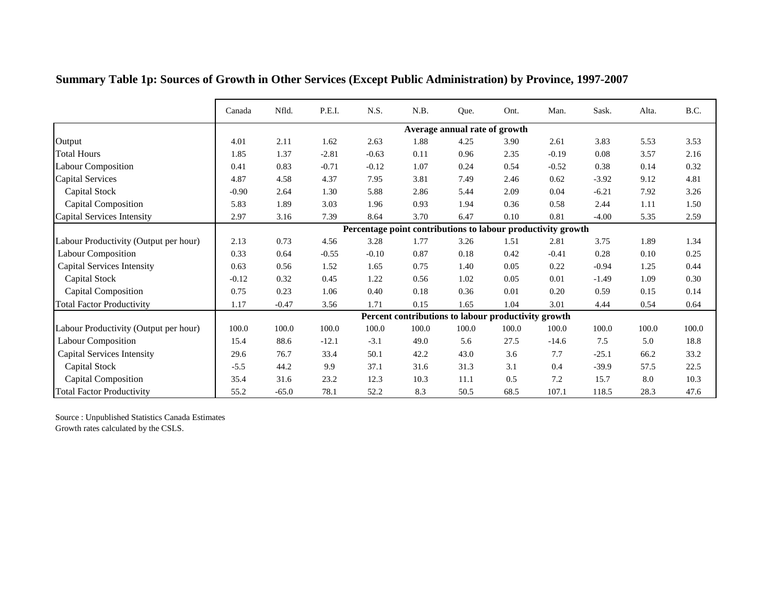|                                       | Canada  | Nfld.   | P.E.I.  | N.S.    | N.B.  | Que.                                                         | Ont.  | Man.    | Sask.   | Alta. | B.C.  |
|---------------------------------------|---------|---------|---------|---------|-------|--------------------------------------------------------------|-------|---------|---------|-------|-------|
|                                       |         |         |         |         |       | Average annual rate of growth                                |       |         |         |       |       |
| Output                                | 4.01    | 2.11    | 1.62    | 2.63    | 1.88  | 4.25                                                         | 3.90  | 2.61    | 3.83    | 5.53  | 3.53  |
| <b>Total Hours</b>                    | 1.85    | 1.37    | $-2.81$ | $-0.63$ | 0.11  | 0.96                                                         | 2.35  | $-0.19$ | 0.08    | 3.57  | 2.16  |
| Labour Composition                    | 0.41    | 0.83    | $-0.71$ | $-0.12$ | 1.07  | 0.24                                                         | 0.54  | $-0.52$ | 0.38    | 0.14  | 0.32  |
| <b>Capital Services</b>               | 4.87    | 4.58    | 4.37    | 7.95    | 3.81  | 7.49                                                         | 2.46  | 0.62    | $-3.92$ | 9.12  | 4.81  |
| Capital Stock                         | $-0.90$ | 2.64    | 1.30    | 5.88    | 2.86  | 5.44                                                         | 2.09  | 0.04    | $-6.21$ | 7.92  | 3.26  |
| Capital Composition                   | 5.83    | 1.89    | 3.03    | 1.96    | 0.93  | 1.94                                                         | 0.36  | 0.58    | 2.44    | 1.11  | 1.50  |
| Capital Services Intensity            | 2.97    | 3.16    | 7.39    | 8.64    | 3.70  | 6.47                                                         | 0.10  | 0.81    | $-4.00$ | 5.35  | 2.59  |
|                                       |         |         |         |         |       | Percentage point contributions to labour productivity growth |       |         |         |       |       |
| Labour Productivity (Output per hour) | 2.13    | 0.73    | 4.56    | 3.28    | 1.77  | 3.26                                                         | 1.51  | 2.81    | 3.75    | 1.89  | 1.34  |
| <b>Labour Composition</b>             | 0.33    | 0.64    | $-0.55$ | $-0.10$ | 0.87  | 0.18                                                         | 0.42  | $-0.41$ | 0.28    | 0.10  | 0.25  |
| <b>Capital Services Intensity</b>     | 0.63    | 0.56    | 1.52    | 1.65    | 0.75  | 1.40                                                         | 0.05  | 0.22    | $-0.94$ | 1.25  | 0.44  |
| Capital Stock                         | $-0.12$ | 0.32    | 0.45    | 1.22    | 0.56  | 1.02                                                         | 0.05  | 0.01    | $-1.49$ | 1.09  | 0.30  |
| <b>Capital Composition</b>            | 0.75    | 0.23    | 1.06    | 0.40    | 0.18  | 0.36                                                         | 0.01  | 0.20    | 0.59    | 0.15  | 0.14  |
| <b>Total Factor Productivity</b>      | 1.17    | $-0.47$ | 3.56    | 1.71    | 0.15  | 1.65                                                         | 1.04  | 3.01    | 4.44    | 0.54  | 0.64  |
|                                       |         |         |         |         |       | Percent contributions to labour productivity growth          |       |         |         |       |       |
| Labour Productivity (Output per hour) | 100.0   | 100.0   | 100.0   | 100.0   | 100.0 | 100.0                                                        | 100.0 | 100.0   | 100.0   | 100.0 | 100.0 |
| <b>Labour Composition</b>             | 15.4    | 88.6    | $-12.1$ | $-3.1$  | 49.0  | 5.6                                                          | 27.5  | $-14.6$ | 7.5     | 5.0   | 18.8  |
| <b>Capital Services Intensity</b>     | 29.6    | 76.7    | 33.4    | 50.1    | 42.2  | 43.0                                                         | 3.6   | 7.7     | $-25.1$ | 66.2  | 33.2  |
| <b>Capital Stock</b>                  | $-5.5$  | 44.2    | 9.9     | 37.1    | 31.6  | 31.3                                                         | 3.1   | 0.4     | $-39.9$ | 57.5  | 22.5  |
| <b>Capital Composition</b>            | 35.4    | 31.6    | 23.2    | 12.3    | 10.3  | 11.1                                                         | 0.5   | 7.2     | 15.7    | 8.0   | 10.3  |
| <b>Total Factor Productivity</b>      | 55.2    | $-65.0$ | 78.1    | 52.2    | 8.3   | 50.5                                                         | 68.5  | 107.1   | 118.5   | 28.3  | 47.6  |

**Summary Table 1p: Sources of Growth in Other Services (Except Public Administration) by Province, 1997-2007**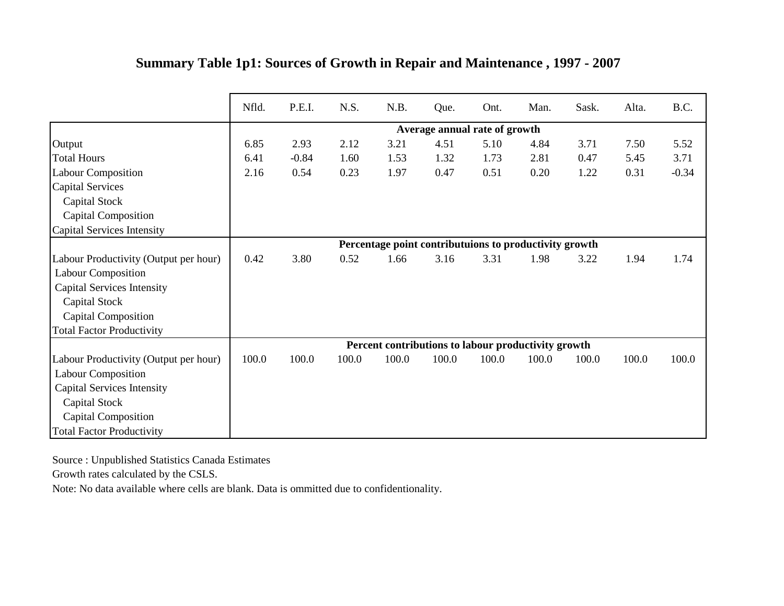|                                       | Nfld. | P.E.I.  | N.S.  | N.B.  | Que.                                                   | Ont.  | Man.  | Sask. | Alta. | B.C.    |
|---------------------------------------|-------|---------|-------|-------|--------------------------------------------------------|-------|-------|-------|-------|---------|
|                                       |       |         |       |       | Average annual rate of growth                          |       |       |       |       |         |
| Output                                | 6.85  | 2.93    | 2.12  | 3.21  | 4.51                                                   | 5.10  | 4.84  | 3.71  | 7.50  | 5.52    |
| <b>Total Hours</b>                    | 6.41  | $-0.84$ | 1.60  | 1.53  | 1.32                                                   | 1.73  | 2.81  | 0.47  | 5.45  | 3.71    |
| <b>Labour Composition</b>             | 2.16  | 0.54    | 0.23  | 1.97  | 0.47                                                   | 0.51  | 0.20  | 1.22  | 0.31  | $-0.34$ |
| <b>Capital Services</b>               |       |         |       |       |                                                        |       |       |       |       |         |
| Capital Stock                         |       |         |       |       |                                                        |       |       |       |       |         |
| Capital Composition                   |       |         |       |       |                                                        |       |       |       |       |         |
| Capital Services Intensity            |       |         |       |       |                                                        |       |       |       |       |         |
|                                       |       |         |       |       | Percentage point contributuions to productivity growth |       |       |       |       |         |
| Labour Productivity (Output per hour) | 0.42  | 3.80    | 0.52  | 1.66  | 3.16                                                   | 3.31  | 1.98  | 3.22  | 1.94  | 1.74    |
| <b>Labour Composition</b>             |       |         |       |       |                                                        |       |       |       |       |         |
| <b>Capital Services Intensity</b>     |       |         |       |       |                                                        |       |       |       |       |         |
| Capital Stock                         |       |         |       |       |                                                        |       |       |       |       |         |
| Capital Composition                   |       |         |       |       |                                                        |       |       |       |       |         |
| <b>Total Factor Productivity</b>      |       |         |       |       |                                                        |       |       |       |       |         |
|                                       |       |         |       |       | Percent contributions to labour productivity growth    |       |       |       |       |         |
| Labour Productivity (Output per hour) | 100.0 | 100.0   | 100.0 | 100.0 | 100.0                                                  | 100.0 | 100.0 | 100.0 | 100.0 | 100.0   |
| <b>Labour Composition</b>             |       |         |       |       |                                                        |       |       |       |       |         |
| <b>Capital Services Intensity</b>     |       |         |       |       |                                                        |       |       |       |       |         |
| Capital Stock                         |       |         |       |       |                                                        |       |       |       |       |         |
| <b>Capital Composition</b>            |       |         |       |       |                                                        |       |       |       |       |         |
| <b>Total Factor Productivity</b>      |       |         |       |       |                                                        |       |       |       |       |         |

## **Summary Table 1p1: Sources of Growth in Repair and Maintenance , 1997 - 2007**

Source : Unpublished Statistics Canada Estimates

Growth rates calculated by the CSLS.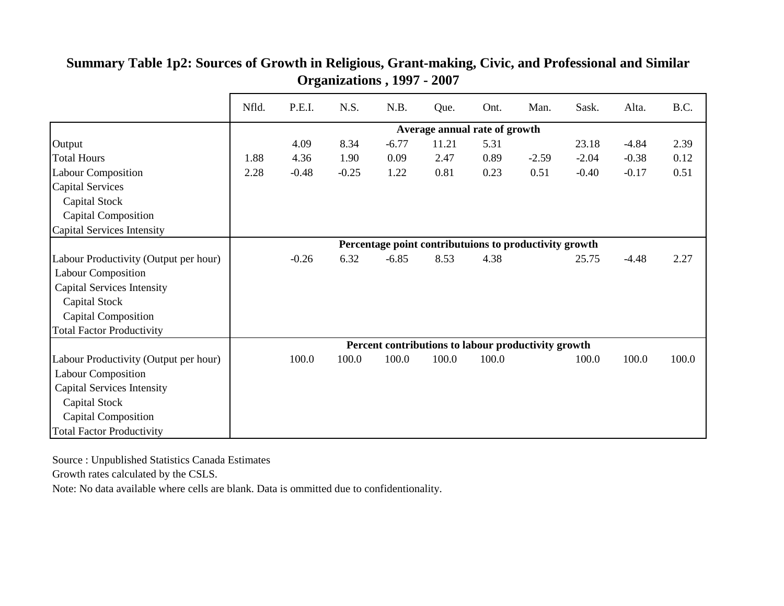|                                       | Nfld.                                                  | P.E.I.  | N.S.    | N.B.    | Que.  | Ont.  | Man.    | Sask.   | Alta.   | B.C.  |  |
|---------------------------------------|--------------------------------------------------------|---------|---------|---------|-------|-------|---------|---------|---------|-------|--|
|                                       | Average annual rate of growth                          |         |         |         |       |       |         |         |         |       |  |
| Output                                |                                                        | 4.09    | 8.34    | $-6.77$ | 11.21 | 5.31  |         | 23.18   | $-4.84$ | 2.39  |  |
| <b>Total Hours</b>                    | 1.88                                                   | 4.36    | 1.90    | 0.09    | 2.47  | 0.89  | $-2.59$ | $-2.04$ | $-0.38$ | 0.12  |  |
| <b>Labour Composition</b>             | 2.28                                                   | $-0.48$ | $-0.25$ | 1.22    | 0.81  | 0.23  | 0.51    | $-0.40$ | $-0.17$ | 0.51  |  |
| <b>Capital Services</b>               |                                                        |         |         |         |       |       |         |         |         |       |  |
| Capital Stock                         |                                                        |         |         |         |       |       |         |         |         |       |  |
| Capital Composition                   |                                                        |         |         |         |       |       |         |         |         |       |  |
| Capital Services Intensity            |                                                        |         |         |         |       |       |         |         |         |       |  |
|                                       | Percentage point contributuions to productivity growth |         |         |         |       |       |         |         |         |       |  |
| Labour Productivity (Output per hour) |                                                        | $-0.26$ | 6.32    | $-6.85$ | 8.53  | 4.38  |         | 25.75   | $-4.48$ | 2.27  |  |
| <b>Labour Composition</b>             |                                                        |         |         |         |       |       |         |         |         |       |  |
| <b>Capital Services Intensity</b>     |                                                        |         |         |         |       |       |         |         |         |       |  |
| Capital Stock                         |                                                        |         |         |         |       |       |         |         |         |       |  |
| Capital Composition                   |                                                        |         |         |         |       |       |         |         |         |       |  |
| <b>Total Factor Productivity</b>      |                                                        |         |         |         |       |       |         |         |         |       |  |
|                                       | Percent contributions to labour productivity growth    |         |         |         |       |       |         |         |         |       |  |
| Labour Productivity (Output per hour) |                                                        | 100.0   | 100.0   | 100.0   | 100.0 | 100.0 |         | 100.0   | 100.0   | 100.0 |  |
| <b>Labour Composition</b>             |                                                        |         |         |         |       |       |         |         |         |       |  |
| <b>Capital Services Intensity</b>     |                                                        |         |         |         |       |       |         |         |         |       |  |
| <b>Capital Stock</b>                  |                                                        |         |         |         |       |       |         |         |         |       |  |
| <b>Capital Composition</b>            |                                                        |         |         |         |       |       |         |         |         |       |  |
| <b>Total Factor Productivity</b>      |                                                        |         |         |         |       |       |         |         |         |       |  |

#### **Summary Table 1p2: Sources of Growth in Religious, Grant-making, Civic, and Professional and Similar Organizations , 1997 - 2007**

Source : Unpublished Statistics Canada Estimates

Growth rates calculated by the CSLS.